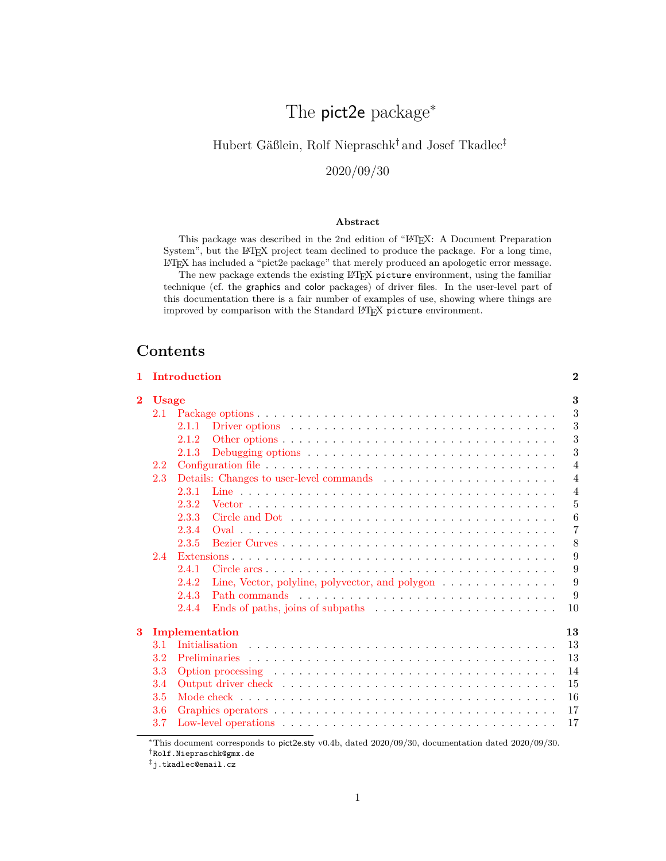# The pict2e package<sup>∗</sup>

## <span id="page-0-0"></span>Hubert Gäßlein, Rolf Niepraschk† and Josef Tkadlec‡

## 2020/09/30

## **Abstract**

This package was described in the 2nd edition of "LATEX: A Document Preparation System", but the LATEX project team declined to produce the package. For a long time, LATEX has included a "pict2e package" that merely produced an apologetic error message.

The new package extends the existing LATEX picture environment, using the familiar technique (cf. the graphics and color packages) of driver files. In the user-level part of this documentation there is a fair number of examples of use, showing where things are improved by comparison with the Standard LATEX picture environment.

## **Contents**

|                |     | 1 Introduction                                                                     | $\bf{2}$       |  |  |  |  |  |
|----------------|-----|------------------------------------------------------------------------------------|----------------|--|--|--|--|--|
| $\overline{2}$ |     | <b>Usage</b>                                                                       |                |  |  |  |  |  |
|                | 2.1 |                                                                                    | 3              |  |  |  |  |  |
|                |     | 2.1.1                                                                              | 3              |  |  |  |  |  |
|                |     | 2.1.2                                                                              | 3              |  |  |  |  |  |
|                |     | 2.1.3                                                                              | 3              |  |  |  |  |  |
|                | 2.2 |                                                                                    | $\overline{4}$ |  |  |  |  |  |
|                | 2.3 |                                                                                    | $\overline{4}$ |  |  |  |  |  |
|                |     | 2.3.1                                                                              | $\overline{4}$ |  |  |  |  |  |
|                |     | 2.3.2                                                                              | 5              |  |  |  |  |  |
|                |     | 2.3.3                                                                              | 6              |  |  |  |  |  |
|                |     | 2.3.4                                                                              | $\overline{7}$ |  |  |  |  |  |
|                |     | 2.3.5                                                                              | 8              |  |  |  |  |  |
|                | 2.4 |                                                                                    | 9              |  |  |  |  |  |
|                |     | 2.4.1                                                                              | 9              |  |  |  |  |  |
|                |     | Line, Vector, polyline, polyvector, and polygon $\dots \dots \dots \dots$<br>2.4.2 | 9              |  |  |  |  |  |
|                |     | 2.4.3                                                                              | 9              |  |  |  |  |  |
|                |     | 2.4.4                                                                              | 10             |  |  |  |  |  |
| 3              |     | Implementation                                                                     | 13             |  |  |  |  |  |
|                | 3.1 | Initialisation                                                                     | 13             |  |  |  |  |  |
|                | 3.2 |                                                                                    | 13             |  |  |  |  |  |
|                | 3.3 |                                                                                    | 14             |  |  |  |  |  |
|                | 3.4 |                                                                                    | 15             |  |  |  |  |  |
|                | 3.5 |                                                                                    | 16             |  |  |  |  |  |
|                | 3.6 |                                                                                    | 17             |  |  |  |  |  |
|                | 3.7 |                                                                                    | 17             |  |  |  |  |  |

<sup>∗</sup>This document corresponds to pict2e.sty v0.4b, dated 2020/09/30, documentation dated 2020/09/30.

<sup>†</sup>Rolf.Niepraschk@gmx.de

<sup>‡</sup>j.tkadlec@email.cz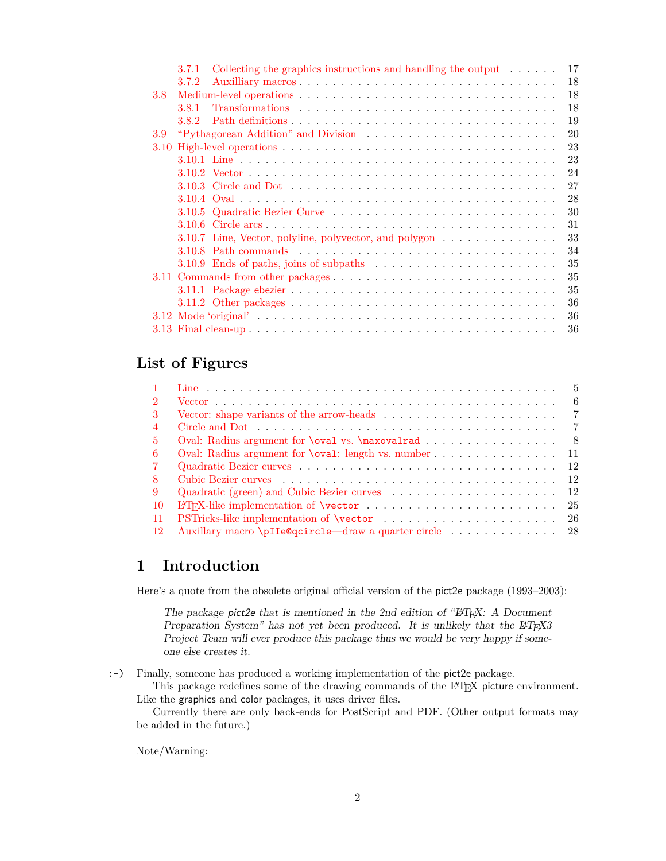|     | 3.7.1 | Collecting the graphics instructions and handling the output $\dots \dots$<br>17                   |
|-----|-------|----------------------------------------------------------------------------------------------------|
|     | 3.7.2 | 18                                                                                                 |
| 3.8 |       | 18                                                                                                 |
|     | 3.8.1 | 18                                                                                                 |
|     | 382   | 19                                                                                                 |
| 3.9 |       | 20                                                                                                 |
|     |       | 23                                                                                                 |
|     |       | 23                                                                                                 |
|     |       | 24                                                                                                 |
|     |       | 27                                                                                                 |
|     |       | 28                                                                                                 |
|     |       | 30                                                                                                 |
|     |       | 31                                                                                                 |
|     |       | 33<br>3.10.7 Line, Vector, polyline, polyvector, and polygon                                       |
|     |       | 34                                                                                                 |
|     |       | 35<br>$3.10.9$ Ends of paths, joins of subpaths $\ldots \ldots \ldots \ldots \ldots \ldots \ldots$ |
|     |       | 35                                                                                                 |
|     |       | 35                                                                                                 |
|     |       | 36                                                                                                 |
|     |       | 36                                                                                                 |
|     |       | 36                                                                                                 |
|     |       |                                                                                                    |

# **List of Figures**

|                 | $-5$                                                                 |
|-----------------|----------------------------------------------------------------------|
| $\mathcal{D}$   | - 6                                                                  |
| 3               | $\overline{7}$                                                       |
|                 |                                                                      |
| .5.             | Oval: Radius argument for <b>\oval</b> vs. <b>\maxovalrad</b><br>- 8 |
| 6               | Oval: Radius argument for \oval: length vs. number 11                |
| 7               |                                                                      |
| 8               |                                                                      |
| 9               |                                                                      |
| $\overline{10}$ |                                                                      |
| -11             |                                                                      |
| -12             |                                                                      |

## <span id="page-1-0"></span>**1 Introduction**

Here's a quote from the obsolete original official version of the pict2e package (1993–2003):

The package pict2e that is mentioned in the 2nd edition of " $\cancel{B}T$ <sub>EX</sub>: A Document Preparation System" has not yet been produced. It is unlikely that the L<sup>4</sup>T<sub>E</sub>X<sub>3</sub> Project Team will ever produce this package thus we would be very happy if someone else creates it.

:-) Finally, someone has produced a working implementation of the pict2e package.

This package redefines some of the drawing commands of the LATEX picture environment. Like the graphics and color packages, it uses driver files.

Currently there are only back-ends for PostScript and PDF. (Other output formats may be added in the future.)

Note/Warning: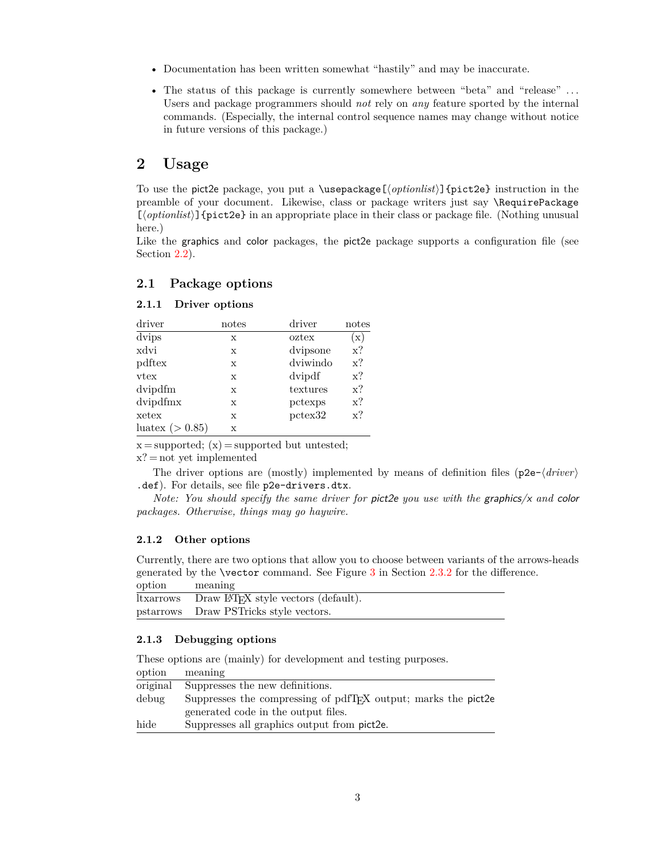- Documentation has been written somewhat "hastily" and may be inaccurate.
- The status of this package is currently somewhere between "beta" and "release" ... Users and package programmers should *not* rely on *any* feature sported by the internal commands. (Especially, the internal control sequence names may change without notice in future versions of this package.)

## <span id="page-2-0"></span>**2 Usage**

To use the pict2e package, you put a \usepackage[ $\{optimlist\}$ ]{pict2e} instruction in the preamble of your document. Likewise, class or package writers just say \RequirePackage [*\optionlist*}] {pict2e} in an appropriate place in their class or package file. (Nothing unusual here.)

Like the graphics and color packages, the pict2e package supports a configuration file (see Section [2.2\)](#page-3-0).

## <span id="page-2-1"></span>**2.1 Package options**

## <span id="page-2-2"></span>**2.1.1 Driver options**

| driver              | notes       | driver   | notes         |
|---------------------|-------------|----------|---------------|
| dvips               | X           | oztex    | $\mathbf{x})$ |
| xdvi                | X           | dvipsone | $x$ ?         |
| pdftex              | X           | dviwindo | $x$ ?         |
| vtex                | X           | dvipdf   | $x$ ?         |
| dvipdfm             | X           | textures | $x$ ?         |
| dvipdfmx            | X           | pctexps  | $x$ ?         |
| xetex               | $\mathbf x$ | pctex32  | $x$ ?         |
| luatex ( $> 0.85$ ) | $\mathbf x$ |          |               |

 $x = supported; (x) = supported but untested;$ 

#### x? = not yet implemented

The driver options are (mostly) implemented by means of definition files ( $p2e-\langle driver\rangle$ .def). For details, see file p2e-drivers.dtx.

*Note: You should specify the same driver for* pict2e *you use with the* graphics/x *and* color *packages. Otherwise, things may go haywire.*

## <span id="page-2-3"></span>**2.1.2 Other options**

Currently, there are two options that allow you to choose between variants of the arrows-heads generated by the \vector command. See Figure [3](#page-6-1) in Section [2.3.2](#page-4-0) for the difference. option meaning

| ltxarrows Draw IAT <sub>F</sub> X style vectors (default). |
|------------------------------------------------------------|
| pstarrows Draw PSTricks style vectors.                     |

## <span id="page-2-4"></span>**2.1.3 Debugging options**

| These options are (mainly) for development and testing purposes. |  |  |  |
|------------------------------------------------------------------|--|--|--|

| option   | meaning                                                       |
|----------|---------------------------------------------------------------|
| original | Suppresses the new definitions.                               |
| debug    | Suppresses the compressing of pdfTFX output; marks the pict2e |
|          | generated code in the output files.                           |
| hide     | Suppresses all graphics output from pict2e.                   |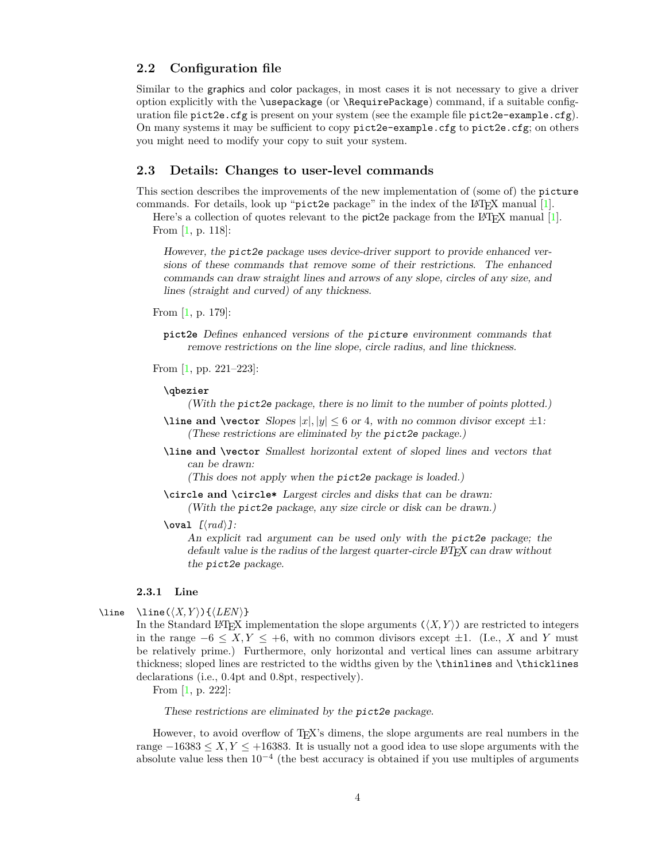## <span id="page-3-0"></span>**2.2 Configuration file**

Similar to the graphics and color packages, in most cases it is not necessary to give a driver option explicitly with the \usepackage (or \RequirePackage) command, if a suitable configuration file pict2e.cfg is present on your system (see the example file pict2e-example.cfg). On many systems it may be sufficient to copy pict2e-example.cfg to pict2e.cfg; on others you might need to modify your copy to suit your system.

## <span id="page-3-1"></span>**2.3 Details: Changes to user-level commands**

This section describes the improvements of the new implementation of (some of) the picture commands. For details, look up "pict2e package" in the index of the  $\text{ETr}[X]$  manual [\[1\]](#page-35-3).

Here's a collection of quotes relevant to the pict2e package from the  $\mathbb{B}T_F X$  manual [\[1\]](#page-35-3). From [\[1,](#page-35-3) p. 118]:

However, the pict2e package uses device-driver support to provide enhanced versions of these commands that remove some of their restrictions. The enhanced commands can draw straight lines and arrows of any slope, circles of any size, and lines (straight and curved) of any thickness.

From [\[1,](#page-35-3) p. 179]:

**pict2e** Defines enhanced versions of the picture environment commands that remove restrictions on the line slope, circle radius, and line thickness.

From [\[1,](#page-35-3) pp. 221–223]:

## **\qbezier**

(With the pict2e package, there is no limit to the number of points plotted.)

- **\line** and **\vector** Slopes  $|x|, |y| \leq 6$  or 4, with no common divisor except  $\pm 1$ : (These restrictions are eliminated by the pict2e package.)
- **\line and \vector** Smallest horizontal extent of sloped lines and vectors that can be drawn:

(This does not apply when the pict2e package is loaded.)

**\circle and \circle\*** Largest circles and disks that can be drawn:

(With the pict2e package, any size circle or disk can be drawn.)

 $\text{|\mathbf{v} \cdot \mathbf{v}| \leq \mathcal{L}}$ 

An explicit rad argument can be used only with the pict2e package; the default value is the radius of the largest quarter-circle LAT<sub>E</sub>X can draw without the pict2e package.

#### <span id="page-3-2"></span>**2.3.1 Line**

\line \line $(\langle X, Y \rangle) \{ \langle LEN \rangle \}$ 

<span id="page-3-3"></span>In the Standard LATEX implementation the slope arguments  $(\langle X, Y \rangle)$  are restricted to integers in the range  $-6 \le X, Y \le +6$ , with no common divisors except  $\pm 1$ . (I.e., *X* and *Y* must be relatively prime.) Furthermore, only horizontal and vertical lines can assume arbitrary thickness; sloped lines are restricted to the widths given by the \thinlines and \thicklines declarations (i.e., 0.4pt and 0.8pt, respectively).

From [\[1,](#page-35-3) p. 222]:

These restrictions are eliminated by the pict2e package.

However, to avoid overflow of T<sub>E</sub>X's dimens, the slope arguments are real numbers in the range  $-16383 \le X, Y \le +16383$ . It is usually not a good idea to use slope arguments with the absolute value less then  $10^{-4}$  (the best accuracy is obtained if you use multiples of arguments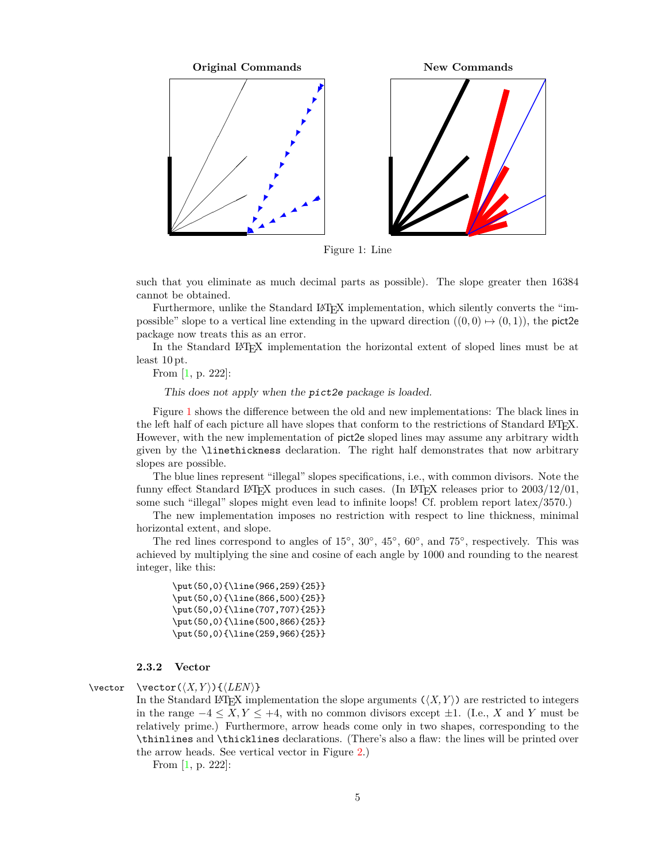

<span id="page-4-1"></span>Figure 1: Line

such that you eliminate as much decimal parts as possible). The slope greater then 16384 cannot be obtained.

Furthermore, unlike the Standard L<sup>AT</sup>EX implementation, which silently converts the "impossible" slope to a vertical line extending in the upward direction  $((0,0) \mapsto (0,1))$ , the pict2e package now treats this as an error.

In the Standard LATEX implementation the horizontal extent of sloped lines must be at least 10 pt.

From [\[1,](#page-35-3) p. 222]:

This does not apply when the pict2e package is loaded.

Figure [1](#page-4-1) shows the difference between the old and new implementations: The black lines in the left half of each picture all have slopes that conform to the restrictions of Standard L<sup>AT</sup>EX. However, with the new implementation of pict2e sloped lines may assume any arbitrary width given by the \linethickness declaration. The right half demonstrates that now arbitrary slopes are possible.

The blue lines represent "illegal" slopes specifications, i.e., with common divisors. Note the funny effect Standard LAT<sub>EX</sub> produces in such cases. (In LAT<sub>EX</sub> releases prior to  $2003/12/01$ , some such "illegal" slopes might even lead to infinite loops! Cf. problem report latex/3570.)

The new implementation imposes no restriction with respect to line thickness, minimal horizontal extent, and slope.

The red lines correspond to angles of  $15°$ ,  $30°$ ,  $45°$ ,  $60°$ , and  $75°$ , respectively. This was achieved by multiplying the sine and cosine of each angle by 1000 and rounding to the nearest integer, like this:

```
\put(50,0){\line(966,259){25}}
\put(50,0){\line(866,500){25}}
\put(50,0){\line(707,707){25}}
\put(50,0){\line(500,866){25}}
\put(50,0){\line(259,966){25}}
```
## <span id="page-4-0"></span>**2.3.2 Vector**

 $\text{vector } \text{C}(X, Y) \text{C}(LEN)$ 

<span id="page-4-2"></span>In the Standard L<sup>A</sup>T<sub>E</sub>X implementation the slope arguments  $(\langle X, Y \rangle)$  are restricted to integers in the range  $-4 \leq X, Y \leq +4$ , with no common divisors except  $\pm 1$ . (I.e., *X* and *Y* must be relatively prime.) Furthermore, arrow heads come only in two shapes, corresponding to the \thinlines and \thicklines declarations. (There's also a flaw: the lines will be printed over the arrow heads. See vertical vector in Figure [2.](#page-5-1))

From [\[1,](#page-35-3) p. 222]: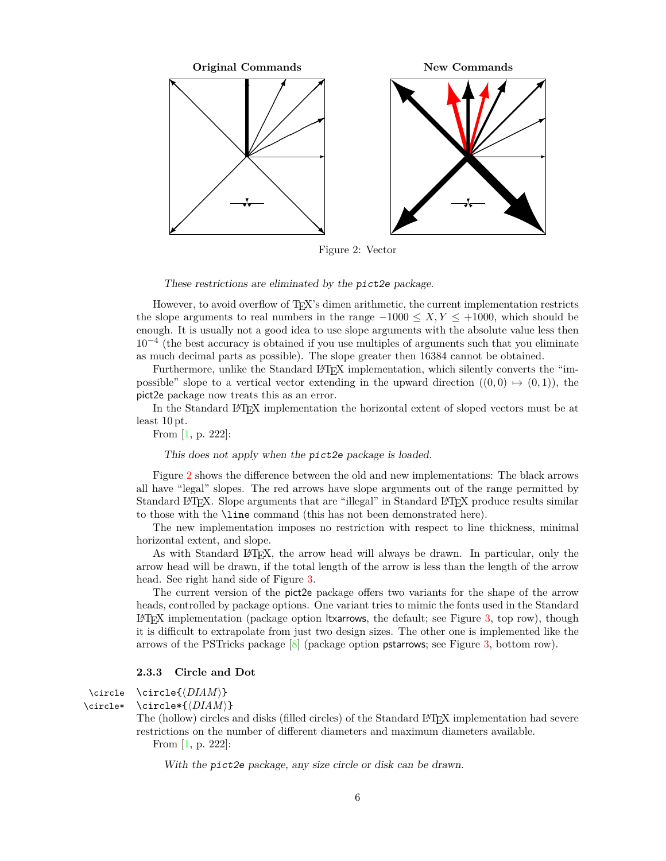

<span id="page-5-1"></span>Figure 2: Vector

These restrictions are eliminated by the pict2e package.

However, to avoid overflow of TEX's dimen arithmetic, the current implementation restricts the slope arguments to real numbers in the range  $-1000 \le X, Y \le +1000$ , which should be enough. It is usually not a good idea to use slope arguments with the absolute value less then 10<sup>−</sup><sup>4</sup> (the best accuracy is obtained if you use multiples of arguments such that you eliminate as much decimal parts as possible). The slope greater then 16384 cannot be obtained.

Furthermore, unlike the Standard L<sup>AT</sup>EX implementation, which silently converts the "impossible" slope to a vertical vector extending in the upward direction  $((0,0) \mapsto (0,1))$ , the pict2e package now treats this as an error.

In the Standard L<sup>AT</sup>EX implementation the horizontal extent of sloped vectors must be at least 10 pt.

From [\[1,](#page-35-3) p. 222]:

This does not apply when the pict2e package is loaded.

Figure [2](#page-5-1) shows the difference between the old and new implementations: The black arrows all have "legal" slopes. The red arrows have slope arguments out of the range permitted by Standard LATEX. Slope arguments that are "illegal" in Standard LATEX produce results similar to those with the \line command (this has not been demonstrated here).

The new implementation imposes no restriction with respect to line thickness, minimal horizontal extent, and slope.

As with Standard LAT<sub>EX</sub>, the arrow head will always be drawn. In particular, only the arrow head will be drawn, if the total length of the arrow is less than the length of the arrow head. See right hand side of Figure [3.](#page-6-1)

The current version of the pict2e package offers two variants for the shape of the arrow heads, controlled by package options. One variant tries to mimic the fonts used in the Standard LATEX implementation (package option ltxarrows, the default; see Figure [3,](#page-6-1) top row), though it is difficult to extrapolate from just two design sizes. The other one is implemented like the arrows of the PSTricks package  $[8]$  (package option pstarrows; see Figure [3,](#page-6-1) bottom row).

## <span id="page-5-2"></span><span id="page-5-0"></span>**2.3.3 Circle and Dot**

```
\circle \circle{\DIAM}}
```
\circle\* \circle\*{\*DIAM*}}

The (hollow) circles and disks (filled circles) of the Standard L<sup>AT</sup>EX implementation had severe restrictions on the number of different diameters and maximum diameters available. From [\[1,](#page-35-3) p. 222]:

With the pict2e package, any size circle or disk can be drawn.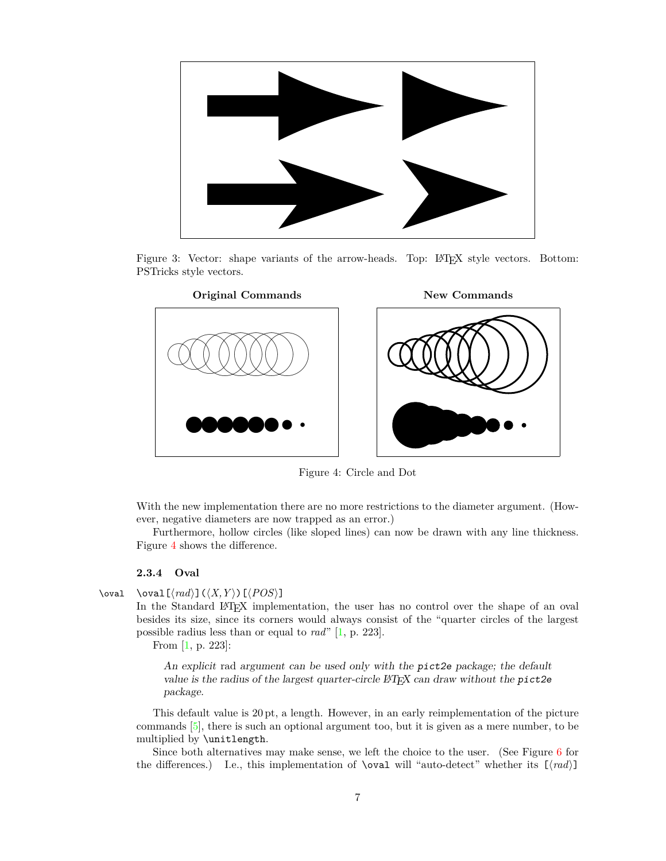

<span id="page-6-1"></span>Figure 3: Vector: shape variants of the arrow-heads. Top: LAT<sub>EX</sub> style vectors. Bottom: PSTricks style vectors.



<span id="page-6-2"></span>Figure 4: Circle and Dot

With the new implementation there are no more restrictions to the diameter argument. (However, negative diameters are now trapped as an error.)

Furthermore, hollow circles (like sloped lines) can now be drawn with any line thickness. Figure [4](#page-6-2) shows the difference.

## <span id="page-6-0"></span>**2.3.4 Oval**

$$
\text{local} \quad \text{val} \quad (\text{rad}) \quad (\langle X, Y \rangle) \quad (\text{POS}) \quad
$$

<span id="page-6-3"></span>In the Standard L<sup>AT</sup>EX implementation, the user has no control over the shape of an oval besides its size, since its corners would always consist of the "quarter circles of the largest possible radius less than or equal to *rad*" [\[1,](#page-35-3) p. 223].

From [\[1,](#page-35-3) p. 223]:

An explicit rad argument can be used only with the pict2e package; the default value is the radius of the largest quarter-circle  $\angle$  ET<sub>E</sub>X can draw without the pict2e package.

This default value is 20 pt, a length. However, in an early reimplementation of the picture commands [\[5\]](#page-35-5), there is such an optional argument too, but it is given as a mere number, to be multiplied by \unitlength.

Since both alternatives may make sense, we left the choice to the user. (See Figure [6](#page-10-0) for the differences.) I.e., this implementation of **\oval** will "auto-detect" whether its  $\{(rad)\}$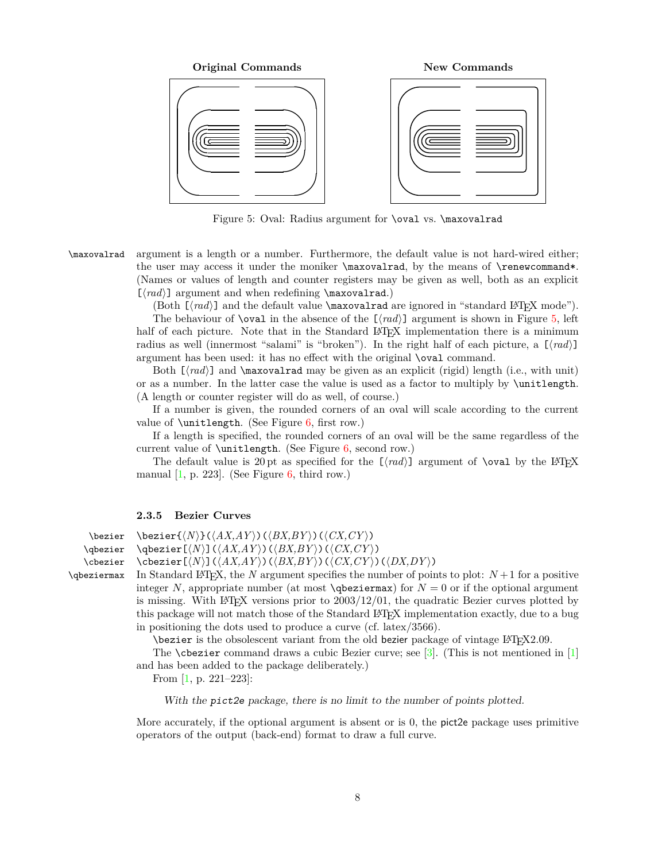

<span id="page-7-3"></span><span id="page-7-1"></span>Figure 5: Oval: Radius argument for **\oval vs. \maxovalrad** 

\maxovalrad argument is a length or a number. Furthermore, the default value is not hard-wired either; the user may access it under the moniker \maxovalrad, by the means of \renewcommand\*. (Names or values of length and counter registers may be given as well, both as an explicit  $[\langle rad \rangle]$  argument and when redefining **\maxovalrad.**)

(Both  $[\langle rad \rangle]$  and the default value \maxovalrad are ignored in "standard LATEX mode").

The behaviour of **\oval** in the absence of the  $[\langle rad \rangle]$  argument is shown in Figure [5,](#page-7-1) left half of each picture. Note that in the Standard LAT<sub>EX</sub> implementation there is a minimum radius as well (innermost "salami" is "broken"). In the right half of each picture, a  $\lfloor \langle rad \rangle \rfloor$ argument has been used: it has no effect with the original \oval command.

Both  $[\langle rad \rangle]$  and  $\max$ ovalrad may be given as an explicit (rigid) length (i.e., with unit) or as a number. In the latter case the value is used as a factor to multiply by \unitlength. (A length or counter register will do as well, of course.)

If a number is given, the rounded corners of an oval will scale according to the current value of  $\unitlength.$  (See Figure [6,](#page-10-0) first row.)

If a length is specified, the rounded corners of an oval will be the same regardless of the current value of \unitlength. (See Figure [6,](#page-10-0) second row.)

The default value is 20 pt as specified for the  $[\langle rad \rangle]$  argument of **\oval** by the L<sup>A</sup>TEX manual  $[1, p. 223]$  $[1, p. 223]$ . (See Figure [6,](#page-10-0) third row.)

#### <span id="page-7-2"></span><span id="page-7-0"></span>**2.3.5 Bezier Curves**

\qbezier \cbezier \qbeziermax

 $\begin{equation*}$  \bezier{ $\langle N\rangle$ }( $\langle AX,AY\rangle$ )( $\langle BX,BY\rangle$ )( $\langle CX,CY\rangle$ )

 $\big\{ \Phi(X, AY) \cup (BX, BY) \cup (CX, CY) \big\}$ 

 $\setminus \text{cbezier}(\langle N \rangle) (\langle AX,AY \rangle) (\langle BX,BY \rangle) (\langle CX,CY \rangle) (\langle DX,DY \rangle)$ 

In Standard LAT<sub>E</sub>X, the *N* argument specifies the number of points to plot:  $N+1$  for a positive integer N, appropriate number (at most  $\qquad$ obeziermax) for  $N = 0$  or if the optional argument is missing. With LAT<sub>EX</sub> versions prior to  $2003/12/01$ , the quadratic Bezier curves plotted by this package will not match those of the Standard LATEX implementation exactly, due to a bug in positioning the dots used to produce a curve (cf. latex/3566).

\bezier is the obsolescent variant from the old bezier package of vintage L<sup>AT</sup>FX2.09.

The **\cbezier** command draws a cubic Bezier curve; see  $[3]$ . (This is not mentioned in  $[1]$ and has been added to the package deliberately.)

From [\[1,](#page-35-3) p. 221–223]:

With the pict2e package, there is no limit to the number of points plotted.

More accurately, if the optional argument is absent or is 0, the pict2e package uses primitive operators of the output (back-end) format to draw a full curve.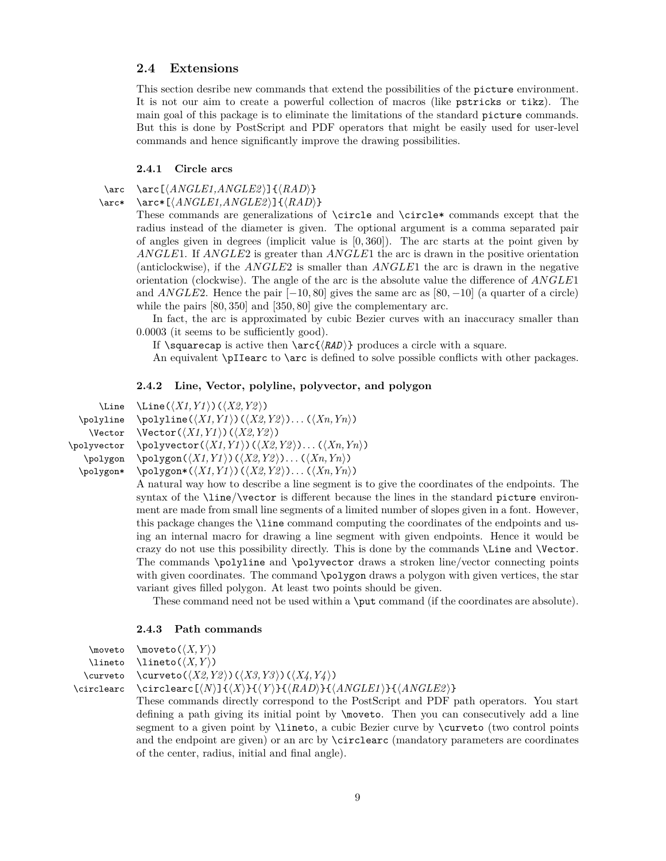## <span id="page-8-0"></span>**2.4 Extensions**

This section desribe new commands that extend the possibilities of the picture environment. It is not our aim to create a powerful collection of macros (like pstricks or tikz). The main goal of this package is to eliminate the limitations of the standard picture commands. But this is done by PostScript and PDF operators that might be easily used for user-level commands and hence significantly improve the drawing possibilities.

## <span id="page-8-4"></span><span id="page-8-1"></span>**2.4.1 Circle arcs**

\arc \arc  $\{ANGLE1, ANGLE2\}$   $\{RAD\}$ 

\arc\* \arc\*[\*ANGLE1,ANGLE2*)]{\*RAD*}}

These commands are generalizations of \circle and \circle\* commands except that the radius instead of the diameter is given. The optional argument is a comma separated pair of angles given in degrees (implicit value is [0*,* 360]). The arc starts at the point given by *ANGLE*1. If *ANGLE*2 is greater than *ANGLE*1 the arc is drawn in the positive orientation (anticlockwise), if the *ANGLE*2 is smaller than *ANGLE*1 the arc is drawn in the negative orientation (clockwise). The angle of the arc is the absolute value the difference of *ANGLE*1 and *ANGLE*2. Hence the pair [−10*,* 80] gives the same arc as [80*,* −10] (a quarter of a circle) while the pairs [80*,* 350] and [350*,* 80] give the complementary arc.

In fact, the arc is approximated by cubic Bezier curves with an inaccuracy smaller than 0.0003 (it seems to be sufficiently good).

If  $\square$  is active then  $\arct(RAD)$  produces a circle with a square.

An equivalent \pIIearc to \arc is defined to solve possible conflicts with other packages.

## <span id="page-8-6"></span><span id="page-8-2"></span>**2.4.2 Line, Vector, polyline, polyvector, and polygon**

```
\Line \Line(\langle X1, Y1 \rangle)(\langle X2, Y2 \rangle)\polyline
       \Vector
\polyvector
     \polygon
   \polygon*
                        \text{polyline}(\langle X1, Y1 \rangle)(\langle X2, Y2 \rangle) \dots (\langle Xn, Yn \rangle)\text{Vector}(\langle X1, Y1 \rangle)(\langle X2, Y2 \rangle)\pii)(X1,Y1 ) (\langle X2, Y2 \rangle). . . (\langle Xn, Yn \rangle)
                        \pmb{\text{polygon}(\langle X1, Y1 \rangle)(\langle X2, Y2 \rangle)... (\langle Xn, Yn \rangle)}\text{polygon*}(\langle X1, Y1 \rangle)(\langle X2, Y2 \rangle) \dots (\langle Xn, Yn \rangle)
```
A natural way how to describe a line segment is to give the coordinates of the endpoints. The syntax of the \line/\vector is different because the lines in the standard picture environment are made from small line segments of a limited number of slopes given in a font. However, this package changes the \line command computing the coordinates of the endpoints and using an internal macro for drawing a line segment with given endpoints. Hence it would be crazy do not use this possibility directly. This is done by the commands \Line and \Vector. The commands \polyline and \polyvector draws a stroken line/vector connecting points with given coordinates. The command **\polygon** draws a polygon with given vertices, the star variant gives filled polygon. At least two points should be given.

These command need not be used within a \put command (if the coordinates are absolute).

## <span id="page-8-5"></span><span id="page-8-3"></span>**2.4.3 Path commands**

```
\text{two} \moveto(\langle X, Y \rangle)\lineto
  \curveto
\circlearc
```
 $\langle X, Y \rangle$  $\text{curveto}(\langle X2, Y2 \rangle) (\langle X3, Y3 \rangle)(\langle X4, Y4 \rangle)$ 

 $\text{Circlear}(N)$  $\{\langle X \rangle\}$  $\{\langle RAD \rangle\}$  $\{\langle ANGLE1 \rangle\}$  $\{\langle ANGLE2 \rangle\}$ 

These commands directly correspond to the PostScript and PDF path operators. You start defining a path giving its initial point by \moveto. Then you can consecutively add a line segment to a given point by \lineto, a cubic Bezier curve by \curveto (two control points and the endpoint are given) or an arc by \circlearc (mandatory parameters are coordinates of the center, radius, initial and final angle).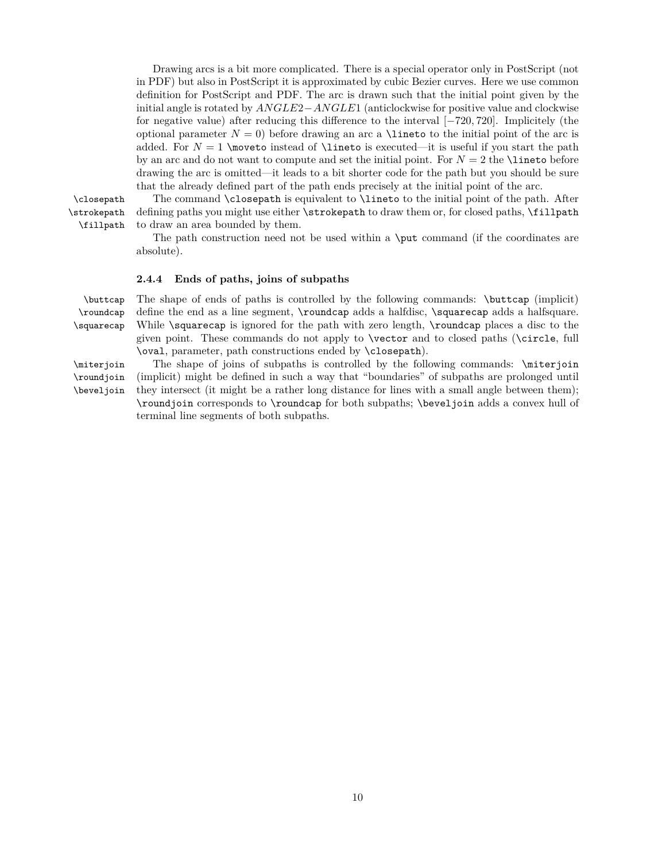Drawing arcs is a bit more complicated. There is a special operator only in PostScript (not in PDF) but also in PostScript it is approximated by cubic Bezier curves. Here we use common definition for PostScript and PDF. The arc is drawn such that the initial point given by the initial angle is rotated by *ANGLE*2−*ANGLE*1 (anticlockwise for positive value and clockwise for negative value) after reducing this difference to the interval [−720*,* 720]. Implicitely (the optional parameter  $N = 0$ ) before drawing an arc a **\lineto** to the initial point of the arc is added. For  $N = 1$  \moveto instead of \lineto is executed—it is useful if you start the path by an arc and do not want to compute and set the initial point. For  $N = 2$  the **\lineto** before drawing the arc is omitted—it leads to a bit shorter code for the path but you should be sure that the already defined part of the path ends precisely at the initial point of the arc.

\strokepath \fillpath

\closepath The command \closepath is equivalent to \lineto to the initial point of the path. After defining paths you might use either **\strokepath** to draw them or, for closed paths, **\fillpath** to draw an area bounded by them.

<span id="page-9-3"></span>The path construction need not be used within a \put command (if the coordinates are absolute).

## <span id="page-9-2"></span><span id="page-9-0"></span>**2.4.4 Ends of paths, joins of subpaths**

\buttcap The shape of ends of paths is controlled by the following commands: \buttcap (implicit) \roundcap \squarecap define the end as a line segment, \roundcap adds a halfdisc, \squarecap adds a halfsquare. While \squarecap is ignored for the path with zero length, \roundcap places a disc to the given point. These commands do not apply to \vector and to closed paths (\circle, full \oval, parameter, path constructions ended by \closepath).

<span id="page-9-1"></span>\miterjoin The shape of joins of subpaths is controlled by the following commands: \miterjoin (implicit) might be defined in such a way that "boundaries" of subpaths are prolonged until they intersect (it might be a rather long distance for lines with a small angle between them); \roundjoin corresponds to \roundcap for both subpaths; \beveljoin adds a convex hull of terminal line segments of both subpaths.

\roundjoin \beveljoin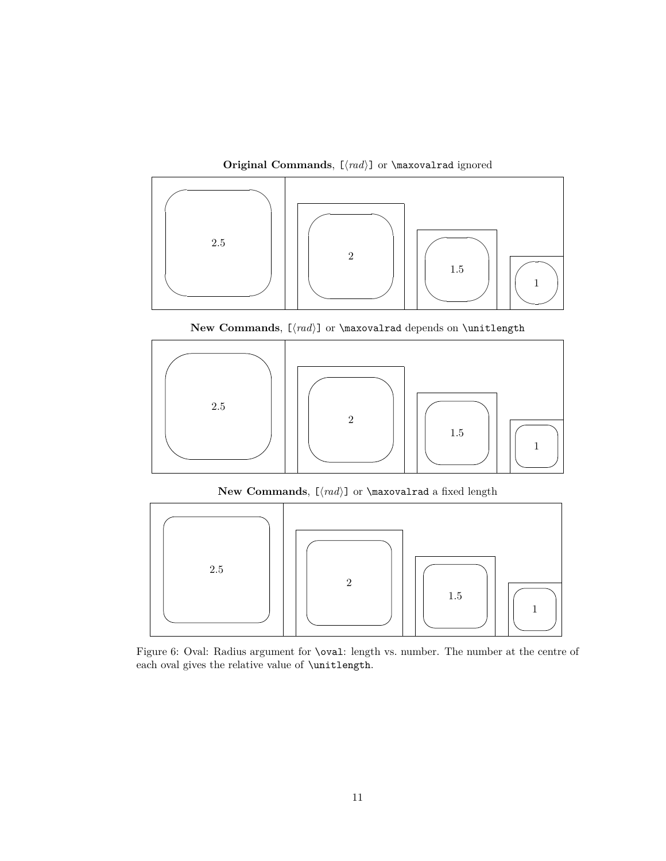**Original Commands**,  $[\langle rad \rangle]$  or **\maxovalrad** ignored



New Commands,  $[\langle rad \rangle]$  or \maxovalrad depends on \unitlength



**New Commands**,  $[\langle rad \rangle]$  or **\maxovalrad** a fixed length



<span id="page-10-0"></span>Figure 6: Oval: Radius argument for \oval: length vs. number. The number at the centre of each oval gives the relative value of \unitlength.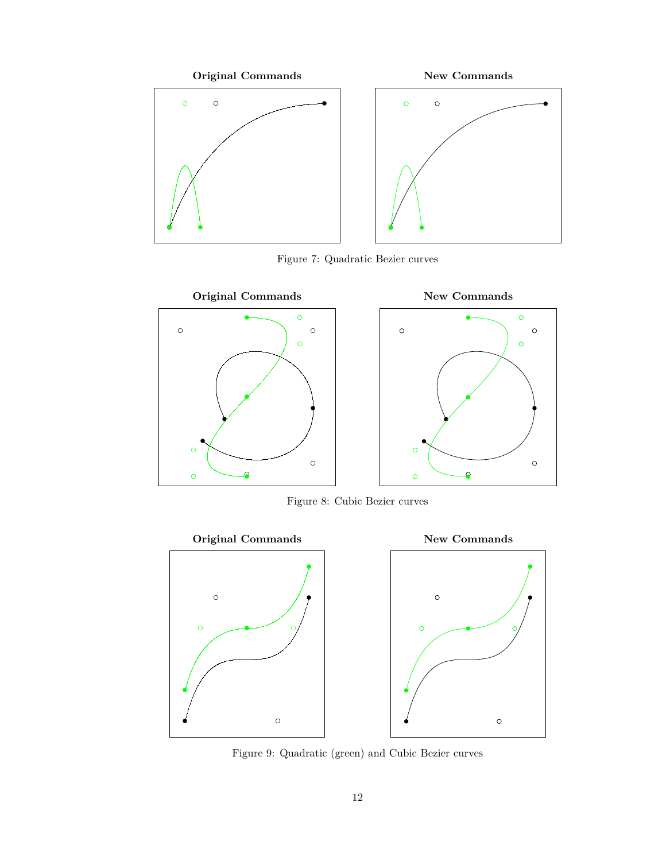

<span id="page-11-0"></span>Figure 7: Quadratic Bezier curves



<span id="page-11-1"></span>Figure 8: Cubic Bezier curves



<span id="page-11-2"></span>Figure 9: Quadratic (green) and Cubic Bezier curves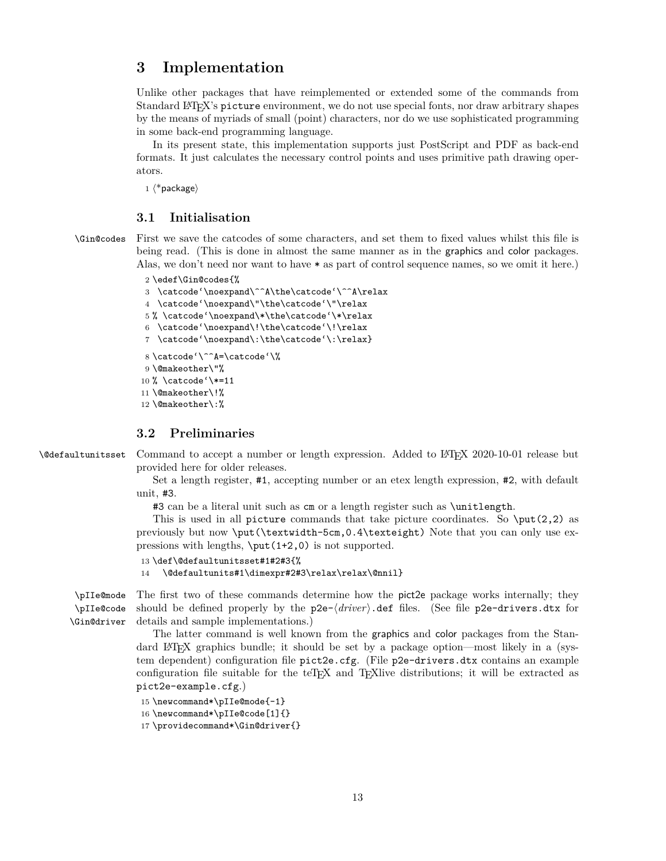## <span id="page-12-3"></span><span id="page-12-0"></span>**3 Implementation**

Unlike other packages that have reimplemented or extended some of the commands from Standard L<sup>AT</sup>EX's picture environment, we do not use special fonts, nor draw arbitrary shapes by the means of myriads of small (point) characters, nor do we use sophisticated programming in some back-end programming language.

In its present state, this implementation supports just PostScript and PDF as back-end formats. It just calculates the necessary control points and uses primitive path drawing operators.

1  $\langle$ \*package $\rangle$ 

## <span id="page-12-1"></span>**3.1 Initialisation**

<span id="page-12-16"></span>\Gin@codes First we save the catcodes of some characters, and set them to fixed values whilst this file is being read. (This is done in almost the same manner as in the graphics and color packages. Alas, we don't need nor want to have \* as part of control sequence names, so we omit it here.)

2 \edef\Gin@codes{%

```
3 \catcode'\noexpand\^^A\the\catcode'\^^A\relax
4 \catcode'\noexpand\"\the\catcode'\"\relax
5 % \catcode'\noexpand\*\the\catcode'\*\relax
6 \catcode'\noexpand\!\the\catcode'\!\relax
7 \catcode'\noexpand\:\the\catcode'\:\relax}
8 \catcode'\^^A=\catcode'\%
9 \@makeother\"%
10 % \catcode'\*=11
11 \@makeother\!%
12 \@makeother\:%
```
## <span id="page-12-12"></span><span id="page-12-10"></span><span id="page-12-7"></span><span id="page-12-5"></span><span id="page-12-2"></span>**3.2 Preliminaries**

<span id="page-12-14"></span>\@defaultunitsset Command to accept a number or length expression. Added to LATEX 2020-10-01 release but provided here for older releases.

> Set a length register, #1, accepting number or an etex length expression, #2, with default unit, #3.

#3 can be a literal unit such as cm or a length register such as \unitlength.

This is used in all picture commands that take picture coordinates. So  $\put(2,2)$  as previously but now \put(\textwidth-5cm,0.4\texteight) Note that you can only use expressions with lengths, \put(1+2,0) is not supported.

```
13 \def\@defaultunitsset#1#2#3{%
```
<span id="page-12-13"></span>14 \@defaultunits#1\dimexpr#2#3\relax\relax\@nnil}

<span id="page-12-19"></span><span id="page-12-18"></span><span id="page-12-17"></span>\pIIe@mode \pIIe@code \Gin@driver The first two of these commands determine how the pict2e package works internally; they should be defined properly by the  $p2e-\langle driver\rangle$ .def files. (See file  $p2e-drivers.dx$  for details and sample implementations.)

The latter command is well known from the graphics and color packages from the Standard LATEX graphics bundle; it should be set by a package option—most likely in a (system dependent) configuration file pict2e.cfg. (File p2e-drivers.dtx contains an example configuration file suitable for the teTEX and TEXlive distributions; it will be extracted as pict2e-example.cfg.)

```
15 \newcommand*\pIIe@mode{-1}
```

```
16 \newcommand*\pIIe@code[1]{}
```

```
17 \providecommand*\Gin@driver{}
```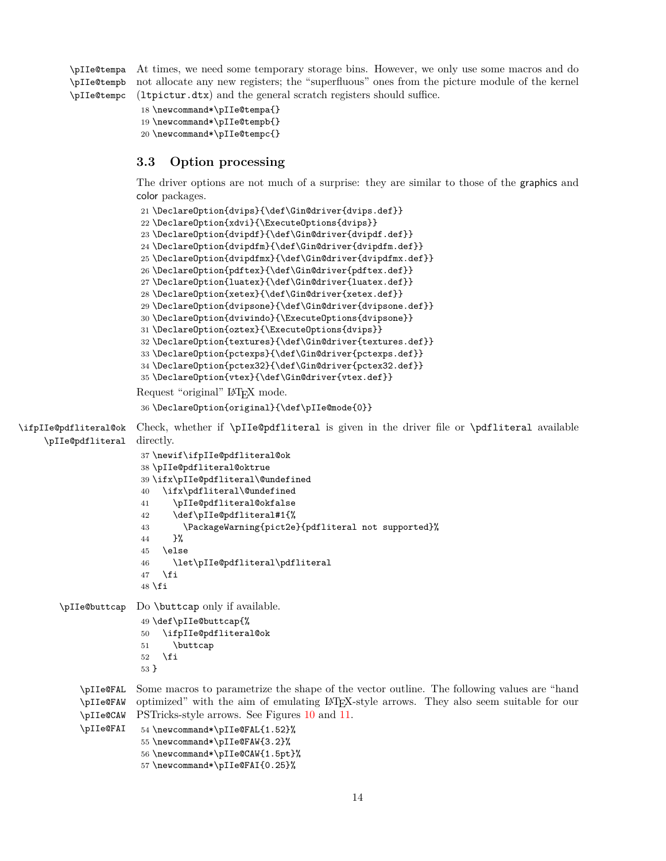<span id="page-13-32"></span><span id="page-13-31"></span><span id="page-13-30"></span><span id="page-13-1"></span>\pIIe@tempa At times, we need some temporary storage bins. However, we only use some macros and do \pIIe@tempb \pIIe@tempc not allocate any new registers; the "superfluous" ones from the picture module of the kernel (ltpictur.dtx) and the general scratch registers should suffice.

```
18 \newcommand*\pIIe@tempa{}
19 \newcommand*\pIIe@tempb{}
20 \newcommand*\pIIe@tempc{}
```
## <span id="page-13-0"></span>**3.3 Option processing**

<span id="page-13-26"></span><span id="page-13-16"></span><span id="page-13-15"></span><span id="page-13-14"></span><span id="page-13-13"></span><span id="page-13-12"></span><span id="page-13-11"></span><span id="page-13-10"></span><span id="page-13-9"></span><span id="page-13-8"></span><span id="page-13-7"></span><span id="page-13-6"></span><span id="page-13-5"></span>The driver options are not much of a surprise: they are similar to those of the graphics and color packages.

```
21 \DeclareOption{dvips}{\def\Gin@driver{dvips.def}}
                        22 \DeclareOption{xdvi}{\ExecuteOptions{dvips}}
                        23 \DeclareOption{dvipdf}{\def\Gin@driver{dvipdf.def}}
                        24 \DeclareOption{dvipdfm}{\def\Gin@driver{dvipdfm.def}}
                        25 \DeclareOption{dvipdfmx}{\def\Gin@driver{dvipdfmx.def}}
                        26 \DeclareOption{pdftex}{\def\Gin@driver{pdftex.def}}
                        27 \DeclareOption{luatex}{\def\Gin@driver{luatex.def}}
                        28 \DeclareOption{xetex}{\def\Gin@driver{xetex.def}}
                        29 \DeclareOption{dvipsone}{\def\Gin@driver{dvipsone.def}}
                        30 \DeclareOption{dviwindo}{\ExecuteOptions{dvipsone}}
                        31 \DeclareOption{oztex}{\ExecuteOptions{dvips}}
                        32 \DeclareOption{textures}{\def\Gin@driver{textures.def}}
                        33 \DeclareOption{pctexps}{\def\Gin@driver{pctexps.def}}
                        34 \DeclareOption{pctex32}{\def\Gin@driver{pctex32.def}}
                        35 \DeclareOption{vtex}{\def\Gin@driver{vtex.def}}
                       Request "original" LAT<sub>EX</sub> mode.
                        36 \DeclareOption{original}{\def\pIIe@mode{0}}
\ifpIIe@pdfliteral@ok
     \pIIe@pdfliteral
                       Check, whether if \pIIe@pdfliteral is given in the driver file or \pdfliteral available
                       directly.
                        37 \newif\ifpIIe@pdfliteral@ok
                        38 \pIIe@pdfliteral@oktrue
                        39 \ifx\pIIe@pdfliteral\@undefined
                        40 \ifx\pdfliteral\@undefined
                        41 \pIIe@pdfliteral@okfalse
                        42 \def\pIIe@pdfliteral#1{%
                        43 \PackageWarning{pict2e}{pdfliteral not supported}%
                        44 }%
                        45 \else
                        46 \let\pIIe@pdfliteral\pdfliteral
                        47 \fi
                        48 \fi
        \pIIe@buttcap Do \buttcap only if available.
                        49 \def\pIIe@buttcap{%
                        50 \ifpIIe@pdfliteral@ok
                        51 \buttcap
                        52 \overline{f}53 }
            \pIIe@FAL
            \pIIe@FAW
            \pIIe@CAW
            \pIIe@FAI
                       Some macros to parametrize the shape of the vector outline. The following values are "hand
                       optimized" with the aim of emulating LAT<sub>EX</sub>-style arrows. They also seem suitable for our
                       PSTricks-style arrows. See Figures 10 and 11.
                        54 \newcommand*\pIIe@FAL{1.52}%
                        55 \newcommand*\pIIe@FAW{3.2}%
                        56 \newcommand*\pIIe@CAW{1.5pt}%
                        57 \newcommand*\pIIe@FAI{0.25}%
```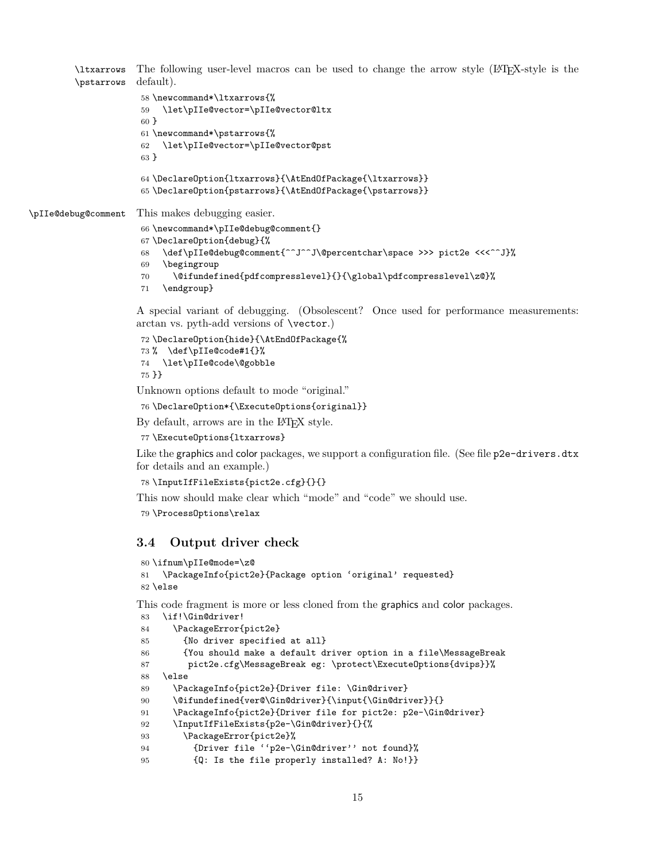<span id="page-14-16"></span><span id="page-14-15"></span><span id="page-14-14"></span><span id="page-14-9"></span><span id="page-14-1"></span>\ltxarrows The following user-level macros can be used to change the arrow style (LATEX-style is the \pstarrows default). \newcommand\*\ltxarrows{%

```
59 \let\pIIe@vector=\pIIe@vector@ltx
                     60 }
                     61 \newcommand*\pstarrows{%
                     62 \let\pIIe@vector=\pIIe@vector@pst
                     63 }
                     64 \DeclareOption{ltxarrows}{\AtEndOfPackage{\ltxarrows}}
                     65 \DeclareOption{pstarrows}{\AtEndOfPackage{\pstarrows}}
\pIIe@debug@comment This makes debugging easier.
                     66 \newcommand*\pIIe@debug@comment{}
                     67 \DeclareOption{debug}{%
                     68 \def\pIIe@debug@comment{^^J^^J\@percentchar\space >>> pict2e <<<^^J}%
                     69 \begingroup
                     70 \@ifundefined{pdfcompresslevel}{}{\global\pdfcompresslevel\z@}%
```
<span id="page-14-17"></span><span id="page-14-10"></span>\endgroup}

A special variant of debugging. (Obsolescent? Once used for performance measurements: arctan vs. pyth-add versions of \vector.)

```
72 \DeclareOption{hide}{\AtEndOfPackage{%
73 % \def\pIIe@code#1{}%
74 \let\pIIe@code\@gobble
75 }}
```
Unknown options default to mode "original."

```
76 \DeclareOption*{\ExecuteOptions{original}}
```
By default, arrows are in the L<sup>AT</sup>EX style.

```
77 \ExecuteOptions{ltxarrows}
```
Like the graphics and color packages, we support a configuration file. (See file p2e-drivers.dtx for details and an example.)

```
78 \InputIfFileExists{pict2e.cfg}{}{}
```
This now should make clear which "mode" and "code" we should use.

```
79 \ProcessOptions\relax
```
## <span id="page-14-0"></span>**3.4 Output driver check**

```
80 \ifnum\pIIe@mode=\z@
81 \PackageInfo{pict2e}{Package option 'original' requested}
82 \else
```
This code fragment is more or less cloned from the graphics and color packages.

```
83 \if!\Gin@driver!
84 \PackageError{pict2e}
85 {No driver specified at all}
86 {You should make a default driver option in a file\MessageBreak
87 pict2e.cfg\MessageBreak eg: \protect\ExecuteOptions{dvips}}%
88 \else
89 \PackageInfo{pict2e}{Driver file: \Gin@driver}
90 \@ifundefined{ver@\Gin@driver}{\input{\Gin@driver}}{}
91 \PackageInfo{pict2e}{Driver file for pict2e: p2e-\Gin@driver}
92 \InputIfFileExists{p2e-\Gin@driver}{}{%
93 \PackageError{pict2e}%
94 {Driver file ''p2e-\Gin@driver'' not found}%
95 {Q: Is the file properly installed? A: No!}}
```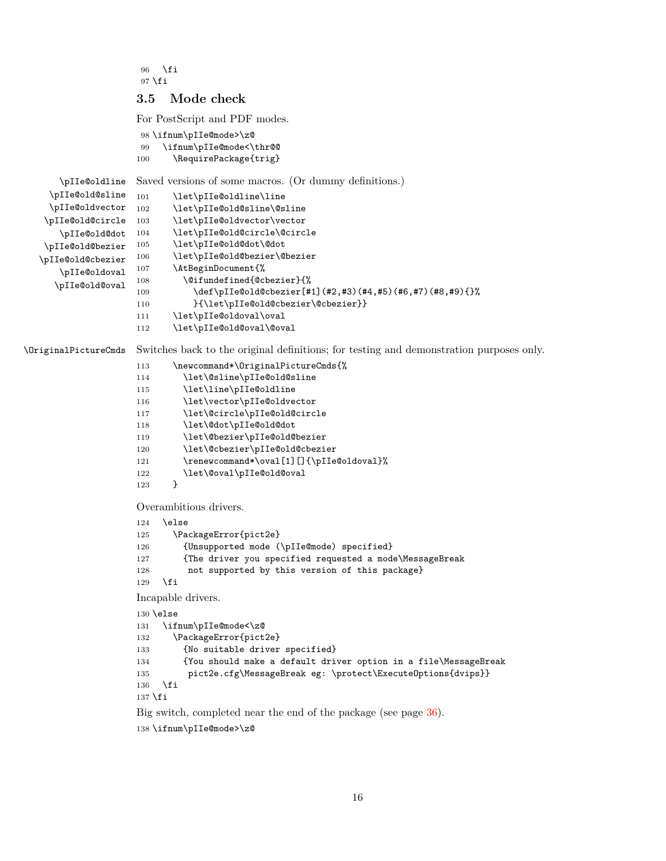```
96 \fi
97 \fi
```
## <span id="page-15-0"></span>**3.5 Mode check**

<span id="page-15-33"></span><span id="page-15-19"></span><span id="page-15-18"></span><span id="page-15-13"></span><span id="page-15-11"></span><span id="page-15-7"></span><span id="page-15-5"></span><span id="page-15-1"></span>For PostScript and PDF modes.

```
98 \ifnum\pIIe@mode>\z@
                  99 \ifnum\pIIe@mode<\thr@@
                 100 \RequirePackage{trig}
   \pIIe@oldline
 \pIIe@old@sline
 \pIIe@oldvector
\pIIe@old@circle
   \pIIe@old@dot
\pIIe@old@bezier
\pIIe@old@cbezier
   \pIIe@oldoval
  \pIIe@old@oval
                 Saved versions of some macros. (Or dummy definitions.)
                 101 \let\pIIe@oldline\line
                 102 \let\pIIe@old@sline\@sline
                 103 \let\pIIe@oldvector\vector
                 104 \let\pIIe@old@circle\@circle
                 105 \let\pIIe@old@dot\@dot
                 106 \let\pIIe@old@bezier\@bezier
                 107 \AtBeginDocument{%
                 108 \@ifundefined{@cbezier}{%
                 109 \def\pIIe@old@cbezier[#1](#2,#3)(#4,#5)(#6,#7)(#8,#9){}%
                 110 }{\let\pIIe@old@cbezier\@cbezier}}
                 111 \let\pIIe@oldoval\oval
                 112 \let\pIIe@old@oval\@oval
```
<span id="page-15-30"></span><span id="page-15-27"></span><span id="page-15-24"></span><span id="page-15-15"></span>\OriginalPictureCmds Switches back to the original definitions; for testing and demonstration purposes only.

```
113 \newcommand*\OriginalPictureCmds{%
114 \let\@sline\pIIe@old@sline
115 \let\line\pIIe@oldline
116 \let\vector\pIIe@oldvector
117 \let\@circle\pIIe@old@circle
118 \let\@dot\pIIe@old@dot
119 \let\@bezier\pIIe@old@bezier
120 \let\@cbezier\pIIe@old@cbezier
121 \renewcommand*\oval[1][]{\pIIe@oldoval}%
122 \let\@oval\pIIe@old@oval
123 }
Overambitious drivers.
124 \else
125 \PackageError{pict2e}
126 {Unsupported mode (\pIIe@mode) specified}
127 {The driver you specified requested a mode\MessageBreak
128 not supported by this version of this package}
129 \foralli
Incapable drivers.
130 \else
131 \ifnum\pIIe@mode<\z@
132 \PackageError{pict2e}
133 {No suitable driver specified}
134 {You should make a default driver option in a file\MessageBreak
135 pict2e.cfg\MessageBreak eg: \protect\ExecuteOptions{dvips}}
136 \fi
137 \fi
Big switch, completed near the end of the package (see page 36).
```

```
138 \ifnum\pIIe@mode>\z@
```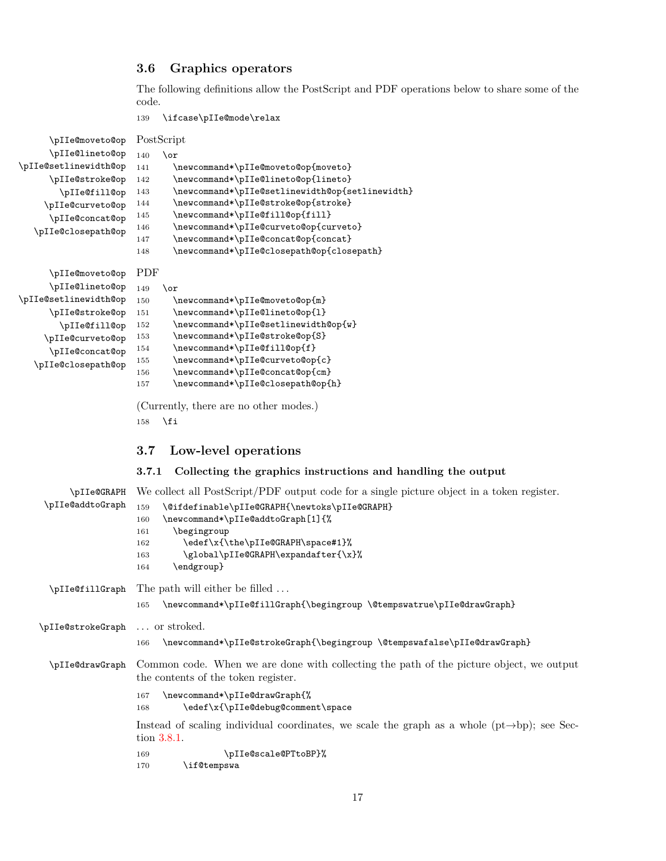## <span id="page-16-3"></span><span id="page-16-0"></span>**3.6 Graphics operators**

The following definitions allow the PostScript and PDF operations below to share some of the code.

<span id="page-16-21"></span><span id="page-16-1"></span>139 \ifcase\pIIe@mode\relax

<span id="page-16-29"></span><span id="page-16-28"></span><span id="page-16-27"></span><span id="page-16-26"></span><span id="page-16-25"></span><span id="page-16-24"></span><span id="page-16-23"></span><span id="page-16-22"></span><span id="page-16-20"></span><span id="page-16-19"></span><span id="page-16-18"></span><span id="page-16-17"></span><span id="page-16-16"></span><span id="page-16-15"></span><span id="page-16-14"></span><span id="page-16-13"></span><span id="page-16-12"></span><span id="page-16-11"></span><span id="page-16-10"></span><span id="page-16-9"></span><span id="page-16-8"></span><span id="page-16-7"></span><span id="page-16-6"></span><span id="page-16-5"></span><span id="page-16-4"></span><span id="page-16-2"></span>

| \pIIe@moveto@op PostScript |                                                                                                           |
|----------------------------|-----------------------------------------------------------------------------------------------------------|
| \pIIe@lineto@op            | 140<br>$\alpha$                                                                                           |
| \pIIe@setlinewidth@op      | \newcommand*\pIIe@moveto@op{moveto}<br>141                                                                |
| \pIIe@stroke@op            | \newcommand*\pIIe@lineto@op{lineto}<br>142                                                                |
| \pIIe@fill@op              | \newcommand*\pIIe@setlinewidth@op{setlinewidth}<br>143                                                    |
|                            | \newcommand*\pIIe@stroke@op{stroke}<br>144                                                                |
| \pIIe@curveto@op           | \newcommand*\pIIe@fill@op{fill}<br>145                                                                    |
| \pIIe@concat@op            | \newcommand*\pIIe@curveto@op{curveto}<br>146                                                              |
| \pIIe@closepath@op         | \newcommand*\pIIe@concat@op{concat}<br>147                                                                |
|                            | \newcommand*\pIIe@closepath@op{closepath}<br>148                                                          |
|                            |                                                                                                           |
| \pIIe@moveto@op            | PDF                                                                                                       |
| \pIIe@lineto@op            | 149<br>\or                                                                                                |
| \pIIe@setlinewidth@op      | \newcommand*\pIIe@moveto@op{m}<br>150                                                                     |
| \pIIe@stroke@op            | \newcommand*\pIIe@lineto@op{1}                                                                            |
|                            | 151<br>\newcommand*\pIIe@setlinewidth@op{w}<br>152                                                        |
| \pIIe@fill@op              | \newcommand*\pIIe@stroke@op{S}<br>153                                                                     |
| \pIIe@curveto@op           | \newcommand*\pIIe@fill@op{f}<br>154                                                                       |
| \pIIe@concat@op            | \newcommand*\pIIe@curveto@op{c}<br>155                                                                    |
| \pIIe@closepath@op         | \newcommand*\pIIe@concat@op{cm}                                                                           |
|                            | 156<br>\newcommand*\pIIe@closepath@op{h}<br>157                                                           |
|                            |                                                                                                           |
|                            | (Currently, there are no other modes.)                                                                    |
|                            | \fi<br>158                                                                                                |
|                            |                                                                                                           |
|                            |                                                                                                           |
|                            | 3.7<br>Low-level operations                                                                               |
|                            |                                                                                                           |
|                            | Collecting the graphics instructions and handling the output<br>3.7.1                                     |
|                            |                                                                                                           |
| \pIIe@GRAPH                | We collect all PostScript/PDF output code for a single picture object in a token register.                |
| \pIIe@addtoGraph           | 159<br>\@ifdefinable\pIIe@GRAPH{\newtoks\pIIe@GRAPH}                                                      |
|                            | \newcommand*\pIIe@addtoGraph[1]{%<br>160                                                                  |
|                            | \begingroup<br>161                                                                                        |
|                            | \edef\x{\the\pIIe@GRAPH\space#1}%<br>162                                                                  |
|                            | \global\pIIe@GRAPH\expandafter{\x}%<br>163                                                                |
|                            | \endgroup}<br>164                                                                                         |
|                            |                                                                                                           |
| \pIIe@fillGraph            | The path will either be filled                                                                            |
|                            | \newcommand*\pIIe@fillGraph{\begingroup \@tempswatrue\pIIe@drawGraph}<br>165                              |
|                            |                                                                                                           |
| \pIIe@strokeGraph          | or stroked.                                                                                               |
|                            | \newcommand*\pIIe@strokeGraph{\begingroup \@tempswafalse\pIIe@drawGraph}<br>166                           |
|                            |                                                                                                           |
| \pIIe@drawGraph            | Common code. When we are done with collecting the path of the picture object, we output                   |
|                            | the contents of the token register.                                                                       |
|                            | \newcommand*\pIIe@drawGraph{%<br>167                                                                      |
|                            | \edef\x{\pIIe@debug@comment\space<br>168                                                                  |
|                            |                                                                                                           |
|                            | Instead of scaling individual coordinates, we scale the graph as a whole $(pt \rightarrow bp)$ ; see Sec- |
|                            | tion 3.8.1.                                                                                               |
|                            | \pIIe@scale@PTtoBP}%<br>169                                                                               |
|                            | \if@tempswa<br>170                                                                                        |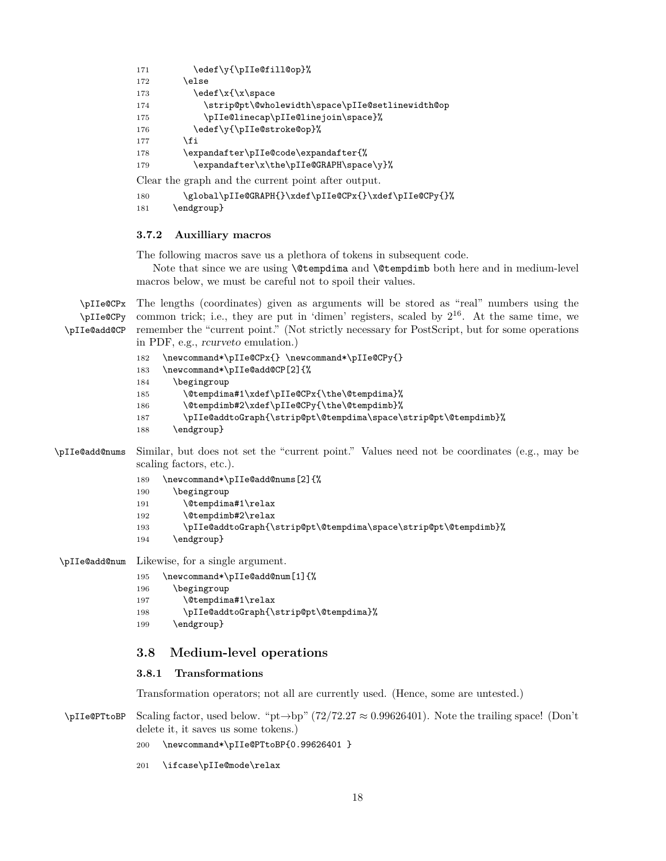```
171 \edef\y{\pIIe@fill@op}%
172 \else
173 \ede f\ x\{\x\space \pmod{ }174 \strip@pt\@wholewidth\space\pIIe@setlinewidth@op
175 \pIIe@linecap\pIIe@linejoin\space}%
176 \edef\y{\pIIe@stroke@op}%
177 \fi
178 \expandafter\pIIe@code\expandafter{%
179 \expandafter\x\the\pIIe@GRAPH\space\y}%
Clear the graph and the current point after output.
```
<span id="page-17-15"></span><span id="page-17-11"></span><span id="page-17-10"></span>180 \global\pIIe@GRAPH{}\xdef\pIIe@CPx{}\xdef\pIIe@CPy{}%

```
181 \endgroup}
```
## <span id="page-17-0"></span>**3.7.2 Auxilliary macros**

The following macros save us a plethora of tokens in subsequent code.

Note that since we are using \@tempdima and \@tempdimb both here and in medium-level macros below, we must be careful not to spoil their values.

<span id="page-17-13"></span><span id="page-17-12"></span><span id="page-17-7"></span><span id="page-17-6"></span><span id="page-17-4"></span>

| \pIIe@CPx      | The lengths (coordinates) given as arguments will be stored as "real" numbers using the                                |
|----------------|------------------------------------------------------------------------------------------------------------------------|
| \pIIe@CPy      | common trick; i.e., they are put in 'dimen' registers, scaled by $2^{16}$ . At the same time, we                       |
| \pIIe@add@CP   | remember the "current point." (Not strictly necessary for PostScript, but for some operations                          |
|                | in PDF, e.g., <i>reurveto</i> emulation.)                                                                              |
|                | \newcommand*\pIIe@CPx{} \newcommand*\pIIe@CPy{}<br>182                                                                 |
|                | \newcommand*\pIIe@add@CP[2]{%<br>183                                                                                   |
|                | \begingroup<br>184                                                                                                     |
|                | \@tempdima#1\xdef\pIIe@CPx{\the\@tempdima}%<br>185                                                                     |
|                | \@tempdimb#2\xdef\pIIe@CPy{\the\@tempdimb}%<br>186                                                                     |
|                | \pIIe@addtoGraph{\strip@pt\@tempdima\space\strip@pt\@tempdimb}%<br>187                                                 |
|                | \endgroup}<br>188                                                                                                      |
| \pIIe@add@nums | Similar, but does not set the "current point." Values need not be coordinates (e.g., may be<br>scaling factors, etc.). |
|                | \newcommand*\pIIe@add@nums[2]{%<br>189                                                                                 |
|                | \begingroup<br>190                                                                                                     |
|                | \@tempdima#1\relax<br>191                                                                                              |
|                | \@tempdimb#2\relax<br>192                                                                                              |
|                | \pIIe@addtoGraph{\strip@pt\@tempdima\space\strip@pt\@tempdimb}%<br>193                                                 |
|                | \endgroup}<br>194                                                                                                      |
| \pIIe@add@num  | Likewise, for a single argument.                                                                                       |
|                | \newcommand*\pIIe@add@num[1]{%<br>195                                                                                  |
|                | \begingroup<br>196                                                                                                     |
|                | \@tempdima#1\relax<br>197                                                                                              |
|                | \pIIe@addtoGraph{\strip@pt\@tempdima}%<br>198                                                                          |
|                | \endgroup}<br>199                                                                                                      |
|                | 3.8<br>Medium-level operations                                                                                         |
|                | 3.8.1<br>Transformations                                                                                               |
|                | Transformation operators; not all are currently used. (Hence, some are untested.)                                      |
| \pIIe@PTtoBP   | Scaling factor, used below. " $pt \rightarrow bp$ " (72/72.27 $\approx 0.99626401$ ). Note the trailing space! (Don't  |

<span id="page-17-18"></span><span id="page-17-9"></span><span id="page-17-8"></span><span id="page-17-5"></span><span id="page-17-2"></span><span id="page-17-1"></span>delete it, it saves us some tokens.)

200 \newcommand\*\pIIe@PTtoBP{0.99626401 }

<span id="page-17-17"></span>201 \ifcase\pIIe@mode\relax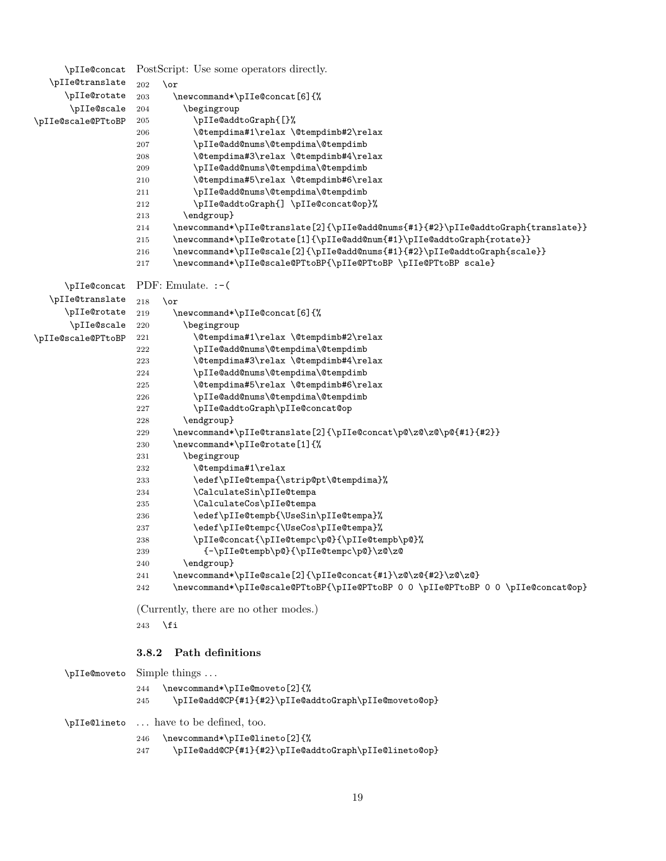```
\pIIe@concat
PostScript: Use some operators directly.
  \pIIe@translate
     \pIIe@rotate
      \pIIe@scale
\pIIe@scale@PTtoBP
                 202 \, \or
                 203 \newcommand*\pIIe@concat[6]{%
                 204 \begingroup
                 205 \pIIe@addtoGraph{[}%
                 206 \@tempdima#1\relax \@tempdimb#2\relax
                 207 \pIIe@add@nums\@tempdima\@tempdimb
                 208 \@tempdima#3\relax \@tempdimb#4\relax
                 209 \pIIe@add@nums\@tempdima\@tempdimb
                 210 \@tempdima#5\relax \@tempdimb#6\relax
                 211 \pIIe@add@nums\@tempdima\@tempdimb
                 212 \pIIe@addtoGraph{] \pIIe@concat@op}%
                 213 \endgroup}
                 214 \newcommand*\pIIe@translate[2]{\pIIe@add@nums{#1}{#2}\pIIe@addtoGraph{translate}}
                 215 \newcommand*\pIIe@rotate[1]{\pIIe@add@num{#1}\pIIe@addtoGraph{rotate}}
                 216 \newcommand*\pIIe@scale[2]{\pIIe@add@nums{#1}{#2}\pIIe@addtoGraph{scale}}
                 217 \newcommand*\pIIe@scale@PTtoBP{\pIIe@PTtoBP \pIIe@PTtoBP scale}
     \pIIe@concat
PDF: Emulate. :-(
  \pIIe@translate
     \pIIe@rotate
      \pIIe@scale 220
\pIIe@scale@PTtoBP 221
                 218 \or
                 219 \newcommand*\pIIe@concat[6]{%
                          \begingroup
                            \@tempdima#1\relax \@tempdimb#2\relax
                 222 \pIIe@add@nums\@tempdima\@tempdimb
                 223 \@tempdima#3\relax \@tempdimb#4\relax
                 224 \pIIe@add@nums\@tempdima\@tempdimb
                 225 \@tempdima#5\relax \@tempdimb#6\relax
                 226 \pIIe@add@nums\@tempdima\@tempdimb
                 227 \pIIe@addtoGraph\pIIe@concat@op
                 228 \endgroup}
                 229 \qquad \texttt{\#2}}230 \newcommand*\pIIe@rotate[1]{%
                 231 \begingroup
                 232 \@tempdima#1\relax
                 233 \edef\pIIe@tempa{\strip@pt\@tempdima}%
                 234 \CalculateSin\pIIe@tempa
                 235 \CalculateCos\pIIe@tempa
                 236 \edef\pIIe@tempb{\UseSin\pIIe@tempa}%
                 237 \edef\pIIe@tempc{\UseCos\pIIe@tempa}%
                 238 \pIIe@concat{\pIIe@tempc\p@}{\pIIe@tempb\p@}%
                 239 {-\pIIe@tempb\p@}{\pIIe@tempc\p@}\z@\z@
                 240 \endgroup}
                 241 \newcommand*\pIIe@scale[2]{\pIIe@concat{#1}\z@\z@{#2}\z@\z@}
                 242 \newcommand*\pIIe@scale@PTtoBP{\pIIe@PTtoBP 0 0 \pIIe@PTtoBP 0 0 \pIIe@concat@op}
                 (Currently, there are no other modes.)
                 243 \setminusfi
                 3.8.2 Path definitions
     \pIIe@moveto Simple things . . .
                 244 \newcommand*\pIIe@moveto[2]{%
                 245 \pIIe@add@CP{#1}{#2}\pIIe@addtoGraph\pIIe@moveto@op}
     \pIIe@lineto . . . have to be defined, too.
                 246 \newcommand*\pIIe@lineto[2]{%
                 247 \pIIe@add@CP{#1}{#2}\pIIe@addtoGraph\pIIe@lineto@op}
```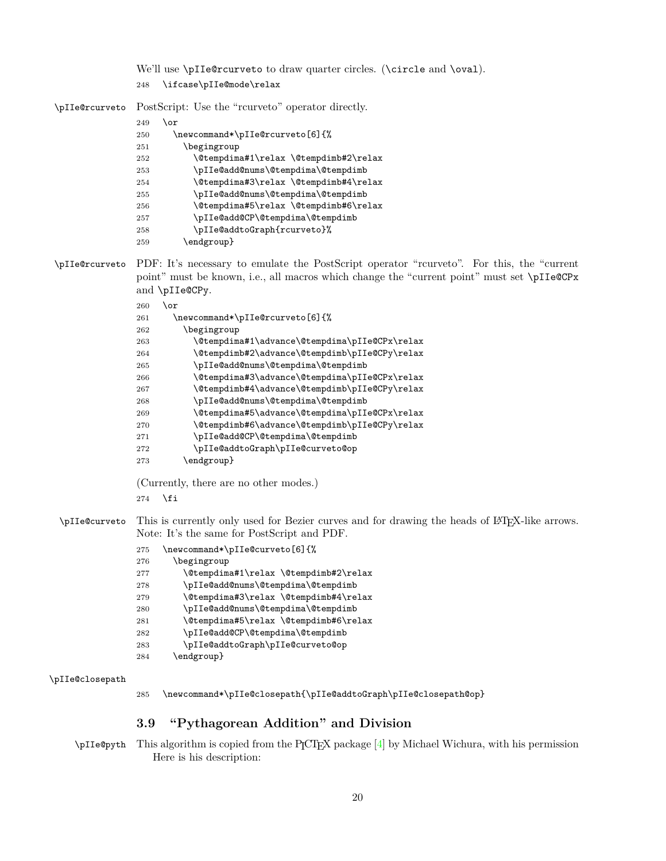<span id="page-19-22"></span>We'll use \pIIe@rcurveto to draw quarter circles. (\circle and \oval). \ifcase\pIIe@mode\relax

<span id="page-19-24"></span>\pIIe@rcurveto PostScript: Use the "rcurveto" operator directly.

#### \or

<span id="page-19-5"></span><span id="page-19-4"></span><span id="page-19-1"></span>

| 250 | \newcommand*\pIIe@rcurveto[6]{%       |
|-----|---------------------------------------|
| 251 | \begingroup                           |
| 252 | \@tempdima#1\relax \@tempdimb#2\relax |
| 253 | \pIIe@add@nums\@tempdima\@tempdimb    |
| 254 | \@tempdima#3\relax \@tempdimb#4\relax |
| 255 | \pIIe@add@nums\@tempdima\@tempdimb    |
| 256 | \@tempdima#5\relax \@tempdimb#6\relax |
| 257 | \pIIe@add@CP\@tempdima\@tempdimb      |
| 258 | \pIIe@addtoGraph{rcurveto}%           |
| 259 | \endgroup}                            |

<span id="page-19-25"></span>\pIIe@rcurveto PDF: It's necessary to emulate the PostScript operator "rcurveto". For this, the "current point" must be known, i.e., all macros which change the "current point" must set \pIIe@CPx and \pIIe@CPy.

## <span id="page-19-10"></span> $260 \,$  \or

<span id="page-19-19"></span><span id="page-19-18"></span><span id="page-19-16"></span><span id="page-19-15"></span><span id="page-19-7"></span><span id="page-19-6"></span>

| 261 | \newcommand*\pIIe@rcurveto[6]{%               |
|-----|-----------------------------------------------|
| 262 | \begingroup                                   |
| 263 | \@tempdima#1\advance\@tempdima\pIIe@CPx\relax |
| 264 | \@tempdimb#2\advance\@tempdimb\pIIe@CPy\relax |
| 265 | \pIIe@add@nums\@tempdima\@tempdimb            |
| 266 | \@tempdima#3\advance\@tempdima\pIIe@CPx\relax |
| 267 | \@tempdimb#4\advance\@tempdimb\pIIe@CPy\relax |
| 268 | \pIIe@add@nums\@tempdima\@tempdimb            |
| 269 | \@tempdima#5\advance\@tempdima\pIIe@CPx\relax |
| 270 | \@tempdimb#6\advance\@tempdimb\pIIe@CPy\relax |
| 271 | \pIIe@add@CP\@tempdima\@tempdimb              |
| 272 | \pIIe@addtoGraph\pIIe@curveto@op              |
| 273 | \endgroup}                                    |

<span id="page-19-20"></span><span id="page-19-17"></span><span id="page-19-11"></span><span id="page-19-2"></span>(Currently, there are no other modes.)

\fi

<span id="page-19-21"></span>\pIIe@curveto This is currently only used for Bezier curves and for drawing the heads of L<sup>AT</sup>FX-like arrows. Note: It's the same for PostScript and PDF.

<span id="page-19-9"></span><span id="page-19-8"></span>

| 275 | \newcommand*\pIIe@curveto[6]{%        |
|-----|---------------------------------------|
| 276 | \begingroup                           |
| 277 | \@tempdima#1\relax \@tempdimb#2\relax |
| 278 | \pIIe@add@nums\@tempdima\@tempdimb    |
| 279 | \@tempdima#3\relax \@tempdimb#4\relax |
| 280 | \pIIe@add@nums\@tempdima\@tempdimb    |
| 281 | \@tempdima#5\relax \@tempdimb#6\relax |
| 282 | \pIIe@add@CP\@tempdima\@tempdimb      |
| 283 | \pIIe@addtoGraph\pIIe@curveto@op      |
| 284 | \endgroup}                            |

#### <span id="page-19-14"></span>\pIIe@closepath

<span id="page-19-13"></span><span id="page-19-12"></span><span id="page-19-3"></span>\newcommand\*\pIIe@closepath{\pIIe@addtoGraph\pIIe@closepath@op}

## <span id="page-19-0"></span>**3.9 "Pythagorean Addition" and Division**

<span id="page-19-23"></span>\pIIe@pyth This algorithm is copied from the PICTEX package [\[4\]](#page-35-7) by Michael Wichura, with his permission Here is his description: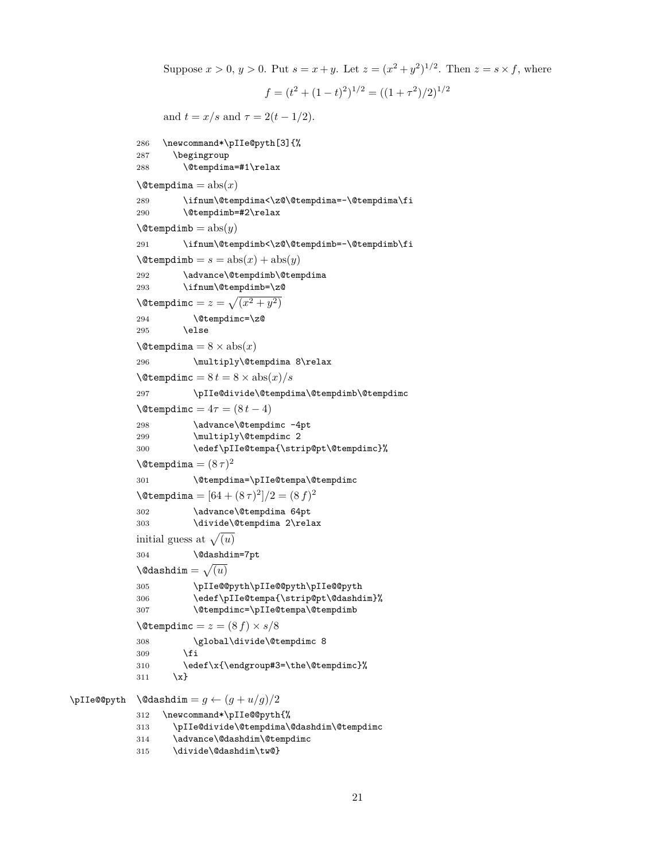```
Suppose x > 0, y > 0. Put s = x + y. Let z = (x^2 + y^2)^{1/2}. Then z = s \times f, where
                                      f = (t^2 + (1-t)^2)^{1/2} = ((1+\tau^2)/2)^{1/2}and t = x/s and \tau = 2(t - 1/2).
            286 \newcommand*\pIIe@pyth[3]{%
            287 \begingroup
            288 \@tempdima=#1\relax
             \text{Setempdima} = \text{abs}(x)289 \ifnum\@tempdima<\z@\@tempdima=-\@tempdima\fi
            290 \@tempdimb=#2\relax
            \text{Setempdim} = \text{abs}(y)291 \ifnum\@tempdimb<\z@\@tempdimb=-\@tempdimb\fi
            \text{Setempdim} = s = abs(x) + abs(y)292 \advance\@tempdimb\@tempdima
            293 \ifnum\@tempdimb=\z@
             \sqrt{\det(\cos x) + 2x}294 \@tempdimc=\z@
            295 \else
            \text{Setemp} = 8 \times \text{abs}(x)296 \multiply\@tempdima 8\relax
             \text{Vctempdim}c = 8 t = 8 \times \text{abs}(x)/s297 \pIIe@divide\@tempdima\@tempdimb\@tempdimc
            \text{Vctempdim} = 4\tau = (8 t - 4)298 \advance\@tempdimc -4pt
             299 \multiply\@tempdimc 2
            300 \edef\pIIe@tempa{\strip@pt\@tempdimc}%
             \lambda@tempdima = (8 \tau)^2301 \@tempdima=\pIIe@tempa\@tempdimc
             \text{Netempdima} = [64 + (8\,\tau)^2]/2 = (8\,f)^2302 \advance\@tempdima 64pt
            303 \divide\@tempdima 2\relax
             initial guess at \sqrt{(u)}304 \@dashdim=7pt
             \lambda@dashdim = \sqrt{(u)}305 \pIIe@@pyth\pIIe@@pyth\pIIe@@pyth
            306 \edef\pIIe@tempa{\strip@pt\@dashdim}%
            307 \@tempdimc=\pIIe@tempa\@tempdimb
            \text{Vctempdim} = z = (8 f) \times s/8308 \global\divide\@tempdimc 8
            309 \fi
            310 \edef\x{\endgroup#3=\the\@tempdimc}%
            311 \quad \{x\}\Delta = g \leftarrow (g + u/g)/2312 \newcommand*\pIIe@@pyth{%
            313 \pIIe@divide\@tempdima\@dashdim\@tempdimc
            314 \advance\@dashdim\@tempdimc
```

```
315 \divide\@dashdim\tw@}
```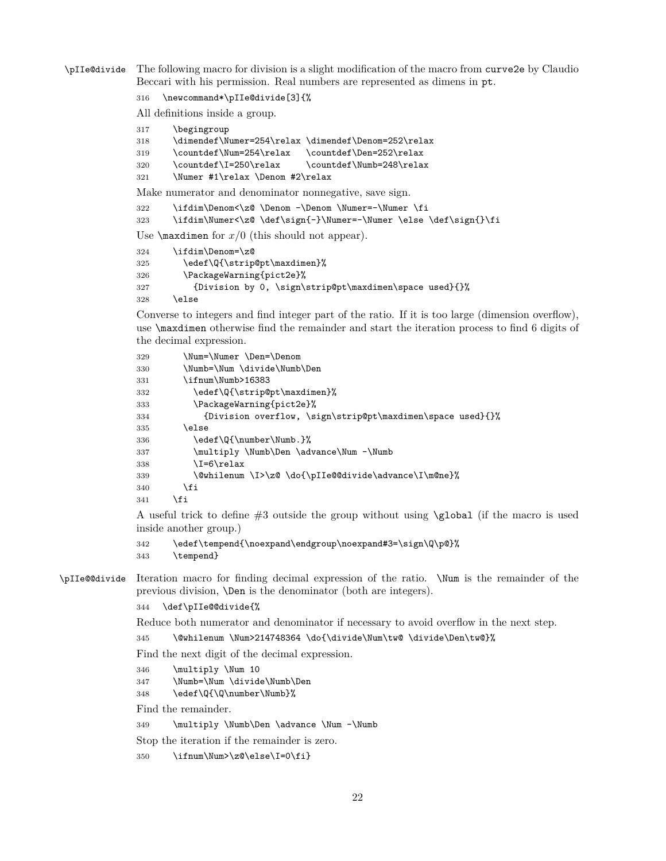<span id="page-21-25"></span>\pIIe@divide The following macro for division is a slight modification of the macro from curve2e by Claudio Beccari with his permission. Real numbers are represented as dimens in pt.

\newcommand\*\pIIe@divide[3]{%

All definitions inside a group.

<span id="page-21-11"></span><span id="page-21-10"></span><span id="page-21-9"></span><span id="page-21-3"></span><span id="page-21-2"></span>

| 317                                                       | \begingroup                                                      |  |
|-----------------------------------------------------------|------------------------------------------------------------------|--|
| 318                                                       | \dimendef\Numer=254\relax \dimendef\Denom=252\relax              |  |
| 319                                                       | \countdef\Num=254\relax<br>\countdef\Den=252\relax               |  |
| 320                                                       | \countdef\I=250\relax<br>\countdef\Numb=248\relax                |  |
| 321                                                       | \Numer #1\relax \Denom #2\relax                                  |  |
| Make numerator and denominator nonnegative, save sign.    |                                                                  |  |
| 322                                                       | \ifdim\Denom<\z@ \Denom -\Denom \Numer=-\Numer \fi               |  |
| 323                                                       | \ifdim\Numer<\z@ \def\sign{-}\Numer=-\Numer \else \def\sign{}\fi |  |
| Use $\text{maxdimen}$ for $x/0$ (this should not appear). |                                                                  |  |
| 324                                                       | \ifdim\Denom=\z@                                                 |  |
| 325                                                       | \edef\Q{\strip@pt\maxdimen}%                                     |  |
| 326                                                       | \PackageWarning{pict2e}%                                         |  |
| 327                                                       | {Division by 0, \sign\strip@pt\maxdimen\space used}{}%           |  |
|                                                           |                                                                  |  |

<span id="page-21-23"></span><span id="page-21-16"></span><span id="page-21-15"></span><span id="page-21-12"></span>\else

Converse to integers and find integer part of the ratio. If it is too large (dimension overflow), use \maxdimen otherwise find the remainder and start the iteration process to find 6 digits of the decimal expression.

<span id="page-21-20"></span><span id="page-21-18"></span><span id="page-21-17"></span><span id="page-21-5"></span><span id="page-21-4"></span>

| 329 | \Num=\Numer \Den=\Denom                                    |
|-----|------------------------------------------------------------|
| 330 | \Numb=\Num \divide\Numb\Den                                |
| 331 | \ifnum\Numb>16383                                          |
| 332 | \edef\Q{\strip@pt\maxdimen}%                               |
| 333 | \PackageWarning{pict2e}%                                   |
| 334 | {Division overflow, \sign\strip@pt\maxdimen\space used}{}% |
| 335 | \else                                                      |
| 336 | \edef\Q{\number\Numb.}%                                    |
| 337 | \multiply \Numb\Den \advance\Num -\Numb                    |
| 338 | \I=6\relax                                                 |
| 339 | \@whilenum \I>\z@ \do{\pIIe@@divide\advance\I\m@ne}%       |
| 340 | \fi                                                        |
| 341 | \fi                                                        |

<span id="page-21-21"></span><span id="page-21-13"></span><span id="page-21-6"></span><span id="page-21-0"></span>A useful trick to define #3 outside the group without using \global (if the macro is used inside another group.)

```
342 \edef\tempend{\noexpand\endgroup\noexpand#3=\sign\Q\p@}%
343 \tempend}
```
<span id="page-21-24"></span>\pIIe@@divide Iteration macro for finding decimal expression of the ratio. \Num is the remainder of the previous division, \Den is the denominator (both are integers).

\def\pIIe@@divide{%

Reduce both numerator and denominator if necessary to avoid overflow in the next step.

<span id="page-21-1"></span>\@whilenum \Num>214748364 \do{\divide\Num\tw@ \divide\Den\tw@}%

Find the next digit of the decimal expression.

<span id="page-21-19"></span>\multiply \Num 10

<span id="page-21-7"></span>\Numb=\Num \divide\Numb\Den

<span id="page-21-22"></span>348 \edef\Q{\Q\number\Numb}%

Find the remainder.

<span id="page-21-8"></span>\multiply \Numb\Den \advance \Num -\Numb

Stop the iteration if the remainder is zero.

<span id="page-21-14"></span>\ifnum\Num>\z@\else\I=0\fi}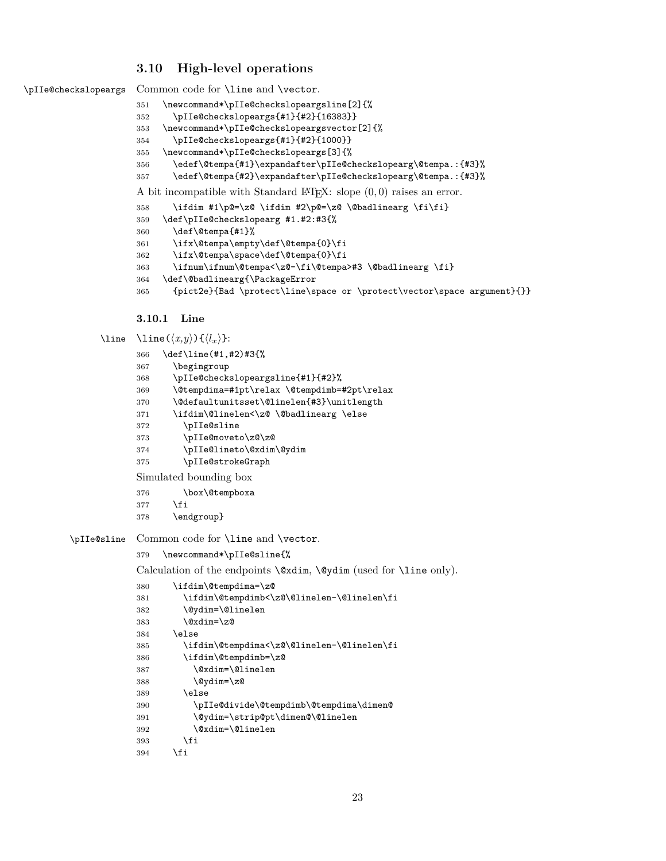## <span id="page-22-2"></span><span id="page-22-0"></span>**3.10 High-level operations**

```
\pIIe@checkslopeargs Common code for \line and \vector.
```
- <span id="page-22-18"></span>\newcommand\*\pIIe@checkslopeargsline[2]{%
- \pIIe@checkslopeargs{#1}{#2}{16383}}
- <span id="page-22-20"></span>\newcommand\*\pIIe@checkslopeargsvector[2]{%
- \pIIe@checkslopeargs{#1}{#2}{1000}}
- \newcommand\*\pIIe@checkslopeargs[3]{%
- <span id="page-22-8"></span>\edef\@tempa{#1}\expandafter\pIIe@checkslopearg\@tempa.:{#3}%
- <span id="page-22-9"></span>\edef\@tempa{#2}\expandafter\pIIe@checkslopearg\@tempa.:{#3}%

A bit incompatible with Standard IATEX: slope  $(0,0)$  raises an error.

```
358 \ifdim #1\p@=\z@ \ifdim #2\p@=\z@ \@badlinearg \fi\fi}
```
<span id="page-22-16"></span>\def\pIIe@checkslopearg #1.#2:#3{%

```
360 \def\@tempa{#1}%
```
- <span id="page-22-11"></span>\ifx\@tempa\empty\def\@tempa{0}\fi
- <span id="page-22-12"></span>\ifx\@tempa\space\def\@tempa{0}\fi
- <span id="page-22-4"></span>363 \ifnum\ifnum\@tempa<\z@-\fi\@tempa>#3 \@badlinearg \fi}
- <span id="page-22-5"></span>\def\@badlinearg{\PackageError
- <span id="page-22-14"></span>{pict2e}{Bad \protect\line\space or \protect\vector\space argument}{}}

## <span id="page-22-24"></span><span id="page-22-23"></span><span id="page-22-19"></span><span id="page-22-7"></span><span id="page-22-6"></span><span id="page-22-1"></span>**3.10.1 Line**

<span id="page-22-26"></span><span id="page-22-22"></span><span id="page-22-15"></span>

| <b>\line</b> | \line( $\langle x,y \rangle$ ){ $\langle l_x \rangle$ }:                  |
|--------------|---------------------------------------------------------------------------|
|              | \def\line(#1,#2)#3{%<br>366                                               |
|              | \begingroup<br>367                                                        |
|              | \pIIe@checkslopeargsline{#1}{#2}%<br>368                                  |
|              | \@tempdima=#1pt\relax \@tempdimb=#2pt\relax<br>369                        |
|              | \@defaultunitsset\@linelen{#3}\unitlength<br>370                          |
|              | \ifdim\@linelen<\z@ \@badlinearg \else<br>371                             |
|              | \pIIe@sline<br>372                                                        |
|              | \pIIe@moveto\z@\z@<br>373                                                 |
|              | \pIIe@lineto\@xdim\@ydim<br>374                                           |
|              | \pIIe@strokeGraph<br>375                                                  |
|              | Simulated bounding box                                                    |
|              | \box\@tempboxa<br>376                                                     |
|              | \fi<br>377                                                                |
|              | \endgroup}<br>378                                                         |
| \pIIe@sline  | Common code for <b>\line</b> and <b>\vector</b> .                         |
|              | \newcommand*\pIIe@sline{%<br>379                                          |
|              | Calculation of the endpoints $\varphi, \varphi$ (used for $\line{$ only). |
|              | \ifdim\@tempdima=\z@<br>380                                               |
|              | \ifdim\@tempdimb<\z@\@linelen-\@linelen\fi<br>381                         |
|              | العامل الما                                                               |

```
382 \@ydim=\@linelen
383 \@xdim=\z@
384 \else
385 \ifdim\@tempdima<\z@\@linelen-\@linelen\fi
386 \ifdim\@tempdimb=\z@
387 \@xdim=\@linelen
388 \@ydim=\z@
389 \else
390 \pIIe@divide\@tempdimb\@tempdima\dimen@
391 \@ydim=\strip@pt\dimen@\@linelen
392 \@xdim=\@linelen
393 \fi
394 \fi
```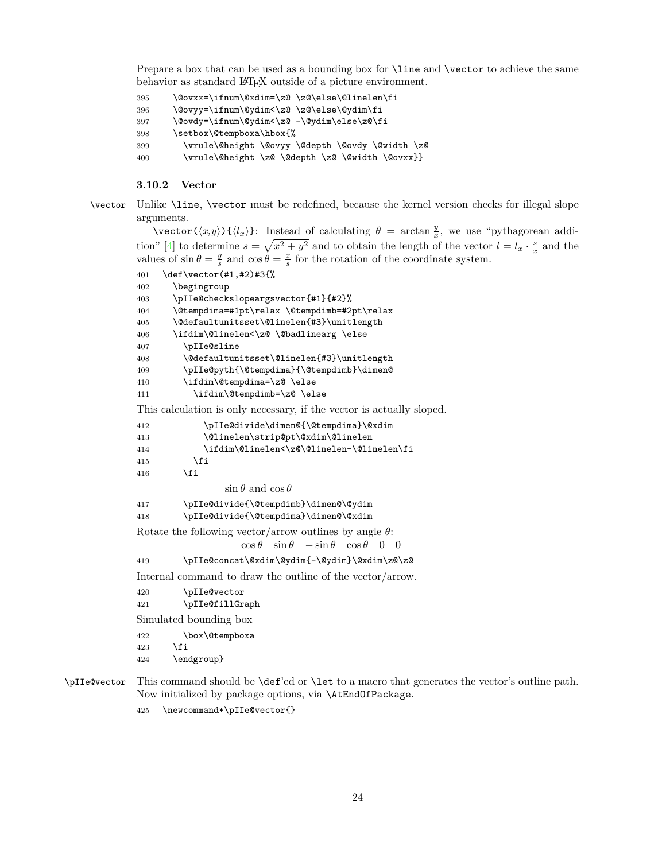<span id="page-23-1"></span>Prepare a box that can be used as a bounding box for **\line** and **\vector** to achieve the same behavior as standard LAT<sub>EX</sub> outside of a picture environment.

```
395 \@ovxx=\ifnum\@xdim=\z@ \z@\else\@linelen\fi
396 \@ovyy=\ifnum\@ydim<\z@ \z@\else\@ydim\fi
397 \@ovdy=\ifnum\@ydim<\z@ -\@ydim\else\z@\fi
398 \setbox\@tempboxa\hbox{%
399 \vrule\@height \@ovyy \@depth \@ovdy \@width \z@
400 \vrule\@height \z@ \@depth \z@ \@width \@ovxx}}
```
## <span id="page-23-6"></span><span id="page-23-5"></span><span id="page-23-0"></span>**3.10.2 Vector**

```
\vector Unlike \line, \vector must be redefined, because the kernel version checks for illegal slope
         arguments.
```
 $\text{vector}(\langle x,y\rangle)$   $\{\langle l_x\rangle\}$ : Instead of calculating  $\theta = \arctan \frac{y}{x}$ , we use "pythagorean addi-tion" [\[4\]](#page-35-7) to determine  $s = \sqrt{x^2 + y^2}$  and to obtain the length of the vector  $l = l_x \cdot \frac{s}{x}$  and the values of  $\sin \theta = \frac{y}{s}$  and  $\cos \theta = \frac{x}{s}$  for the rotation of the coordinate system.

```
401 \def\vector(#1,#2)#3{%
402 \begingroup
403 \pIIe@checkslopeargsvector{#1}{#2}%
404 \@tempdima=#1pt\relax \@tempdimb=#2pt\relax
405 \@defaultunitsset\@linelen{#3}\unitlength
406 \ifdim\@linelen<\z@ \@badlinearg \else
407 \pIIe@sline
408 \@defaultunitsset\@linelen{#3}\unitlength
409 \pIIe@pyth{\@tempdima}{\@tempdimb}\dimen@
410 \ifdim\@tempdima=\z@ \else
411 \ifdim\@tempdimb=\z@ \else
This calculation is only necessary, if the vector is actually sloped.
412 \pIIe@divide\dimen@{\@tempdima}\@xdim
413 \@linelen\strip@pt\@xdim\@linelen
414 \ifdim\@linelen<\z@\@linelen-\@linelen\fi
415 \fi
416 \overrightarrow{fi}\sin \theta and \cos \theta417 \pIIe@divide{\@tempdimb}\dimen@\@ydim
418 \pIIe@divide{\@tempdima}\dimen@\@xdim
Rotate the following vector/arrow outlines by angle θ:
                   \cos \theta \sin \theta -\sin \theta \cos \theta 0 0
419 \pIIe@concat\@xdim\@ydim{-\@ydim}\@xdim\z@\z@
Internal command to draw the outline of the vector/arrow.
420 \pIIe@vector
421 \pIIe@fillGraph
Simulated bounding box
422 \box\@tempboxa
423 \fi
424 \endgroup}
```
<span id="page-23-18"></span><span id="page-23-17"></span><span id="page-23-14"></span><span id="page-23-13"></span><span id="page-23-12"></span><span id="page-23-10"></span>\pIIe@vector This command should be \def'ed or \let to a macro that generates the vector's outline path. Now initialized by package options, via \AtEndOfPackage.

<span id="page-23-8"></span>\newcommand\*\pIIe@vector{}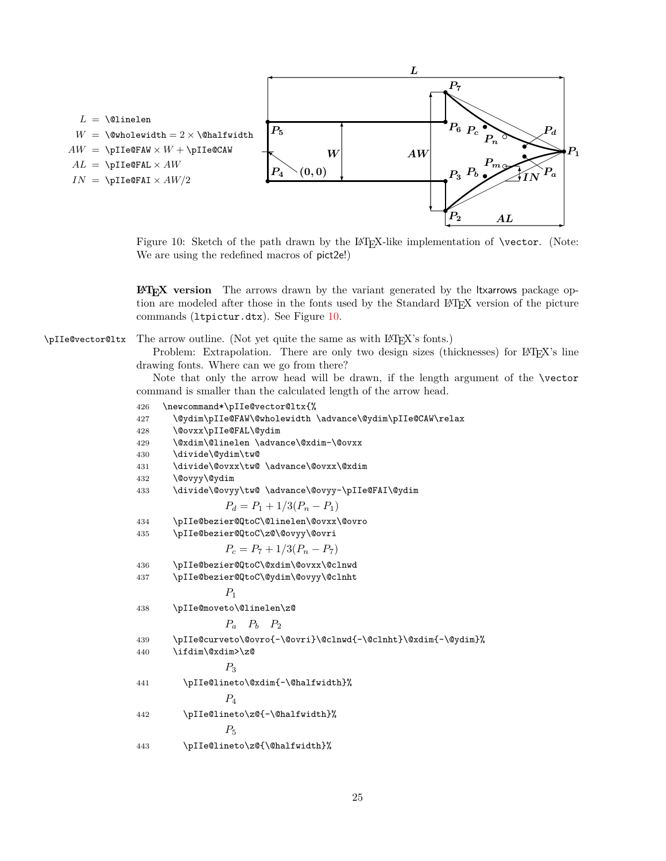<span id="page-24-1"></span>

<span id="page-24-0"></span>Figure 10: Sketch of the path drawn by the LATEX-like implementation of **\vector.** (Note: We are using the redefined macros of pict2e!)

**LATEX version** The arrows drawn by the variant generated by the ltxarrows package option are modeled after those in the fonts used by the Standard LATEX version of the picture commands (ltpictur.dtx). See Figure [10.](#page-24-0)

<span id="page-24-14"></span>\pIIe@vector@ltx The arrow outline. (Not yet quite the same as with LATEX's fonts.)

Problem: Extrapolation. There are only two design sizes (thicknesses) for LAT<sub>E</sub>X's line drawing fonts. Where can we go from there?

Note that only the arrow head will be drawn, if the length argument of the \vector command is smaller than the calculated length of the arrow head.

```
426 \newcommand*\pIIe@vector@ltx{%
427 \@ydim\pIIe@FAW\@wholewidth \advance\@ydim\pIIe@CAW\relax
428 \@ovxx\pIIe@FAL\@ydim
429 \@xdim\@linelen \advance\@xdim-\@ovxx
430 \divide\@ydim\tw@
431 \divide\@ovxx\tw@ \advance\@ovxx\@xdim
432 \@ovyy\@ydim
433 \divide\@ovyy\tw@ \advance\@ovyy-\pIIe@FAI\@ydim
                P_d = P_1 + 1/3(P_n - P_1)434 \pIIe@bezier@QtoC\@linelen\@ovxx\@ovro
435 \pIIe@bezier@QtoC\z@\@ovyy\@ovri
                P_c = P_7 + 1/3(P_n - P_7)436 \pIIe@bezier@QtoC\@xdim\@ovxx\@clnwd
437 \pIIe@bezier@QtoC\@ydim\@ovyy\@clnht
                P1
438 \pIIe@moveto\@linelen\z@
                Pa Pb P2
439 \pIIe@curveto\@ovro{-\@ovri}\@clnwd{-\@clnht}\@xdim{-\@ydim}%
440 \ifdim\@xdim>\z@
                P3
441 \pIIe@lineto\@xdim{-\@halfwidth}%
                P4
442 \pIIe@lineto\z@{-\@halfwidth}%
                P5
443 \pIIe@lineto\z@{\@halfwidth}%
```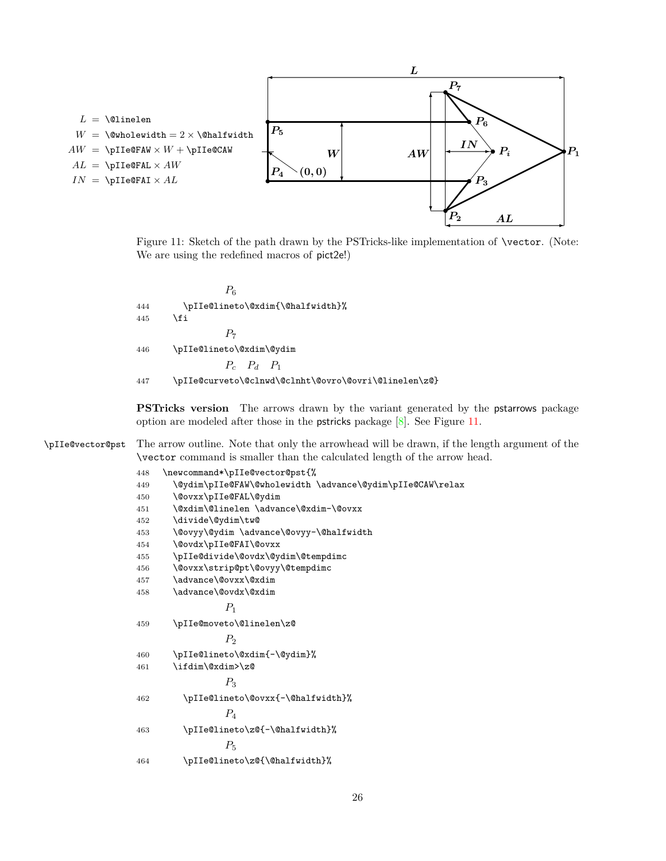<span id="page-25-1"></span>

<span id="page-25-0"></span>Figure 11: Sketch of the path drawn by the PSTricks-like implementation of \vector. (Note: We are using the redefined macros of pict2e!)

<span id="page-25-8"></span><span id="page-25-7"></span>

|     | $P_6$                                                |
|-----|------------------------------------------------------|
| 444 | \pIIe@lineto\@xdim{\@halfwidth}%                     |
| 445 | \fi                                                  |
|     | $P_{\tau}$                                           |
| 446 | \pIIe@lineto\@xdim\@ydim                             |
|     | $P_c$ $P_d$ $P_1$                                    |
| 447 | \pIIe@curveto\@clnwd\@clnht\@ovro\@ovri\@linelen\z@} |

<span id="page-25-3"></span>**PSTricks version** The arrows drawn by the variant generated by the pstarrows package option are modeled after those in the pstricks package [\[8\]](#page-35-4). See Figure [11.](#page-25-0)

<span id="page-25-14"></span>\pIIe@vector@pst The arrow outline. Note that only the arrowhead will be drawn, if the length argument of the \vector command is smaller than the calculated length of the arrow head.

<span id="page-25-13"></span><span id="page-25-12"></span><span id="page-25-11"></span><span id="page-25-10"></span><span id="page-25-9"></span><span id="page-25-6"></span><span id="page-25-5"></span><span id="page-25-4"></span><span id="page-25-2"></span>

| 448 | \newcommand*\pIIe@vector@pst{%                            |
|-----|-----------------------------------------------------------|
| 449 | \@ydim\pIIe@FAW\@wholewidth \advance\@ydim\pIIe@CAW\relax |
| 450 | \@ovxx\pIIe@FAL\@ydim                                     |
| 451 | \@xdim\@linelen \advance\@xdim-\@ovxx                     |
| 452 | \divide\@ydim\tw@                                         |
| 453 | \@ovyy\@ydim \advance\@ovyy-\@halfwidth                   |
| 454 | \@ovdx\pIIe@FAI\@ovxx                                     |
| 455 | \pIIe@divide\@ovdx\@ydim\@tempdimc                        |
| 456 | \@ovxx\strip@pt\@ovyy\@tempdimc                           |
| 457 | \advance\@ovxx\@xdim                                      |
| 458 | \advance\@ovdx\@xdim                                      |
|     | $P_1$                                                     |
| 459 | \pIIe@moveto\@linelen\z@                                  |
|     | P <sub>2</sub>                                            |
| 460 | \pIIe@lineto\@xdim{-\@ydim}%                              |
| 461 | \ifdim\@xdim>\z@                                          |
|     | $P_3$                                                     |
| 462 | \pIIe@lineto\@ovxx{-\@halfwidth}%                         |
|     | $P_{\scriptscriptstyle{A}}$                               |
| 463 | \pIIe@lineto\z@{-\@halfwidth}%                            |
|     | $P_5$                                                     |
| 464 | \pIIe@lineto\z@{\@halfwidth}%                             |
|     |                                                           |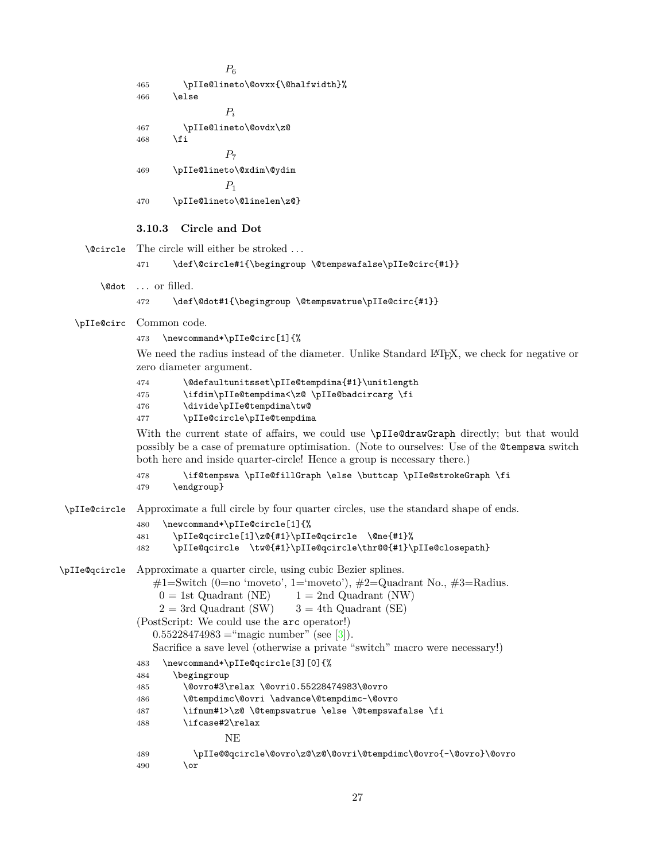```
P_6465 \pIIe@lineto\@ovxx{\@halfwidth}%
              466 \else
                               P_i467 \pIIe@lineto\@ovdx\z@
              468 \fi
                               P_7469 \pIIe@lineto\@xdim\@ydim
                               P1
              470 \pIIe@lineto\@linelen\z@}
              3.10.3 Circle and Dot
    \@circle The circle will either be stroked . . .
              471 \def\@circle#1{\begingroup \@tempswafalse\pIIe@circ{#1}}
       \@dot . . . or filled.
              472 \def\@dot#1{\begingroup \@tempswatrue\pIIe@circ{#1}}
  \pIIe@circ Common code.
              473 \newcommand*\pIIe@circ[1]{%
              We need the radius instead of the diameter. Unlike Standard L<sup>AT</sup>EX, we check for negative or
              zero diameter argument.
              474 \@defaultunitsset\pIIe@tempdima{#1}\unitlength
              475 \ifdim\pIIe@tempdima<\z@ \pIIe@badcircarg \fi
              476 \divide\pIIe@tempdima\tw@
              477 \pIIe@circle\pIIe@tempdima
              With the current state of affairs, we could use \pIIe@drawGraph directly; but that would
              possibly be a case of premature optimisation. (Note to ourselves: Use of the @tempswa switch
              both here and inside quarter-circle! Hence a group is necessary there.)
              478 \if@tempswa \pIIe@fillGraph \else \buttcap \pIIe@strokeGraph \fi
              479 \endgroup}
\pIIe@circle Approximate a full circle by four quarter circles, use the standard shape of ends.
              480 \newcommand*\pIIe@circle[1]{%
              481 \pIIe@qcircle[1]\z@{#1}\pIIe@qcircle \@ne{#1}%
              482 \pIIe@qcircle \tw@{#1}\pIIe@qcircle\thr@@{#1}\pIIe@closepath}
\pIIe@qcircle Approximate a quarter circle, using cubic Bezier splines.
                 \#1 =Switch (0=no 'moveto', 1='moveto'), \#2 =Quadrant No., \#3 =Radius.
                  0 = 1st Quadrant (NE) 1 = 2nd Quadrant (NW)
                  2 = 3rd Quadrant (SW) 3 = 4th Quadrant (SE)
              (PostScript: We could use the arc operator!)
                 0.55228474983[3]).
                 Sacrifice a save level (otherwise a private "switch" macro were necessary!)
              483 \newcommand*\pIIe@qcircle[3][0]{%
              484 \begingroup
              485 \@ovro#3\relax \@ovri0.55228474983\@ovro
              486 \@tempdimc\@ovri \advance\@tempdimc-\@ovro
              487 \ifnum#1>\z@ \@tempswatrue \else \@tempswafalse \fi
              488 \ifcase#2\relax
                               NE
              489 \pIIe@@qcircle\@ovro\z@\z@\@ovri\@tempdimc\@ovro{-\@ovro}\@ovro
              490 \overline{\arctan}
```

```
27
```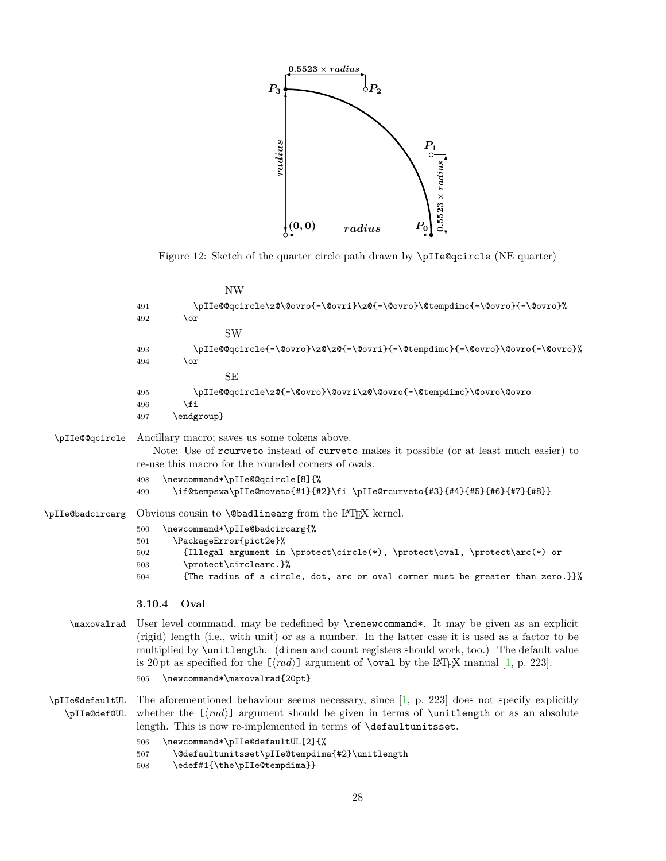<span id="page-27-2"></span>

<span id="page-27-8"></span><span id="page-27-7"></span><span id="page-27-1"></span>Figure 12: Sketch of the quarter circle path drawn by \pIIe@qcircle (NE quarter)

<span id="page-27-14"></span><span id="page-27-10"></span><span id="page-27-9"></span>

|                  | <b>NW</b>                                                                                                                                                                                                                                                                                                                                                                                                                                                                                        |
|------------------|--------------------------------------------------------------------------------------------------------------------------------------------------------------------------------------------------------------------------------------------------------------------------------------------------------------------------------------------------------------------------------------------------------------------------------------------------------------------------------------------------|
|                  | \pIIe@@qcircle\z@\@ovro{-\@ovri}\z@{-\@ovro}\@tempdimc{-\@ovro}{-\@ovro}%<br>491                                                                                                                                                                                                                                                                                                                                                                                                                 |
|                  | $\alpha$<br>492                                                                                                                                                                                                                                                                                                                                                                                                                                                                                  |
|                  | <b>SW</b>                                                                                                                                                                                                                                                                                                                                                                                                                                                                                        |
|                  | \pIIe@@qcircle{-\@ovro}\z@\z@{-\@ovri}{-\@tempdimc}{-\@ovro}\@ovro{-\@ovro}%<br>493                                                                                                                                                                                                                                                                                                                                                                                                              |
|                  | $\lor$<br>494                                                                                                                                                                                                                                                                                                                                                                                                                                                                                    |
|                  | <b>SE</b>                                                                                                                                                                                                                                                                                                                                                                                                                                                                                        |
|                  | \pIIe@@qcircle\z@{-\@ovro}\@ovri\z@\@ovro{-\@tempdimc}\@ovro\@ovro<br>495                                                                                                                                                                                                                                                                                                                                                                                                                        |
|                  | \fi<br>496                                                                                                                                                                                                                                                                                                                                                                                                                                                                                       |
|                  | \endgroup}<br>497                                                                                                                                                                                                                                                                                                                                                                                                                                                                                |
| \pIIe@@qcircle   | Ancillary macro; saves us some tokens above.                                                                                                                                                                                                                                                                                                                                                                                                                                                     |
|                  | Note: Use of rourveto instead of curveto makes it possible (or at least much easier) to<br>re-use this macro for the rounded corners of ovals.                                                                                                                                                                                                                                                                                                                                                   |
|                  | \newcommand*\pIIe@@qcircle[8]{%<br>498                                                                                                                                                                                                                                                                                                                                                                                                                                                           |
|                  | \if@tempswa\pIIe@moveto{#1}{#2}\fi \pIIe@rcurveto{#3}{#4}{#5}{#6}{#7}{#8}}<br>499                                                                                                                                                                                                                                                                                                                                                                                                                |
| \pIIe@badcircarg | Obvious cousin to <b>\@badlinearg</b> from the LAT <sub>F</sub> X kernel.                                                                                                                                                                                                                                                                                                                                                                                                                        |
|                  | \newcommand*\pIIe@badcircarg{%<br>500                                                                                                                                                                                                                                                                                                                                                                                                                                                            |
|                  | \PackageError{pict2e}%<br>501                                                                                                                                                                                                                                                                                                                                                                                                                                                                    |
|                  | {Illegal argument in \protect\circle(*), \protect\oval, \protect\arc(*) or<br>502<br>\protect\circlearc.}%<br>503                                                                                                                                                                                                                                                                                                                                                                                |
|                  | {The radius of a circle, dot, arc or oval corner must be greater than zero.}}%<br>504                                                                                                                                                                                                                                                                                                                                                                                                            |
|                  | 3.10.4<br>Oval                                                                                                                                                                                                                                                                                                                                                                                                                                                                                   |
|                  | \maxovalrad User level command, may be redefined by \renewcommand*. It may be given as an explicit<br>(rigid) length (i.e., with unit) or as a number. In the latter case it is used as a factor to be<br>multiplied by <b>\unitlength.</b> (dimen and count registers should work, too.) The default value<br>is 20 pt as specified for the $[\langle rad \rangle]$ argument of <b>\oval</b> by the L <sup>4</sup> T <sub>F</sub> X manual [1, p. 223].<br>\newcommand*\maxovalrad{20pt}<br>505 |
|                  |                                                                                                                                                                                                                                                                                                                                                                                                                                                                                                  |

<span id="page-27-13"></span><span id="page-27-12"></span><span id="page-27-11"></span><span id="page-27-6"></span><span id="page-27-5"></span><span id="page-27-4"></span><span id="page-27-0"></span>\pIIe@defaultUL The aforementioned behaviour seems necessary, since [\[1,](#page-35-3) p. 223] does not specify explicitly \pIIe@def@UL whether the  $[\langle rad \rangle]$  argument should be given in terms of **\unitlength** or as an absolute length. This is now re-implemented in terms of \defaultunitsset. 506 \newcommand\*\pIIe@defaultUL[2]{%

- <span id="page-27-3"></span>507 \@defaultunitsset\pIIe@tempdima{#2}\unitlength
- <span id="page-27-15"></span>508 \edef#1{\the\pIIe@tempdima}}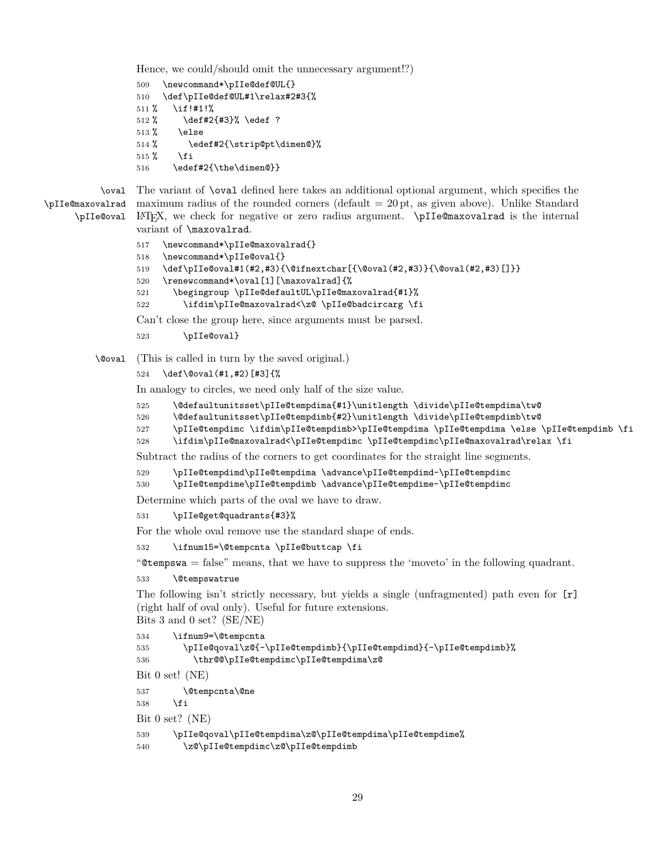<span id="page-28-0"></span>Hence, we could/should omit the unnecessary argument!?)

```
509 \newcommand*\pIIe@def@UL{}
510 \def\pIIe@def@UL#1\relax#2#3{%
511 % \if!#1!%
512 % \def#2{#3}% \edef ?
513 % \else
514 % \edef#2{\strip@pt\dimen@}%
515 \% \fi
516 \edef#2{\the\dimen@}}
```
<span id="page-28-13"></span><span id="page-28-11"></span>\pIIe@oval

<span id="page-28-6"></span>\oval The variant of \oval defined here takes an additional optional argument, which specifies the \pIIe@maxovalrad maximum radius of the rounded corners (default = 20 pt, as given above). Unlike Standard LATEX, we check for negative or zero radius argument. \pIIe@maxovalrad is the internal variant of \maxovalrad.

```
517 \newcommand*\pIIe@maxovalrad{}
518 \newcommand*\pIIe@oval{}
519 \def\pIIe@oval#1(#2,#3){\@ifnextchar[{\@oval(#2,#3)}{\@oval(#2,#3)[]}}
520 \renewcommand*\oval[1][\maxovalrad]{%
521 \begingroup \pIIe@defaultUL\pIIe@maxovalrad{#1}%
522 \ifdim\pIIe@maxovalrad<\z@ \pIIe@badcircarg \fi
Can't close the group here, since arguments must be parsed.
```
<span id="page-28-9"></span><span id="page-28-7"></span>523 \pIIe@oval}

<span id="page-28-4"></span>\@oval (This is called in turn by the saved original.)

```
524 \def\@oval(#1,#2)[#3]{%
```
In analogy to circles, we need only half of the size value.

```
525 \@defaultunitsset\pIIe@tempdima{#1}\unitlength \divide\pIIe@tempdima\tw@
```
<span id="page-28-2"></span>526 \@defaultunitsset\pIIe@tempdimb{#2}\unitlength \divide\pIIe@tempdimb\tw@

```
527 \pIIe@tempdimc \ifdim\pIIe@tempdimb>\pIIe@tempdima \pIIe@tempdima \else \pIIe@tempdimb \fi
```

```
528 \ifdim\pIIe@maxovalrad<\pIIe@tempdimc \pIIe@tempdimc\pIIe@maxovalrad\relax \fi
```
Subtract the radius of the corners to get coordinates for the straight line segments.

```
529 \pIIe@tempdimd\pIIe@tempdima \advance\pIIe@tempdimd-\pIIe@tempdimc
```
<span id="page-28-19"></span>530 \pIIe@tempdime\pIIe@tempdimb \advance\pIIe@tempdime-\pIIe@tempdimc

Determine which parts of the oval we have to draw.

<span id="page-28-10"></span>531 \pIIe@get@quadrants{#3}%

For the whole oval remove use the standard shape of ends.

<span id="page-28-8"></span>532 \ifnum15=\@tempcnta \pIIe@buttcap \fi

"@tempswa = false" means, that we have to suppress the 'moveto' in the following quadrant.

```
533 \@tempswatrue
```
The following isn't strictly necessary, but yields a single (unfragmented) path even for [r] (right half of oval only). Useful for future extensions. Bits 3 and 0 set? (SE/NE)

```
534 \ifnum9=\@tempcnta
535 \pIIe@qoval\z@{-\pIIe@tempdimb}{\pIIe@tempdimd}{-\pIIe@tempdimb}%
536 \thr@@\pIIe@tempdimc\pIIe@tempdima\z@
Bit 0 set! (NE)
537 \@tempcnta\@ne
538 \fi
Bit 0 set? (NE)
539 \pIIe@qoval\pIIe@tempdima\z@\pIIe@tempdima\pIIe@tempdime%
540 \z@\pIIe@tempdimc\z@\pIIe@tempdimb
```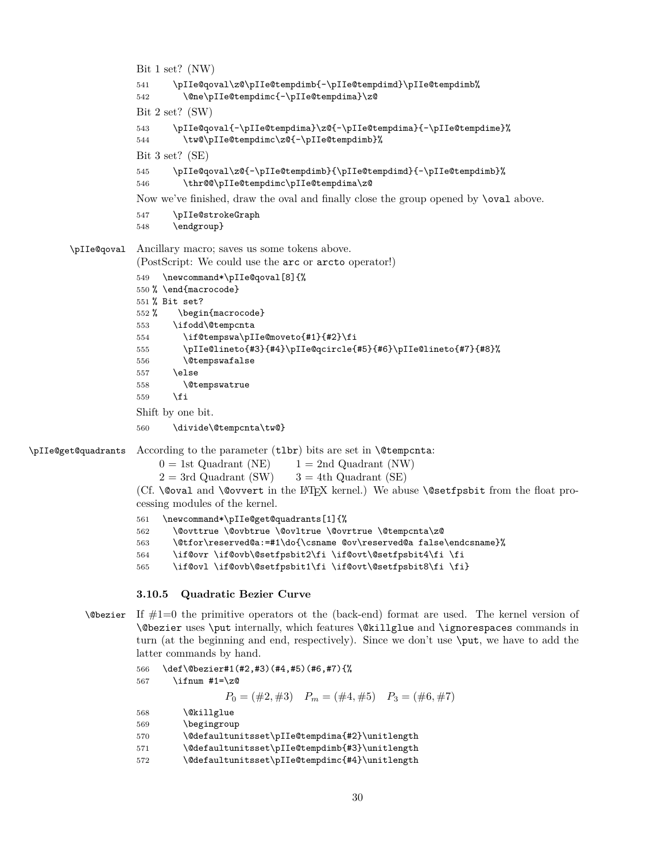```
Bit 1 set? (NW)
                    541 \pIIe@qoval\z@\pIIe@tempdimb{-\pIIe@tempdimd}\pIIe@tempdimb%
                    542 \@ne\pIIe@tempdimc{-\pIIe@tempdima}\z@
                    Bit 2 set? (SW)
                    543 \pIIe@qoval{-\pIIe@tempdima}\z@{-\pIIe@tempdima}{-\pIIe@tempdime}%
                    544 \tw@\pIIe@tempdimc\z@{-\pIIe@tempdimb}%
                    Bit 3 set? (SE)
                    545 \pIIe@qoval\z@{-\pIIe@tempdimb}{\pIIe@tempdimd}{-\pIIe@tempdimb}%
                    546 \thr@@\pIIe@tempdimc\pIIe@tempdima\z@
                    Now we've finished, draw the oval and finally close the group opened by \oval above.
                    547 \pIIe@strokeGraph
                    548 \endgroup}
       \pIIe@qoval Ancillary macro; saves us some tokens above.
                    (PostScript: We could use the arc or arcto operator!)
                    549 \newcommand*\pIIe@qoval[8]{%
                    550 % \end{macrocode}
                    551 % Bit set?
                    552 % \begin{macrocode}
                    553 \ifodd\@tempcnta
                    554 \if@tempswa\pIIe@moveto{#1}{#2}\fi
                    555 \pIIe@lineto{#3}{#4}\pIIe@qcircle{#5}{#6}\pIIe@lineto{#7}{#8}%
                    556 \@tempswafalse
                    557 \else
                    558 \@tempswatrue
                    559 \fi
                    Shift by one bit.
                    560 \divide\@tempcnta\tw@}
\pIIe@get@quadrants According to the parameter (tlbr) bits are set in \@tempcnta:
                        0 = 1st Quadrant (NE) 1 = 2nd Quadrant (NW)
                        2 = 3rd Quadrant (SW) 3 = 4th Quadrant (SE)
                    (Cf. \@oval and \@ovvert in the LATEX kernel.) We abuse \@setfpsbit from the float pro-
                    cessing modules of the kernel.
                    561 \newcommand*\pIIe@get@quadrants[1]{%
                    562 \@ovttrue \@ovbtrue \@ovltrue \@ovrtrue \@tempcnta\z@
                    563 \@tfor\reserved@a:=#1\do{\csname @ov\reserved@a false\endcsname}%
                    564 \if@ovr \if@ovb\@setfpsbit2\fi \if@ovt\@setfpsbit4\fi \fi
                    565 \if@ovl \if@ovb\@setfpsbit1\fi \if@ovt\@setfpsbit8\fi \fi}
                    3.10.5 Quadratic Bezier Curve
```

```
\DiamondObezier If \#1=0 the primitive operators ot the (back-end) format are used. The kernel version of
          \@bezier uses \put internally, which features \@killglue and \ignorespaces commands in
          turn (at the beginning and end, respectively). Since we don't use \put, we have to add the
          latter commands by hand.
```

```
566 \def\@bezier#1(#2,#3)(#4,#5)(#6,#7){%
567 \ifnum #1=\z@
                P_0 = (\#2, \#3) P_m = (\#4, \#5) P_3 = (\#6, \#7)568 \@killglue
569 \begingroup
570 \@defaultunitsset\pIIe@tempdima{#2}\unitlength
571 \@defaultunitsset\pIIe@tempdimb{#3}\unitlength
572 \@defaultunitsset\pIIe@tempdimc{#4}\unitlength
```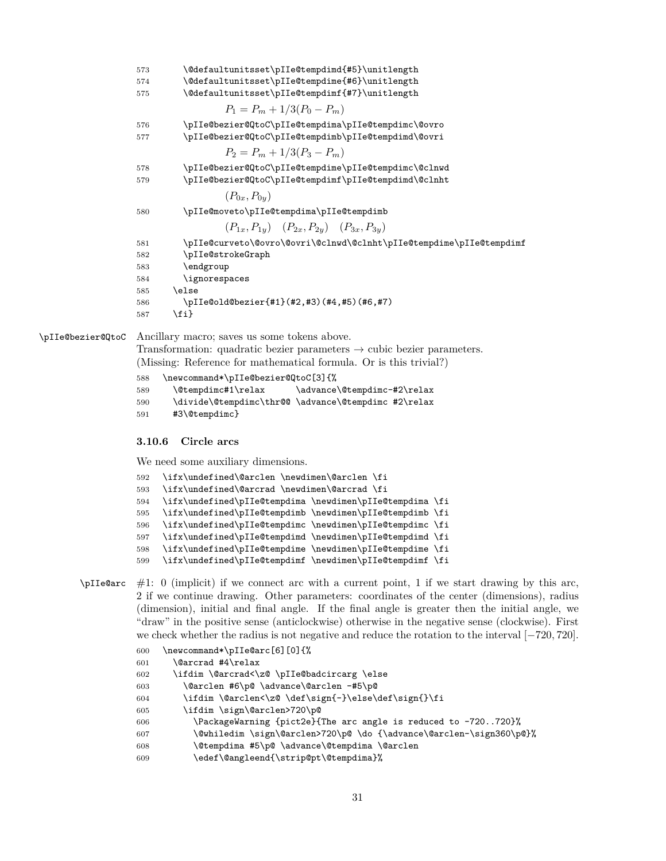<span id="page-30-29"></span><span id="page-30-26"></span><span id="page-30-25"></span><span id="page-30-24"></span><span id="page-30-23"></span><span id="page-30-14"></span><span id="page-30-13"></span><span id="page-30-12"></span><span id="page-30-1"></span>

| 573 | \@defaultunitsset\pIIe@tempdimd{#5}\unitlength                      |
|-----|---------------------------------------------------------------------|
| 574 | \@defaultunitsset\pIIe@tempdime{#6}\unitlength                      |
| 575 | \@defaultunitsset\pIIe@tempdimf{#7}\unitlength                      |
|     | $P_1 = P_m + 1/3(P_0 - P_m)$                                        |
| 576 | \pIIe@bezier@QtoC\pIIe@tempdima\pIIe@tempdimc\@ovro                 |
| 577 | \pIIe@bezier@QtoC\pIIe@tempdimb\pIIe@tempdimd\@ovri                 |
|     | $P_2 = P_m + 1/3(P_3 - P_m)$                                        |
| 578 | \pIIe@bezier@QtoC\pIIe@tempdime\pIIe@tempdimc\@clnwd                |
| 579 | \pIIe@bezier@QtoC\pIIe@tempdimf\pIIe@tempdimd\@clnht                |
|     | $(P_{0x}, P_{0y})$                                                  |
| 580 | \pIIe@moveto\pIIe@tempdima\pIIe@tempdimb                            |
|     | $(P_{1x}, P_{1y})$ $(P_{2x}, P_{2y})$ $(P_{3x}, P_{3y})$            |
| 581 | \pIIe@curveto\@ovro\@ovri\@clnwd\@clnht\pIIe@tempdime\pIIe@tempdimf |
| 582 | \pIIe@strokeGraph                                                   |
| 583 | \endgroup                                                           |
| 584 | \ignorespaces                                                       |
| 585 | \else                                                               |
| 586 | \pIIe@old@bezier{#1}(#2,#3)(#4,#5)(#6,#7)                           |
| 587 | \fi}                                                                |
|     |                                                                     |

<span id="page-30-27"></span>\pIIe@bezier@QtoC Ancillary macro; saves us some tokens above. Transformation: quadratic bezier parameters  $\rightarrow$  cubic bezier parameters.

<span id="page-30-31"></span><span id="page-30-30"></span><span id="page-30-28"></span><span id="page-30-21"></span>(Missing: Reference for mathematical formula. Or is this trivial?)

```
588 \newcommand*\pIIe@bezier@QtoC[3]{%
589 \@tempdimc#1\relax \advance\@tempdimc-#2\relax
590 \divide\@tempdimc\thr@@ \advance\@tempdimc #2\relax
591 #3\@tempdimc}
```
#### <span id="page-30-0"></span>**3.10.6 Circle arcs**

We need some auxiliary dimensions.

<span id="page-30-18"></span><span id="page-30-17"></span><span id="page-30-16"></span><span id="page-30-15"></span><span id="page-30-9"></span><span id="page-30-3"></span>

| 592 | \ifx\undefined\@arclen \newdimen\@arclen \fi             |  |
|-----|----------------------------------------------------------|--|
| 593 | \ifx\undefined\@arcrad \newdimen\@arcrad \fi             |  |
| 594 | \ifx\undefined\pIIe@tempdima \newdimen\pIIe@tempdima \fi |  |
| 595 | \ifx\undefined\pIIe@tempdimb \newdimen\pIIe@tempdimb \fi |  |
| 596 | \ifx\undefined\pIIe@tempdimc \newdimen\pIIe@tempdimc \fi |  |
| 597 | \ifx\undefined\pIIe@tempdimd \newdimen\pIIe@tempdimd \fi |  |
| 598 | \ifx\undefined\pIIe@tempdime \newdimen\pIIe@tempdime \fi |  |
| 599 | \ifx\undefined\pIIe@tempdimf \newdimen\pIIe@tempdimf \fi |  |
|     |                                                          |  |

<span id="page-30-22"></span><span id="page-30-20"></span><span id="page-30-19"></span> $\pi$ IIe@arc #1: 0 (implicit) if we connect arc with a current point, 1 if we start drawing by this arc, 2 if we continue drawing. Other parameters: coordinates of the center (dimensions), radius (dimension), initial and final angle. If the final angle is greater then the initial angle, we "draw" in the positive sense (anticlockwise) otherwise in the negative sense (clockwise). First we check whether the radius is not negative and reduce the rotation to the interval [−720*,* 720].

```
600 \newcommand*\pIIe@arc[6][0]{%
601 \@arcrad #4\relax
602 \ifdim \@arcrad<\z@ \pIIe@badcircarg \else
603 \@arclen #6\p@ \advance\@arclen -#5\p@
604 \ifdim \@arclen<\z@ \def\sign{-}\else\def\sign{}\fi
605 \ifdim \sign\@arclen>720\p@
606 \PackageWarning {pict2e}{The arc angle is reduced to -720..720}%
607 \@whiledim \sign\@arclen>720\p@ \do {\advance\@arclen-\sign360\p@}%
608 \@tempdima #5\p@ \advance\@tempdima \@arclen
609 \edef\@angleend{\strip@pt\@tempdima}%
```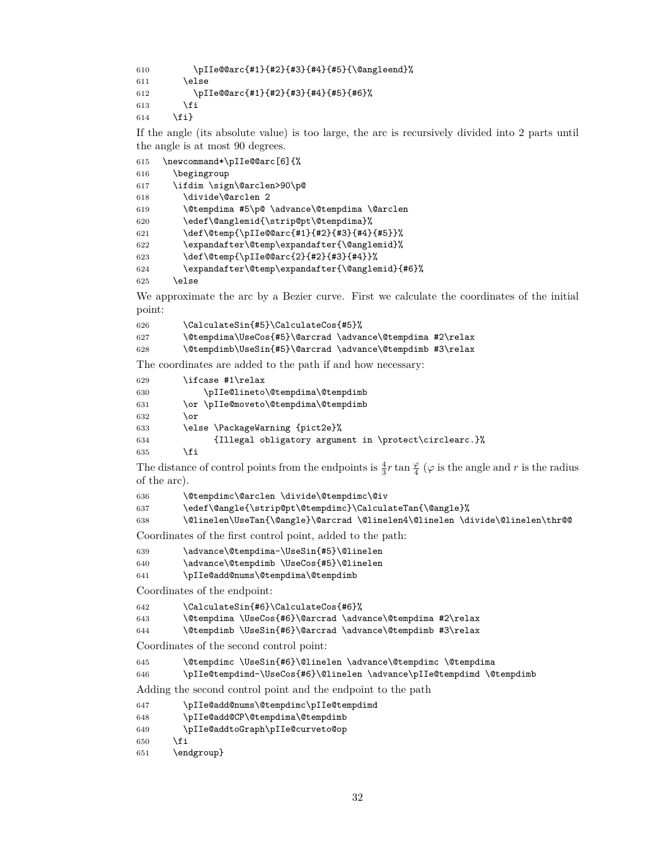```
610 \pIIe@@arc{#1}{#2}{#3}{#4}{#5}{\@angleend}%
611 \else
612 \pIIe@@arc{#1}{#2}{#3}{#4}{#5}{#6}%
613 \fi
614 \fi}
```
If the angle (its absolute value) is too large, the arc is recursively divided into 2 parts until the angle is at most 90 degrees.

```
615 \newcommand*\pIIe@@arc[6]{%
616 \begingroup
617 \ifdim \sign\@arclen>90\p@
618 \divide\@arclen 2
619 \@tempdima #5\p@ \advance\@tempdima \@arclen
620 \edef\@anglemid{\strip@pt\@tempdima}%
621 \def\@temp{\pIIe@@arc{#1}{#2}{#3}{#4}{#5}}%
622 \expandafter\@temp\expandafter{\@anglemid}%
623 \def\@temp{\pIIe@@arc{2}{#2}{#3}{#4}}%
624 \expandafter\@temp\expandafter{\@anglemid}{#6}%
```
<span id="page-31-15"></span><span id="page-31-14"></span><span id="page-31-5"></span><span id="page-31-4"></span>\else

We approximate the arc by a Bezier curve. First we calculate the coordinates of the initial point:

<span id="page-31-16"></span><span id="page-31-10"></span>

| 626 | \CalculateSin{#5}\CalculateCos{#5}%                       |  |
|-----|-----------------------------------------------------------|--|
| 627 | \@tempdima\UseCos{#5}\@arcrad \advance\@tempdima #2\relax |  |
| 628 | \@tempdimb\UseSin{#5}\@arcrad \advance\@tempdimb #3\relax |  |

<span id="page-31-11"></span>The coordinates are added to the path if and how necessary:

<span id="page-31-26"></span><span id="page-31-25"></span>

| 629 | \ifcase #1\relax                                      |
|-----|-------------------------------------------------------|
| 630 | \pIIe@lineto\@tempdima\@tempdimb                      |
| 631 | \or \pIIe@moveto\@tempdima\@tempdimb                  |
| 632 | \or                                                   |
| 633 | \else \PackageWarning {pict2e}%                       |
| 634 | {Illegal obligatory argument in \protect\circlearc.}% |
| 635 | ιfi                                                   |

<span id="page-31-18"></span>The distance of control points from the endpoints is  $\frac{4}{3}r \tan \frac{\varphi}{4}$  ( $\varphi$  is the angle and  $r$  is the radius of the arc).

<span id="page-31-9"></span>\@tempdimc\@arclen \divide\@tempdimc\@iv

```
637 \edef\@angle{\strip@pt\@tempdimc}\CalculateTan{\@angle}%
```
<span id="page-31-1"></span>\@linelen\UseTan{\@angle}\@arcrad \@linelen4\@linelen \divide\@linelen\thr@@

Coordinates of the first control point, added to the path:

<span id="page-31-29"></span>\advance\@tempdima-\UseSin{#5}\@linelen

```
640 \advance\@tempdimb \UseCos{#5}\@linelen
```
<span id="page-31-22"></span>\pIIe@add@nums\@tempdima\@tempdimb

Coordinates of the endpoint:

```
642 \CalculateSin{#6}\CalculateCos{#6}%
```

```
643 \@tempdima \UseCos{#6}\@arcrad \advance\@tempdima #2\relax
```

```
644 \@tempdimb \UseSin{#6}\@arcrad \advance\@tempdimb #3\relax
```
Coordinates of the second control point:

```
645 \@tempdimc \UseSin{#6}\@linelen \advance\@tempdimc \@tempdima
```

```
646 \pIIe@tempdimd-\UseCos{#6}\@linelen \advance\pIIe@tempdimd \@tempdimb
```
Adding the second control point and the endpoint to the path

```
647 \pIIe@add@nums\@tempdimc\pIIe@tempdimd
648 \pIIe@add@CP\@tempdima\@tempdimb
```

```
649 \pIIe@addtoGraph\pIIe@curveto@op
```

```
650 \fi
```

```
651 \endgroup}
```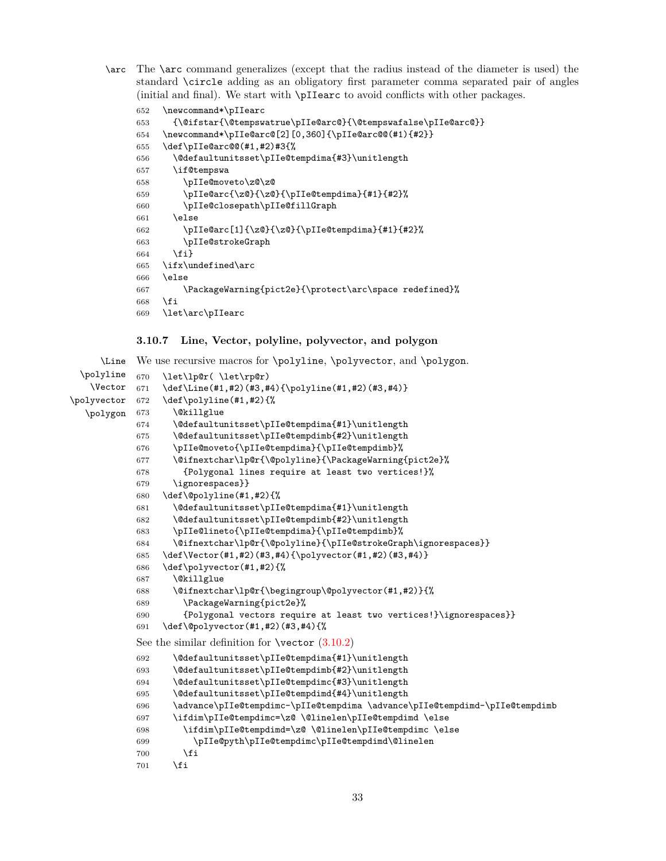<span id="page-32-19"></span><span id="page-32-1"></span>\arc The \arc command generalizes (except that the radius instead of the diameter is used) the standard \circle adding as an obligatory first parameter comma separated pair of angles (initial and final). We start with \pIIearc to avoid conflicts with other packages.

```
652 \newcommand*\pIIearc
653 {\@ifstar{\@tempswatrue\pIIe@arc@}{\@tempswafalse\pIIe@arc@}}
654 \newcommand*\pIIe@arc@[2][0,360]{\pIIe@arc@@(#1){#2}}
655 \def\pIIe@arc@@(#1,#2)#3{%
656 \@defaultunitsset\pIIe@tempdima{#3}\unitlength
657 \if@tempswa
658 \pIIe@moveto\z@\z@
659 \pIIe@arc{\z@}{\z@}{\pIIe@tempdima}{#1}{#2}%
660 \pIIe@closepath\pIIe@fillGraph
661 \else
662 \pIIe@arc[1]{\z@}{\z@}{\pIIe@tempdima}{#1}{#2}%
663 \pIIe@strokeGraph
664 \fi}
665 \ifx\undefined\arc
666 \else
667 \PackageWarning{pict2e}{\protect\arc\space redefined}%
668 \fi
669 \let\arc\pIIearc
```
## <span id="page-32-39"></span><span id="page-32-34"></span><span id="page-32-32"></span><span id="page-32-26"></span><span id="page-32-24"></span><span id="page-32-20"></span><span id="page-32-15"></span><span id="page-32-4"></span><span id="page-32-3"></span><span id="page-32-0"></span>**3.10.7 Line, Vector, polyline, polyvector, and polygon**

```
\Line
We use recursive macros for \polyline, \polyvector, and \polygon.
 \polyline
   \sqrt{\text{Vector}} 671
\polyvector
  \polygon
            670 \let\lp@r( \let\rp@r)
                 \def\Line(#1,#2)(#3,#4){\polyline(#1,#2)(#3,#4)}
            672 \def\polyline(#1,#2){%
            673 \@killglue
            674 \@defaultunitsset\pIIe@tempdima{#1}\unitlength
            675 \@defaultunitsset\pIIe@tempdimb{#2}\unitlength
            676 \pIIe@moveto{\pIIe@tempdima}{\pIIe@tempdimb}%
            677 \@ifnextchar\lp@r{\@polyline}{\PackageWarning{pict2e}%
            678 {Polygonal lines require at least two vertices!}%
            679 \ignorespaces}}
            680 \def\@polyline(#1,#2){%
            681 \@defaultunitsset\pIIe@tempdima{#1}\unitlength
            682 \@defaultunitsset\pIIe@tempdimb{#2}\unitlength
            683 \pIIe@lineto{\pIIe@tempdima}{\pIIe@tempdimb}%
            684 \@ifnextchar\lp@r{\@polyline}{\pIIe@strokeGraph\ignorespaces}}
            685 \def\Vector(#1,#2)(#3,#4){\polyvector(#1,#2)(#3,#4)}
            686 \def\polyvector(#1,#2){%
            687 \@killglue
            688 \@ifnextchar\lp@r{\begingroup\@polyvector(#1,#2)}{%
            689 \PackageWarning{pict2e}%
            690 {Polygonal vectors require at least two vertices!}\ignorespaces}}
            691 \def\@polyvector(#1,#2)(#3,#4){%
            See the similar definition for (3.10.2)692 \@defaultunitsset\pIIe@tempdima{#1}\unitlength
            693 \@defaultunitsset\pIIe@tempdimb{#2}\unitlength
            694 \@defaultunitsset\pIIe@tempdimc{#3}\unitlength
            695 \@defaultunitsset\pIIe@tempdimd{#4}\unitlength
            696 \advance\pIIe@tempdimc-\pIIe@tempdima \advance\pIIe@tempdimd-\pIIe@tempdimb
            697 \ifdim\pIIe@tempdimc=\z@ \@linelen\pIIe@tempdimd \else
            698 \ifdim\pIIe@tempdimd=\z@ \@linelen\pIIe@tempdimc \else
            699 \pIIe@pyth\pIIe@tempdimc\pIIe@tempdimd\@linelen
            700 \overline{f}701 \fi
```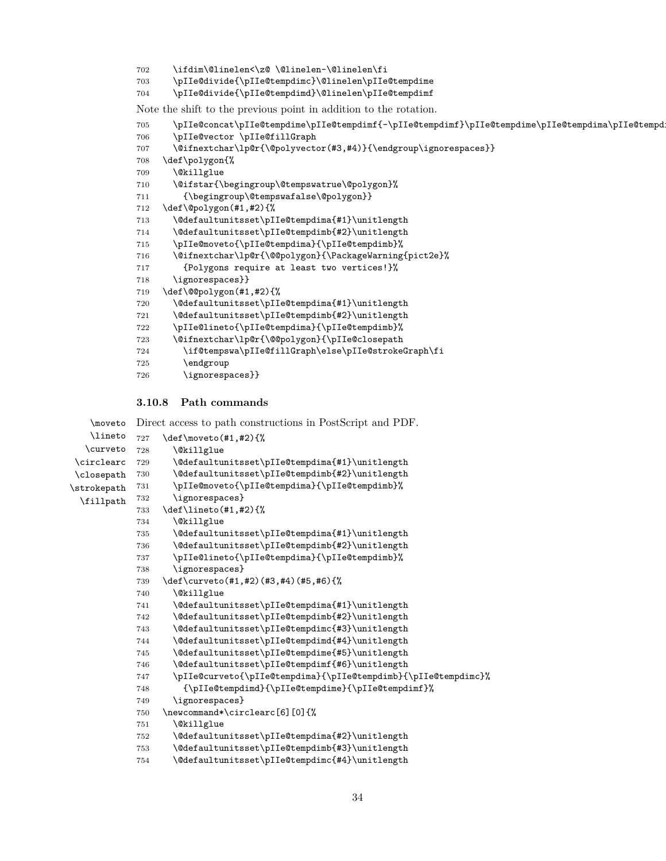```
702 \ifdim\@linelen<\z@ \@linelen-\@linelen\fi
```

```
703 \pIIe@divide{\pIIe@tempdimc}\@linelen\pIIe@tempdime
```

```
704 \pIIe@divide{\pIIe@tempdimd}\@linelen\pIIe@tempdimf
```
Note the shift to the previous point in addition to the rotation.

```
705 \pIIe@concat\pIIe@tempdime\pIIe@tempdimf{-\pIIe@tempdimf}\pIIe@tempdime\pIIe@tempdima\pIIe@tempdimb
706 \pIIe@vector \pIIe@fillGraph
707 \@ifnextchar\lp@r{\@polyvector(#3,#4)}{\endgroup\ignorespaces}}
708 \def\polygon{%
709 \@killglue
710 \@ifstar{\begingroup\@tempswatrue\@polygon}%
711 {\begingroup\@tempswafalse\@polygon}}
712 \def\@polygon(#1,#2){%
713 \@defaultunitsset\pIIe@tempdima{#1}\unitlength
714 \@defaultunitsset\pIIe@tempdimb{#2}\unitlength
715 \pIIe@moveto{\pIIe@tempdima}{\pIIe@tempdimb}%
716 \@ifnextchar\lp@r{\@@polygon}{\PackageWarning{pict2e}%
717 {Polygons require at least two vertices!}%
718 \ignorespaces}}
719 \def\@@polygon(#1,#2){%
720 \@defaultunitsset\pIIe@tempdima{#1}\unitlength
721 \@defaultunitsset\pIIe@tempdimb{#2}\unitlength
722 \pIIe@lineto{\pIIe@tempdima}{\pIIe@tempdimb}%
723 \@ifnextchar\lp@r{\@@polygon}{\pIIe@closepath
724 \if@tempswa\pIIe@fillGraph\else\pIIe@strokeGraph\fi
725 \endgroup
726 \ignorespaces}}
```
#### <span id="page-33-50"></span><span id="page-33-47"></span><span id="page-33-46"></span><span id="page-33-36"></span><span id="page-33-35"></span><span id="page-33-34"></span><span id="page-33-25"></span><span id="page-33-24"></span><span id="page-33-9"></span><span id="page-33-8"></span><span id="page-33-7"></span><span id="page-33-6"></span><span id="page-33-3"></span><span id="page-33-2"></span><span id="page-33-0"></span>**3.10.8 Path commands**

```
\moveto
Direct access to path constructions in PostScript and PDF.
   \lineto
  \curveto 728
\circlearc 729
\closepath 730
\strokepath
 \fillpath
           727 \def\moveto(#1,#2){%
                   \@killglue
                   \@defaultunitsset\pIIe@tempdima{#1}\unitlength
                   \@defaultunitsset\pIIe@tempdimb{#2}\unitlength
           731 \pIIe@moveto{\pIIe@tempdima}{\pIIe@tempdimb}%
            732 \ignorespaces}
            733 \def\lineto(#1,#2){%
            734 \@killglue
            735 \@defaultunitsset\pIIe@tempdima{#1}\unitlength
            736 \@defaultunitsset\pIIe@tempdimb{#2}\unitlength
            737 \pIIe@lineto{\pIIe@tempdima}{\pIIe@tempdimb}%
            738 \ignorespaces}
            739 \def\curveto(#1,#2)(#3,#4)(#5,#6){%
            740 \@killglue
            741 \@defaultunitsset\pIIe@tempdima{#1}\unitlength
            742 \@defaultunitsset\pIIe@tempdimb{#2}\unitlength
            743 \@defaultunitsset\pIIe@tempdimc{#3}\unitlength
            744 \@defaultunitsset\pIIe@tempdimd{#4}\unitlength
            745 \@defaultunitsset\pIIe@tempdime{#5}\unitlength
            746 \@defaultunitsset\pIIe@tempdimf{#6}\unitlength
            747 \pIIe@curveto{\pIIe@tempdima}{\pIIe@tempdimb}{\pIIe@tempdimc}%
            748 {\pIIe@tempdimd}{\pIIe@tempdime}{\pIIe@tempdimf}%
            749 \ignorespaces}
            750 \newcommand*\circlearc[6][0]{%
            751 \@killglue
            752 \@defaultunitsset\pIIe@tempdima{#2}\unitlength
            753 \@defaultunitsset\pIIe@tempdimb{#3}\unitlength
            754 \@defaultunitsset\pIIe@tempdimc{#4}\unitlength
```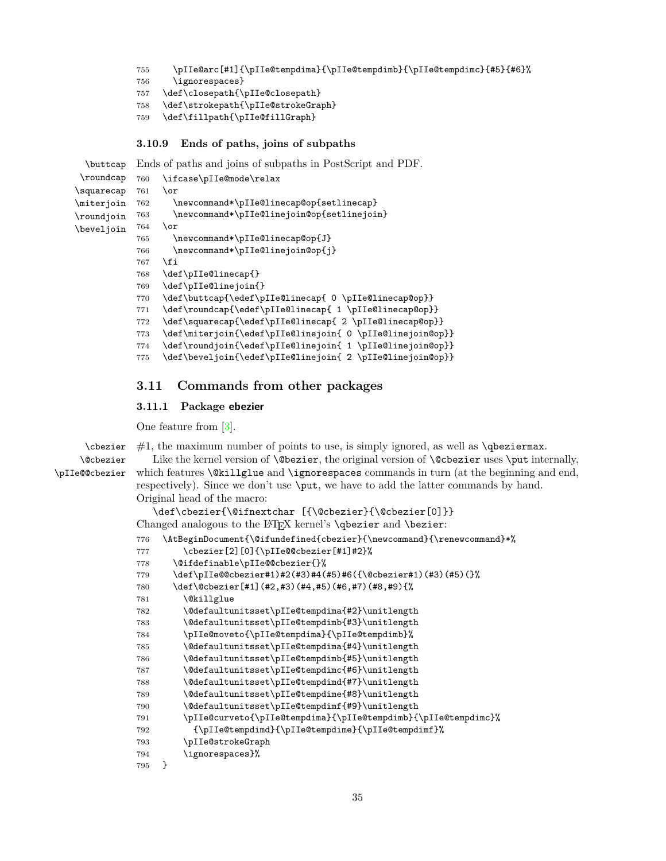```
755 \pIIe@arc[#1]{\pIIe@tempdima}{\pIIe@tempdimb}{\pIIe@tempdimc}{#5}{#6}%
```
<span id="page-34-17"></span>\ignorespaces}

```
757 \def\closepath{\pIIe@closepath}
```

```
758 \def\strokepath{\pIIe@strokeGraph}
```

```
759 \def\fillpath{\pIIe@fillGraph}
```
## <span id="page-34-37"></span><span id="page-34-35"></span><span id="page-34-30"></span><span id="page-34-29"></span><span id="page-34-0"></span>**3.10.9 Ends of paths, joins of subpaths**

<span id="page-34-44"></span><span id="page-34-43"></span><span id="page-34-42"></span><span id="page-34-36"></span><span id="page-34-19"></span><span id="page-34-15"></span><span id="page-34-14"></span>\buttcap \roundcap \squarecap \miterjoin \roundjoin \beveljoin Ends of paths and joins of subpaths in PostScript and PDF. \ifcase\pIIe@mode\relax \or \newcommand\*\pIIe@linecap@op{setlinecap} \newcommand\*\pIIe@linejoin@op{setlinejoin} \or \newcommand\*\pIIe@linecap@op{J} \newcommand\*\pIIe@linejoin@op{j} \fi \def\pIIe@linecap{} \def\pIIe@linejoin{} \def\buttcap{\edef\pIIe@linecap{ 0 \pIIe@linecap@op}} \def\roundcap{\edef\pIIe@linecap{ 1 \pIIe@linecap@op}} \def\squarecap{\edef\pIIe@linecap{ 2 \pIIe@linecap@op}} \def\miterjoin{\edef\pIIe@linejoin{ 0 \pIIe@linejoin@op}} \def\roundjoin{\edef\pIIe@linejoin{ 1 \pIIe@linejoin@op}} \def\beveljoin{\edef\pIIe@linejoin{ 2 \pIIe@linejoin@op}}

## <span id="page-34-34"></span><span id="page-34-33"></span><span id="page-34-32"></span><span id="page-34-31"></span><span id="page-34-28"></span><span id="page-34-27"></span><span id="page-34-26"></span><span id="page-34-25"></span><span id="page-34-1"></span>**3.11 Commands from other packages**

## <span id="page-34-2"></span>**3.11.1 Package ebezier**

One feature from [\[3\]](#page-35-6).

```
\cbezier
     \@cbezier
\pIIe@@cbezier
```
 $#1$ , the maximum number of points to use, is simply ignored, as well as  $\qquad$ eziermax. Like the kernel version of **\@bezier**, the original version of **\@cbezier** uses **\put** internally, which features  $\&$ illglue and  $\iota$ gnorespaces commands in turn (at the beginning and end, respectively). Since we don't use \put, we have to add the latter commands by hand. Original head of the macro:

```
\def\cbezier{\@ifnextchar [{\@cbezier}{\@cbezier[0]}}
Changed analogous to the LAT<sub>E</sub>X kernel's \qbezier and \bezier:
```

```
776 \AtBeginDocument{\@ifundefined{cbezier}{\newcommand}{\renewcommand}*%
777 \cbezier[2][0]{\pIIe@@cbezier[#1]#2}%
778 \@ifdefinable\pIIe@@cbezier{}%
779 \def\pIIe@@cbezier#1)#2(#3)#4(#5)#6({\@cbezier#1)(#3)(#5)(}%
780 \def\@cbezier[#1](#2,#3)(#4,#5)(#6,#7)(#8,#9){%
781 \@killglue
782 \@defaultunitsset\pIIe@tempdima{#2}\unitlength
783 \@defaultunitsset\pIIe@tempdimb{#3}\unitlength
784 \pIIe@moveto{\pIIe@tempdima}{\pIIe@tempdimb}%
785 \@defaultunitsset\pIIe@tempdima{#4}\unitlength
786 \@defaultunitsset\pIIe@tempdimb{#5}\unitlength
787 \@defaultunitsset\pIIe@tempdimc{#6}\unitlength
788 \@defaultunitsset\pIIe@tempdimd{#7}\unitlength
789 \@defaultunitsset\pIIe@tempdime{#8}\unitlength
790 \@defaultunitsset\pIIe@tempdimf{#9}\unitlength
791 \pIIe@curveto{\pIIe@tempdima}{\pIIe@tempdimb}{\pIIe@tempdimc}%
792 {\pIIe@tempdimd}{\pIIe@tempdime}{\pIIe@tempdimf}%
793 \pIIe@strokeGraph
794 \ignorespaces}%
795 }
```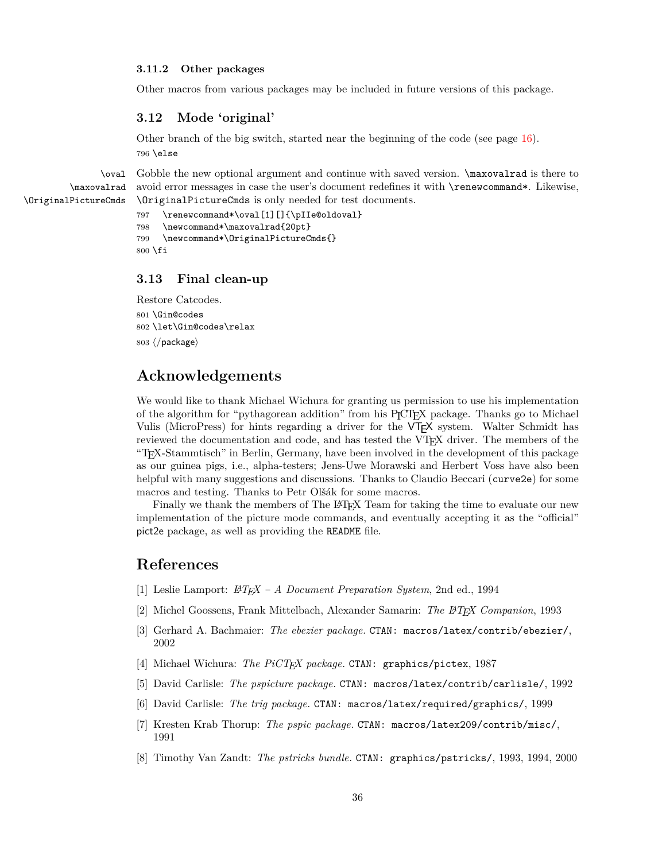#### <span id="page-35-0"></span>**3.11.2 Other packages**

Other macros from various packages may be included in future versions of this package.

## <span id="page-35-1"></span>**3.12 Mode 'original'**

<span id="page-35-12"></span>Other branch of the big switch, started near the beginning of the code (see page [16\)](#page-15-0). 796 \else

<span id="page-35-11"></span><span id="page-35-10"></span>\oval \maxovalrad \OriginalPictureCmds Gobble the new optional argument and continue with saved version.  $\max$ ovalrad is there to avoid error messages in case the user's document redefines it with \renewcommand\*. Likewise, \OriginalPictureCmds is only needed for test documents.

```
797 \renewcommand*\oval[1][]{\pIIe@oldoval}
798 \newcommand*\maxovalrad{20pt}
799 \newcommand*\OriginalPictureCmds{}
800 \fi
```
## <span id="page-35-2"></span>**3.13 Final clean-up**

<span id="page-35-9"></span><span id="page-35-8"></span>Restore Catcodes. \Gin@codes \let\Gin@codes\relax  $\langle$ /package)

## **Acknowledgements**

We would like to thank Michael Wichura for granting us permission to use his implementation of the algorithm for "pythagorean addition" from his P<sub>I</sub>CT<sub>E</sub>X package. Thanks go to Michael Vulis (MicroPress) for hints regarding a driver for the VTEX system. Walter Schmidt has reviewed the documentation and code, and has tested the VTEX driver. The members of the "TEX-Stammtisch" in Berlin, Germany, have been involved in the development of this package as our guinea pigs, i.e., alpha-testers; Jens-Uwe Morawski and Herbert Voss have also been helpful with many suggestions and discussions. Thanks to Claudio Beccari (curve2e) for some macros and testing. Thanks to Petr Olšák for some macros.

Finally we thank the members of The LAT<sub>EX</sub> Team for taking the time to evaluate our new implementation of the picture mode commands, and eventually accepting it as the "official" pict2e package, as well as providing the README file.

## **References**

- <span id="page-35-3"></span>[1] Leslie Lamport: *LATEX – A Document Preparation System*, 2nd ed., 1994
- [2] Michel Goossens, Frank Mittelbach, Alexander Samarin: *The LATEX Companion*, 1993
- <span id="page-35-6"></span>[3] Gerhard A. Bachmaier: *The ebezier package.* CTAN: macros/latex/contrib/ebezier/, 2002
- <span id="page-35-7"></span>[4] Michael Wichura: *The PiCTEX package.* CTAN: graphics/pictex, 1987
- <span id="page-35-5"></span>[5] David Carlisle: *The pspicture package.* CTAN: macros/latex/contrib/carlisle/, 1992
- [6] David Carlisle: *The trig package.* CTAN: macros/latex/required/graphics/, 1999
- [7] Kresten Krab Thorup: *The pspic package.* CTAN: macros/latex209/contrib/misc/, 1991
- <span id="page-35-4"></span>[8] Timothy Van Zandt: *The pstricks bundle.* CTAN: graphics/pstricks/, 1993, 1994, 2000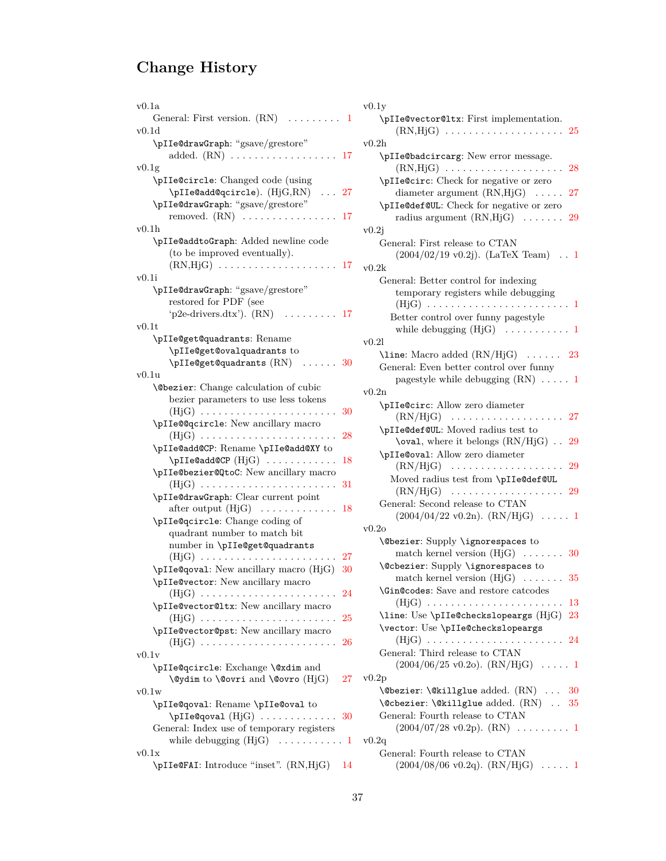# **Change History**

| v0.1a<br>General: First version. $(RN) \dots \dots \dots 1$                                  | v0.1y<br>$\mathcal{L}$ |
|----------------------------------------------------------------------------------------------|------------------------|
| v0.1d                                                                                        |                        |
| \pIIe@drawGraph: "gsave/grestore"<br>added. $(RN) \ldots \ldots \ldots \ldots \ldots$<br>-17 | v0.2h<br>$\mathcal{L}$ |
| v0.1g                                                                                        |                        |
| \pIIe@circle: Changed code (using                                                            |                        |
| \pIIe@add@qcircle). (HjG,RN)<br>$\ldots$ 27                                                  | \p]                    |
|                                                                                              |                        |
| \pIIe@drawGraph: "gsave/grestore"                                                            | $\mathcal{L}$          |
| removed. $(RN)$<br>17                                                                        |                        |
| v0.1h                                                                                        | v0.2j                  |
| \pIIe@addtoGraph: Added newline code                                                         | Ge                     |
| (to be improved eventually).                                                                 |                        |
| $(RN, HjG) \ldots \ldots \ldots \ldots \ldots \ldots$<br>17                                  | v0.2k                  |
| v0.1i                                                                                        | Ge                     |
| \pIIe@drawGraph: "gsave/grestore"                                                            |                        |
| restored for PDF (see                                                                        |                        |
| 'p2e-drivers.dtx'). (RN)<br>. 17                                                             |                        |
| $_{\rm v0.1t}$                                                                               |                        |
| \pIIe@get@quadrants: Rename                                                                  | v0.21                  |
| \pIIe@get@ovalquadrants to                                                                   | \li                    |
| $\pi I$ e@get@quadrants $(RN)$<br>- 30                                                       | Ge                     |
| v0.1u                                                                                        |                        |
| <b>\@bezier:</b> Change calculation of cubic                                                 |                        |
| bezier parameters to use less tokens                                                         | v0.2n                  |
| 30<br>$(HjG)$                                                                                | \pl                    |
| \pIIe@@qcircle: New ancillary macro                                                          |                        |
| $(HjG)$<br>28                                                                                | \p]                    |
| \pIIe@add@CP: Rename \pIIe@add@XY to                                                         |                        |
| 18                                                                                           | \p]                    |
| $\Delta \text{PLI} = \left( \begin{bmatrix} H_j & \cdots & H_j \end{bmatrix} \right)$        |                        |
| \pIIe@bezier@QtoC: New ancillary macro                                                       | 1                      |
| 31<br>$(HjG)$                                                                                |                        |
| \pIIe@drawGraph: Clear current point                                                         | Ge                     |
| after output $(HjG) \dots \dots$<br>18<br>$\cdots$                                           |                        |
| \pIIe@qcircle: Change coding of                                                              | v0.2o                  |
| quadrant number to match bit                                                                 | \@}                    |
| number in \pIIe@get@quadrants                                                                |                        |
| $(HjG)$<br>27                                                                                |                        |
| \pIIe@qoval: New ancillary macro (HjG)<br>30                                                 | <b>\@c</b>             |
| \pIIe@vector: New ancillary macro                                                            |                        |
| $(HjG) \ldots \ldots \ldots \ldots \ldots \ldots \ldots \ldots$<br>24                        | \Gi                    |
| \pIIe@vector@ltx: New ancillary macro                                                        |                        |
| 25<br>(HjG)                                                                                  | \1i                    |
| \pIIe@vector@pst: New ancillary macro                                                        | $\sqrt{v}$             |
| $(HjG)$<br>26                                                                                |                        |
| $_{\rm v0.1v}$                                                                               | Ge                     |
| \pIIe@qcircle: Exchange \@xdim and                                                           |                        |
| 27 <sub>z</sub><br>\@ydim to \@ovri and \@ovro (HjG)                                         | v0.2p                  |
| v0.1w                                                                                        | \@}                    |
| \pIIe@qoval: Rename \pIIe@oval to                                                            | \@c                    |
| $\pi I$ e@qoval $(HjG) \ldots \ldots \ldots$<br>30                                           | Ge                     |
| General: Index use of temporary registers                                                    |                        |
| while debugging $(HjG) \dots \dots \dots \dots 1$                                            |                        |
|                                                                                              | v0.2q                  |
| v0.1x<br>$\pi$ TLeCFAL: Introduce "inset" $(RN_H)$ 14                                        | Ge                     |
|                                                                                              |                        |

| .a                                                        | v0.1y                                                                                              |
|-----------------------------------------------------------|----------------------------------------------------------------------------------------------------|
| General: First version. $(RN) \dots \dots$                | \pIIe@vector@ltx: First implementation.<br>1                                                       |
| .d                                                        |                                                                                                    |
| \pIIe@drawGraph: "gsave/grestore"                         | v0.2h                                                                                              |
| g                                                         | \pIIe@badcircarg: New error message.<br>$(RN,HjG) \ldots \ldots \ldots \ldots \ldots \ldots$<br>28 |
| \pIIe@circle: Changed code (using                         | \pIIe@circ: Check for negative or zero                                                             |
| $\pi I$ e@add@qcircle). (Hj $G, RN$ )<br>. 27             | diameter argument $(RN,HjG) \dots 27$                                                              |
| \pIIe@drawGraph: "gsave/grestore"                         | \pIIe@def@UL: Check for negative or zero                                                           |
| removed. $(RN)$<br>-17                                    | radius argument $(RN,HjG) \dots \dots$<br>-29                                                      |
| h.                                                        | v0.2j                                                                                              |
| \pIIe@addtoGraph: Added newline code                      | General: First release to CTAN                                                                     |
| (to be improved eventually).                              | $(2004/02/19 \text{ v}0.2j)$ . (LaTeX Team) . 1                                                    |
| $(RN,HjG) \ldots \ldots \ldots \ldots \ldots \ldots 17$   | v0.2k                                                                                              |
| j.                                                        | General: Better control for indexing                                                               |
| \pIIe@drawGraph: "gsave/grestore"                         | temporary registers while debugging                                                                |
| restored for PDF (see                                     |                                                                                                    |
| 'p2e-drivers.dtx'). $(RN)$ 17                             | Better control over funny pagestyle                                                                |
| .t                                                        | while debugging $(HjG) \dots \dots \dots \dots 1$                                                  |
| \pIIe@get@quadrants: Rename<br>\pIIe@get@ovalquadrants to | v0.21                                                                                              |
| $\pi I$ e@get@quadrants $(RN)$<br>. 30                    | \line: Macro added $\rm (RN/HjG) \ldots \ldots \quad 23$                                           |
| .u                                                        | General: Even better control over funny                                                            |
| <b>\@bezier</b> : Change calculation of cubic             | pagestyle while debugging $(RN) \ldots$ 1                                                          |
| bezier parameters to use less tokens                      | v0.2n                                                                                              |
| $(HjG)$<br>30                                             | \pIIe@circ: Allow zero diameter                                                                    |
| \pIIe@@qcircle: New ancillary macro                       |                                                                                                    |
|                                                           | \pIIe@def@UL: Moved radius test to                                                                 |
| \pIIe@add@CP: Rename \pIIe@add@XY to                      | \oval, where it belongs $\rm (RN/HjG)$ 29                                                          |
|                                                           | \pIIe@oval: Allow zero diameter                                                                    |
| \pIIe@bezier@QtoC: New ancillary macro                    | $(RN/HjG) \dots \dots \dots \dots$<br>-29<br>1.1.1.1.1                                             |
|                                                           | Moved radius test from \pIIe@def@UL<br>$(RN/HjG) \dots \dots \dots \dots \dots \dots$<br>29        |
| \pIIe@drawGraph: Clear current point                      | General: Second release to CTAN                                                                    |
|                                                           | $(2004/04/22 \text{ v}0.2\text{n})$ . $(RN/HjG)$ 1                                                 |
| \pIIe@qcircle: Change coding of                           | v0.2o                                                                                              |
| quadrant number to match bit                              | <b>\@bezier:</b> Supply <b>\ignorespaces</b> to                                                    |
| number in \pIIe@get@quadrants                             | match kernel version $(HjG) \ldots \ldots \ldots 30$                                               |
| $(HjG)$<br>27                                             | <b>\@cbezier:</b> Supply <b>\ignorespaces</b> to                                                   |
| \pIIe@qova1: New ancillary macro (HjG)<br>30              | match kernel version $(HjG) \dots \dots \dots$ 35                                                  |
| \pIIe@vector: New ancillary macro                         | <b>\Gin@codes:</b> Save and restore catcodes                                                       |
| \pIIe@vector@ltx: New ancillary macro                     | $(HjG)$<br>-13                                                                                     |
| $(HjG)$<br>25                                             | \line: Use \pIIe@checkslopeargs $(HjG)$ 23                                                         |
| \pIIe@vector@pst: New ancillary macro                     | \vector: Use \pIIe@checkslopeargs                                                                  |
| $(HjG)$<br>26                                             |                                                                                                    |
| .V                                                        | General: Third release to CTAN                                                                     |
| \pIIe@qcircle: Exchange \@xdim and                        | $(2004/06/25 \text{ v}0.20)$ . $(RN/HjG)$ 1                                                        |
| 27<br>$\Q$ ydim to $\Q$ ovri and $\Q$ ovro (HjG)          | v0.2p                                                                                              |
| W                                                         | $\text{Obezier: } \&\text{aligned}$ added. $(RN)$ 30                                               |
| \pIIe@qoval: Rename \pIIe@oval to                         | \@cbezier:\@killglue added. (RN)  35                                                               |
|                                                           | General: Fourth release to CTAN                                                                    |
| General: Index use of temporary registers                 | $(2004/07/28 \text{ v}0.2p)$ . $(RN)$ 1                                                            |
| while debugging $(HjG) \dots \dots \dots \dots 1$         | v0.2q                                                                                              |
| X                                                         | General: Fourth release to CTAN                                                                    |
| \pIIe@FAI: Introduce "inset". (RN,HjG)<br>14              | $(2004/08/06 \text{ v}0.2q)$ . $(RN/HjG)$ 1                                                        |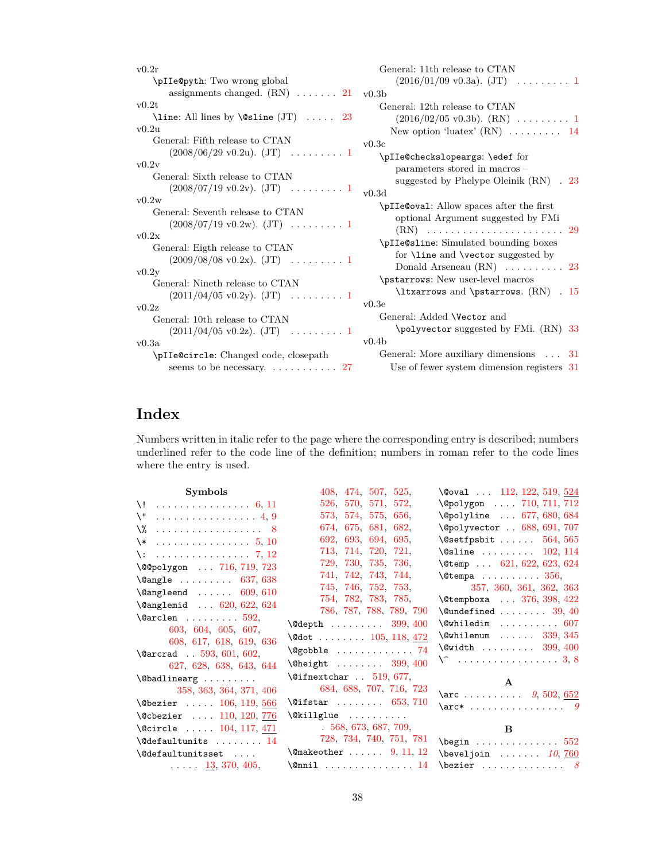| v0.2r                                           | General: 11th release to CTAN                    |     |
|-------------------------------------------------|--------------------------------------------------|-----|
| \pIIe@pyth: Two wrong global                    | $(2016/01/09 \text{ v}0.3a)$ . $(JT)$ 1          |     |
| assignments changed. $(RN)$ 21 v0.3b            |                                                  |     |
| v0.2t                                           | General: 12th release to CTAN                    |     |
| \line: All lines by \@sline $(JT) \ldots 23$    |                                                  |     |
| v0.2u                                           | New option 'luatex' $(RN)$ 14                    |     |
| General: Fifth release to CTAN                  | v0.3c                                            |     |
| $(2008/06/29 \text{ v}0.2 \text{u}).$ $(JT)$ 1  | \pIIe@checkslopeargs: \edef for                  |     |
| v0.2v                                           | parameters stored in macros -                    |     |
| General: Sixth release to CTAN                  | suggested by Phelype Oleinik (RN)                | .23 |
| $(2008/07/19 \text{ v}0.2 \text{v})$ . $(JT)$ 1 | v0.3d                                            |     |
| v0.2w                                           | \pIIe@oval: Allow spaces after the first         |     |
| General: Seventh release to CTAN                | optional Argument suggested by FMi               |     |
| $(2008/07/19 \text{ v}0.2 \text{w})$ . $(JT)$ 1 |                                                  |     |
| v0.2x                                           | \pIIe@sline: Simulated bounding boxes            |     |
| General: Eigth release to CTAN                  | for <b>\line</b> and <b>\vector</b> suggested by |     |
| $(2009/08/08 \text{ v}0.2\text{x})$ . $(JT)$ 1  | Donald Arseneau $(RN) \ldots \ldots \ldots 23$   |     |
| v0.2v                                           | \pstarrows: New user-level macros                |     |
| General: Nineth release to CTAN                 |                                                  |     |
| $(2011/04/05 \text{ v}0.2 \text{y})$ . $(JT)$ 1 | \ltxarrows and \pstarrows. $(RN)$ . 15           |     |
| v0.2z                                           | v0.3e                                            |     |
| General: 10th release to CTAN                   | General: Added \Vector and                       |     |
| $(2011/04/05 \text{ v}0.2z)$ . $(JT)$ 1         | \polyvector suggested by FMi. (RN) 33            |     |
| v0.3a                                           | v0.4b                                            |     |
| \pIIe@circle: Changed code, closepath           | General: More auxiliary dimensions $\ldots$ 31   |     |
|                                                 | Use of fewer system dimension registers 31       |     |

# **Index**

Numbers written in italic refer to the page where the corresponding entry is described; numbers underlined refer to the code line of the definition; numbers in roman refer to the code lines where the entry is used.

| Symbols                                          | 408              |
|--------------------------------------------------|------------------|
| $\setminus$ !<br>. 6, 11                         | 526              |
| $\setminus$ "<br>. 4, 9                          | 573              |
| $\sqrt{2}$ 8                                     | 674              |
| $\setminus *$<br>. 5, 10                         | 692              |
| $\lambda$ :<br>. 7, 12                           | 713              |
| \@@polygon  716, 719, 723                        | 729              |
| $\text{Qangle} \dots \dots \dots \quad 637, 638$ | 741              |
| $\text{Qangleend } \dots \dots \quad 609, 610$   | 745<br>754       |
| \@anglemid  620, 622, 624                        | 786              |
| $\text{Qarclen} \dots \dots \dots 592,$          | \@depth .        |
| 603, 604, 605, 607,                              |                  |
| 608, 617, 618, 619, 636                          | \@dot            |
| $\text{Qarcrad}$ . 593, 601, 602,                | <b>\@gobble</b>  |
| 627, 628, 638, 643, 644                          | <b>\@height</b>  |
|                                                  | <b>\@ifnextc</b> |
| 358, 363, 364, 371, 406                          | 684              |
| $\text{Obezier}$ 106, 119, 566                   | <b>\@ifstar</b>  |
| \@cbezier  110, 120, 776                         | \@killglu        |
| \@circle  104, 117, 471                          | . 5              |
| $\text{Qdefaultunits} \dots \dots \dots 14$      | 728              |
| $\text{Qdefaultunits set} \dots$                 | <b>\@makeoth</b> |
| $\ldots$ $\frac{13}{5}$ , 370, 405,              | $\text{Onnil}$ . |
|                                                  |                  |

| \@oval $\,\dots\,\,$ 112, 122, 519, 524                                                                                                                                                                                                                                                                                                                                                                                          |
|----------------------------------------------------------------------------------------------------------------------------------------------------------------------------------------------------------------------------------------------------------------------------------------------------------------------------------------------------------------------------------------------------------------------------------|
| \@polygon  710, 711, 712                                                                                                                                                                                                                                                                                                                                                                                                         |
| \@polyline  677, 680, 684                                                                                                                                                                                                                                                                                                                                                                                                        |
| \@polyvector . 688, 691, 707                                                                                                                                                                                                                                                                                                                                                                                                     |
| $\setminus$ @setfpsbit  564,565                                                                                                                                                                                                                                                                                                                                                                                                  |
| $\setminus$ @sline  102,114                                                                                                                                                                                                                                                                                                                                                                                                      |
| $\text{\textbackslash}$ @temp $621, 622, 623, 624$                                                                                                                                                                                                                                                                                                                                                                               |
| $\texttt{\textbackslash}$ Ctempa $356$ ,                                                                                                                                                                                                                                                                                                                                                                                         |
| 357, 360, 361, 362, 363                                                                                                                                                                                                                                                                                                                                                                                                          |
| \@tempboxa  376, 398, 422                                                                                                                                                                                                                                                                                                                                                                                                        |
| $\{\texttt{Qundefined   } 39, 40\}$                                                                                                                                                                                                                                                                                                                                                                                              |
| $\verb \@whiledim    607 $                                                                                                                                                                                                                                                                                                                                                                                                       |
| $\text{\textbackslash}\mathbb{C}$ whilenum  339, 345                                                                                                                                                                                                                                                                                                                                                                             |
| $\text{\textbackslash}\mathbb{Q}$ width  399, 400                                                                                                                                                                                                                                                                                                                                                                                |
| $\setminus$ 3, 8                                                                                                                                                                                                                                                                                                                                                                                                                 |
| $\mathbf{A}$                                                                                                                                                                                                                                                                                                                                                                                                                     |
|                                                                                                                                                                                                                                                                                                                                                                                                                                  |
|                                                                                                                                                                                                                                                                                                                                                                                                                                  |
|                                                                                                                                                                                                                                                                                                                                                                                                                                  |
| B                                                                                                                                                                                                                                                                                                                                                                                                                                |
| $\begin{bmatrix} \text{begin} 0 & \cdots & \cdots & 0 \\ 0 & \cdots & \cdots & 0 \\ 0 & \cdots & \cdots & 0 \\ 0 & \cdots & \cdots & 0 \end{bmatrix}$                                                                                                                                                                                                                                                                            |
| $\begin{bmatrix} \texttt{b} & \texttt{c} & \texttt{c} & \texttt{d} & \texttt{e} & \texttt{f} & \texttt{f} & \texttt{f} & \texttt{f} & \texttt{f} & \texttt{f} & \texttt{f} & \texttt{f} & \texttt{f} & \texttt{f} & \texttt{f} & \texttt{f} & \texttt{f} & \texttt{f} & \texttt{f} & \texttt{f} & \texttt{f} & \texttt{f} & \texttt{f} & \texttt{f} & \texttt{f} & \texttt{f} & \texttt{f} & \texttt{f} & \texttt{f} & \texttt{$ |
| $\texttt{\textbackslash}$                                                                                                                                                                                                                                                                                                                                                                                                        |
|                                                                                                                                                                                                                                                                                                                                                                                                                                  |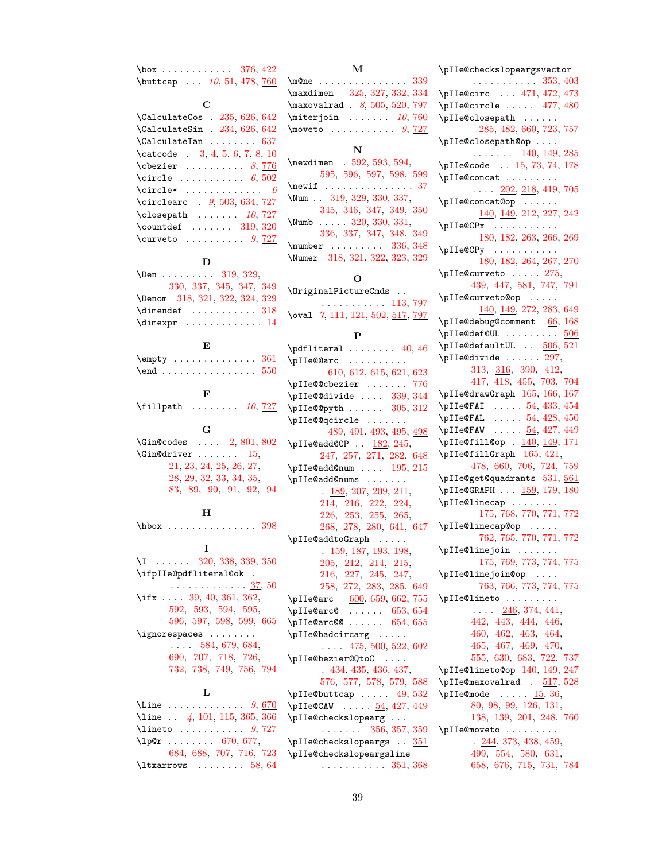$\text{box}$  .......... [376,](#page-22-13) [422](#page-23-8) \buttcap ... [10](#page-9-2), [51,](#page-13-4) [478,](#page-26-5) [760](#page-34-15)

**C**

| $\lambda$ CalculateCos . 235, 626, 642     |
|--------------------------------------------|
| \CalculateSin . 234, 626, 642              |
| $\lambda$ CalculateTan  637                |
| $\text{2} 3, 4, 5, 6, 7, 8, 10$            |
| $\text{cbezier} \dots \dots \quad 8,776$   |
| \circle $6,502$                            |
| $\text{Circle*} \dots \dots \dots \dots 6$ |
| \circlearc . 9, 503, 634, 727              |
| $\clot$ osepath $10, 727$                  |
| $\countdef$ 319, 320                       |
| \curveto $9, 727$                          |
|                                            |

## **D**

| $\Delta$ 319, 329,                            |
|-----------------------------------------------|
| 330, 337, 345, 347, 349                       |
| \Denom 318, 321, 322, 324, 329                |
| $\dim$ endef  318                             |
| $\dim \text{expr} \dots \dots \dots \dots 14$ |

## **E**

| $\emptyset$ 361 |  |  |  |  |  |  |  |  |
|-----------------|--|--|--|--|--|--|--|--|
|                 |  |  |  |  |  |  |  |  |

**F** \fillpath . . . . . . . . *[10](#page-9-3)*, [727](#page-33-33)

## **G**

```
2,801,802}{}\{Gin@driver \ldots \ldots \frac{15}{5},\}21, 23, 24, 25, 26, 27,
       28, 29, 32, 33, 34, 35,
       83, 89, 90, 91, 92, 94
```
#### **H**

\hbox . . . . . . . . . . . . . . . [398](#page-23-7) **I** \I . . . . . . [320,](#page-21-3) [338,](#page-21-13) [339,](#page-21-0) [350](#page-21-14) \ifpIIe@pdfliteral@ok . . . . . . . . . . . . . . . <u>[37,](#page-13-17)</u> [50](#page-13-18) \ifx . . . . [39,](#page-13-2) [40,](#page-13-3) [361,](#page-22-11) [362,](#page-22-12) [592,](#page-30-3) [593,](#page-30-9) [594,](#page-30-15) [595,](#page-30-16) [596,](#page-30-17) [597,](#page-30-18) [598,](#page-30-19) [599,](#page-30-20) [665](#page-32-20) \ignorespaces . . . . . . . . . . . . [584,](#page-30-21) [679,](#page-32-21) [684,](#page-32-12) [690,](#page-32-22) [707,](#page-33-21) [718,](#page-33-34) [726,](#page-33-35) [732,](#page-33-36) [738,](#page-33-37) [749,](#page-33-38) [756,](#page-34-17) [794](#page-34-18)

## **L**

| \Line $9,670$                          |  |
|----------------------------------------|--|
| \line $\ldots$ 4, 101, 115, 365, 366   |  |
| $\{line to \dots  \dots 9, 727\}$      |  |
|                                        |  |
| 684, 688, 707, 716, 723                |  |
| $\text{ltxarrows} \dots \dots \ 58,64$ |  |

## **M**

| $\m$ One  339                                 |  |
|-----------------------------------------------|--|
| \maxdimen 325, 327, 332, 334                  |  |
| $\maxovalrad$ . 8, 505, 520, 797              |  |
| $\text{interjoin} \dots 10,760$               |  |
| $\text{Noweto} \dots \dots \dots \quad 9,727$ |  |
|                                               |  |

## **N**

| $\neq$ $592, 593, 594.$        |
|--------------------------------|
| 595, 596, 597, 598, 599        |
| $\neq$ $37$                    |
| \Num . 319, 329, 330, 337,     |
| 345, 346, 347, 349, 350        |
| \Numb $320, 330, 331$ ,        |
| 336, 337, 347, 348, 349        |
| $\text{number}$ 336, 348       |
| \Numer 318, 321, 322, 323, 329 |

## **O**

\OriginalPictureCmds . . . . . . . . . . . . . <u>[113,](#page-15-15) [797](#page-35-11)</u> \oval [7](#page-6-3), [111,](#page-15-16) [121,](#page-15-17) [502,](#page-27-4) [517,](#page-28-6) [797](#page-35-12)

#### **P**

| $\Delta$ 40, 46                                     |
|-----------------------------------------------------|
|                                                     |
| $\Delta 610, 612, 615, 621, 623$                    |
| \pIIe@@cbezier  776                                 |
| \pIIe@@divide  339, 344                             |
| $\pi I = \mathbb{Q}$ 305, 312                       |
| \pIIe@@qcircle                                      |
| 489, 491, 493, 495, 498                             |
| $\pi I = \text{C} \cdot \frac{182}{245}$            |
| 247, 257, 271, 282, 648                             |
| \pIIe@add@num $195, 215$                            |
| \pIIe@add@nums                                      |
| $\frac{189}{207}$ , 207, 209, 211,                  |
| 214, 216, 222, 224,                                 |
| 226, 253, 255, 265,                                 |
| 268, 278, 280, 641, 647                             |
| \pIIe@addtoGraph                                    |
| $\frac{159}{159}$ , 187, 193, 198,                  |
| 205, 212, 214, 215,                                 |
| 216, 227, 245, 247,                                 |
| 258, 272, 283, 285, 649                             |
| $\phi$ IIe@arc 600, 659, 662, 755                   |
| $\pi I = \text{Qarc0} \ldots \ldots \quad 653, 654$ |
| $\pi I$ e@arc@  654, 655                            |
| \pIIe@badcircarg                                    |
| $\ldots$ 475, 500, 522, 602                         |
| \pIIe@bezier@QtoC                                   |
| .434,435,436,437,                                   |
| 576, 577, 578, 579, 588                             |
| \pIIe@buttcap $\underline{49}$ , 532                |
| $\pi IeeCCAW$ $\underline{54}$ , 427, 449           |
| \pIIe@checkslopearg                                 |
| $\cdots$ 356, 357, 359                              |
| $\pi I$ e@checkslopeargs  351                       |
| \pIIe@checkslopeargsline                            |
| $\cdots \cdots \cdots \cdots \quad 351, \, 368$     |

## \pIIe@checkslopeargsvector . . . . . . . . . . . [353,](#page-22-20) [403](#page-23-9) \pIIe@circ ... [471,](#page-26-8) [472,](#page-26-9) [473](#page-26-10) \pIIe@circle ..... [477,](#page-26-11) [480](#page-26-12) \pIIe@closepath . . . . . . [285,](#page-19-14) [482,](#page-26-13) [660,](#page-32-29) [723,](#page-33-3) [757](#page-34-22) \pIIe@closepath@op . . . .  $\ldots \ldots \frac{140}{149}$ ,  $\frac{149}{149}$ \pIIe@code .. [15,](#page-12-18) [73,](#page-14-11) [74,](#page-14-2) [178](#page-17-10) \pIIe@concat . . . . . . . . .  $\ldots$  [202,](#page-18-17) [218,](#page-18-18) [419,](#page-23-10) [705](#page-33-41) \pIIe@concat@op . . . . . . [140,](#page-16-7) [149,](#page-16-8) [212,](#page-18-15) [227,](#page-18-16) [242](#page-18-19) \pIIe@CPx . . . . . . . . . . . [180,](#page-17-11) [182,](#page-17-12) [263,](#page-19-15) [266,](#page-19-16) [269](#page-19-17) \pIIe@CPy . . . . . . . . . . . [180,](#page-17-11) [182,](#page-17-13) [264,](#page-19-18) [267,](#page-19-19) [270](#page-19-20)  $\pi$ IIe@curveto . . . . . [275,](#page-19-21) [439,](#page-24-7) [447,](#page-25-3) [581,](#page-30-28) [747,](#page-33-42) [791](#page-34-23) \pIIe@curveto@op . . . . . [140,](#page-16-9) [149,](#page-16-10) [272,](#page-19-11) [283,](#page-19-12) [649](#page-31-24) \pIIe@debug@comment [66,](#page-14-12) [168](#page-16-11) \pIIe@def@UL ......... [506](#page-27-12)  $\pi$ IIe@defaultUL ..  $506, 521$  $506, 521$  $506, 521$  $\Delta$ :  $297$ , [313,](#page-20-4) [316,](#page-21-25) [390,](#page-22-21) [412,](#page-23-11) [417,](#page-23-12) [418,](#page-23-13) [455,](#page-25-4) [703,](#page-33-43) [704](#page-33-44)  $\pi1$ e@drawGraph [165,](#page-16-12) [166,](#page-16-13) [167](#page-16-14)  $\pi Iee$ GFAI . . . . .  $54, 433, 454$  $54, 433, 454$  $54, 433, 454$  $54, 433, 454$  $54, 433, 454$  $\piIee$ FAL . . . . .  $54, 428, 450$  $54, 428, 450$  $54, 428, 450$  $54, 428, 450$  $54, 428, 450$  $\sqrt{\text{pIIeQFAW}}$  . . . . .  $\frac{54}{427}$ , [449](#page-25-2) \pIIe@fill@op . <u>[140,](#page-16-15) [149,](#page-16-16)</u> [171](#page-17-14)  $\pi1$ e@fillGraph  $165, 421,$  $165, 421,$  $165, 421,$ [478,](#page-26-5) [660,](#page-32-29) [706,](#page-33-45) [724,](#page-33-46) [759](#page-34-24) \pIIe@get@quadrants [531,](#page-28-10) [561](#page-29-11) \pIIe@GRAPH ... [159,](#page-16-18) [179,](#page-17-15) [180](#page-17-11) \pIIe@linecap . . . . . . . . [175,](#page-17-16) [768,](#page-34-25) [770,](#page-34-26) [771,](#page-34-27) [772](#page-34-28) \pIIe@linecap@op . . . . . [762,](#page-34-29) [765,](#page-34-30) [770,](#page-34-26) [771,](#page-34-27) [772](#page-34-28) \pIIe@linejoin . . . . . . . [175,](#page-17-16) [769,](#page-34-31) [773,](#page-34-32) [774,](#page-34-33) [775](#page-34-34) \pIIe@linejoin@op . . . . [763,](#page-34-35) [766,](#page-34-36) [773,](#page-34-32) [774,](#page-34-33) [775](#page-34-34) \pIIe@lineto . . . . . . . . .  $\ldots$  [246,](#page-18-20) [374,](#page-22-22) [441,](#page-24-10) [442,](#page-24-11) [443,](#page-24-12) [444,](#page-25-7) [446,](#page-25-8) [460,](#page-25-9) [462,](#page-25-10) [463,](#page-25-11) [464,](#page-25-12) [465,](#page-26-14) [467,](#page-26-15) [469,](#page-26-16) [470,](#page-26-17) [555,](#page-29-12) [630,](#page-31-25) [683,](#page-32-30) [722,](#page-33-47) [737](#page-33-48)  $\pi I = 01$ ineto@op  $140, 149, 247$  $140, 149, 247$  $140, 149, 247$  $140, 149, 247$  $140, 149, 247$  $\pi$ IIe@maxovalrad . [517,](#page-28-11) [528](#page-28-12)  $\pi I$ e@mode .....  $15, 36,$  $15, 36,$  $15, 36,$ [80,](#page-14-13) [98,](#page-15-18) [99,](#page-15-19) [126,](#page-15-20) [131,](#page-15-21) [138,](#page-15-22) [139,](#page-16-21) [201,](#page-17-17) [248,](#page-19-22) [760](#page-34-37) \pIIe@moveto . . . . . . . . .  $. \underline{244}$ , [373,](#page-22-23) [438,](#page-24-13) [459,](#page-25-13) [499,](#page-27-14) [554,](#page-29-13) [580,](#page-30-29) [631,](#page-31-26) [658,](#page-32-31) [676,](#page-32-32) [715,](#page-33-49) [731,](#page-33-50) [784](#page-34-38)